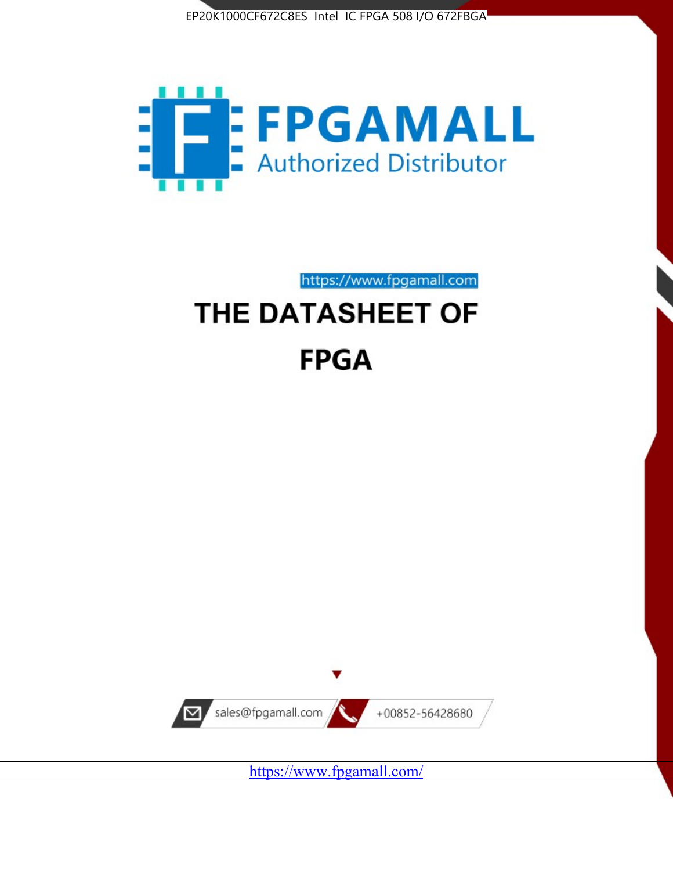



https://www.fpgamall.com

# THE DATASHEET OF **FPGA**



<https://www.fpgamall.com/>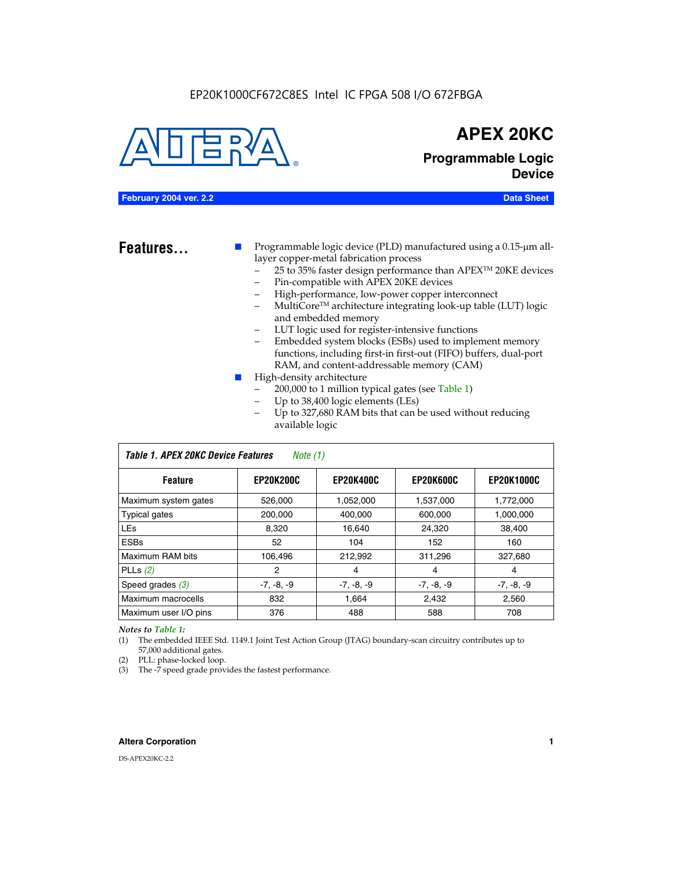#### EP20K1000CF672C8ES Intel IC FPGA 508 I/O 672FBGA



## **APEX 20KC**

**Programmable Logic Device**

#### **February 2004 ver. 2.2 Data Sheet**

**Features...** ■ Programmable logic device (PLD) manufactured using a 0.15-µm alllayer copper-metal fabrication process

- 25 to 35% faster design performance than APEX<sup>™</sup> 20KE devices
- Pin-compatible with APEX 20KE devices
- High-performance, low-power copper interconnect
- MultiCoreTM architecture integrating look-up table (LUT) logic and embedded memory
- LUT logic used for register-intensive functions
- Embedded system blocks (ESBs) used to implement memory functions, including first-in first-out (FIFO) buffers, dual-port RAM, and content-addressable memory (CAM)
- High-density architecture
	- 200,000 to 1 million typical gates (see Table 1)
	- Up to 38,400 logic elements (LEs)
	- Up to 327,680 RAM bits that can be used without reducing available logic

| Table 1. APEX 20KC Device Features<br>Note (1) |                  |                  |                  |                   |  |  |  |  |
|------------------------------------------------|------------------|------------------|------------------|-------------------|--|--|--|--|
| <b>Feature</b>                                 | <b>EP20K200C</b> | <b>EP20K400C</b> | <b>EP20K600C</b> | <b>EP20K1000C</b> |  |  |  |  |
| Maximum system gates                           | 526,000          | 1,052,000        | 1,537,000        | 1,772,000         |  |  |  |  |
| <b>Typical gates</b>                           | 200,000          | 400,000          | 600,000          | 1,000,000         |  |  |  |  |
| <b>LEs</b>                                     | 8.320            | 16.640           | 24,320           | 38,400            |  |  |  |  |
| <b>ESBs</b>                                    | 52               | 104              | 152              | 160               |  |  |  |  |
| Maximum RAM bits                               | 106,496          | 212,992          | 311,296          | 327,680           |  |  |  |  |
| PLLs $(2)$                                     | 2                | 4                | 4                | 4                 |  |  |  |  |
| Speed grades $(3)$                             | $-7, -8, -9$     | $-7, -8, -9$     | $-7, -8, -9$     | $-7, -8, -9$      |  |  |  |  |
| Maximum macrocells                             | 832              | 1.664            | 2,432            | 2,560             |  |  |  |  |
| Maximum user I/O pins                          | 376              | 488              | 588              | 708               |  |  |  |  |

#### *Notes to Table 1:*

(1) The embedded IEEE Std. 1149.1 Joint Test Action Group (JTAG) boundary-scan circuitry contributes up to 57,000 additional gates.

- (2) PLL: phase-locked loop.
- (3) The -7 speed grade provides the fastest performance.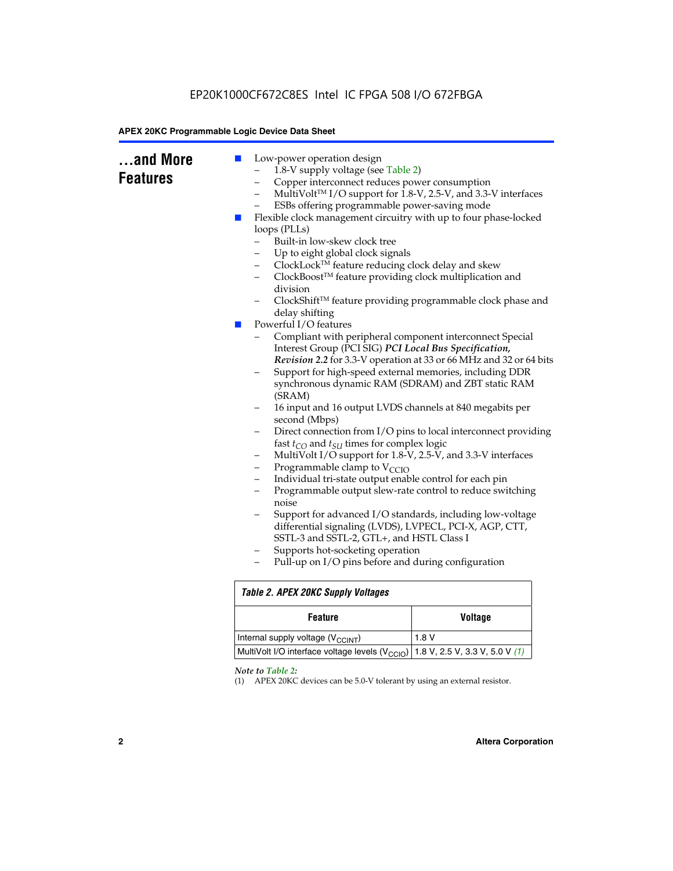| and More<br><b>Features</b> | Low-power operation design<br>H<br>1.8-V supply voltage (see Table 2)<br>Copper interconnect reduces power consumption<br>MultiVolt™ I/O support for 1.8-V, 2.5-V, and 3.3-V interfaces<br>-<br>ESBs offering programmable power-saving mode<br>Flexible clock management circuitry with up to four phase-locked<br>ш<br>loops (PLLs)<br>Built-in low-skew clock tree<br>Up to eight global clock signals<br>ClockLock™ feature reducing clock delay and skew<br>-<br>ClockBoost™ feature providing clock multiplication and<br>-<br>division<br>ClockShift™ feature providing programmable clock phase and<br>delay shifting<br>Powerful I/O features<br>m,<br>Compliant with peripheral component interconnect Special<br>Interest Group (PCI SIG) PCI Local Bus Specification,<br>Revision 2.2 for 3.3-V operation at 33 or 66 MHz and 32 or 64 bits<br>Support for high-speed external memories, including DDR<br>-<br>synchronous dynamic RAM (SDRAM) and ZBT static RAM<br>(SRAM)<br>16 input and 16 output LVDS channels at 840 megabits per<br>second (Mbps)<br>Direct connection from I/O pins to local interconnect providing<br>fast $t_{CO}$ and $t_{SU}$ times for complex logic<br>MultiVolt I/O support for 1.8-V, 2.5-V, and 3.3-V interfaces<br>-<br>Programmable clamp to $V_{CCIO}$<br>-<br>Individual tri-state output enable control for each pin<br>-<br>Programmable output slew-rate control to reduce switching<br>-<br>noise<br>Support for advanced I/O standards, including low-voltage<br>-<br>differential signaling (LVDS), LVPECL, PCI-X, AGP, CTT,<br>SSTL-3 and SSTL-2, GTL+, and HSTL Class I<br>Supports hot-socketing operation<br>-<br>Pull-up on I/O pins before and during configuration |                                |  |  |
|-----------------------------|----------------------------------------------------------------------------------------------------------------------------------------------------------------------------------------------------------------------------------------------------------------------------------------------------------------------------------------------------------------------------------------------------------------------------------------------------------------------------------------------------------------------------------------------------------------------------------------------------------------------------------------------------------------------------------------------------------------------------------------------------------------------------------------------------------------------------------------------------------------------------------------------------------------------------------------------------------------------------------------------------------------------------------------------------------------------------------------------------------------------------------------------------------------------------------------------------------------------------------------------------------------------------------------------------------------------------------------------------------------------------------------------------------------------------------------------------------------------------------------------------------------------------------------------------------------------------------------------------------------------------------------------------------------------------------------------------------------------------------|--------------------------------|--|--|
|                             |                                                                                                                                                                                                                                                                                                                                                                                                                                                                                                                                                                                                                                                                                                                                                                                                                                                                                                                                                                                                                                                                                                                                                                                                                                                                                                                                                                                                                                                                                                                                                                                                                                                                                                                                  |                                |  |  |
|                             | <b>Table 2. APEX 20KC Supply Voltages</b><br><b>Feature</b>                                                                                                                                                                                                                                                                                                                                                                                                                                                                                                                                                                                                                                                                                                                                                                                                                                                                                                                                                                                                                                                                                                                                                                                                                                                                                                                                                                                                                                                                                                                                                                                                                                                                      | <b>Voltage</b>                 |  |  |
|                             | Internal supply voltage (V <sub>CCINT</sub> )                                                                                                                                                                                                                                                                                                                                                                                                                                                                                                                                                                                                                                                                                                                                                                                                                                                                                                                                                                                                                                                                                                                                                                                                                                                                                                                                                                                                                                                                                                                                                                                                                                                                                    | 1.8V                           |  |  |
|                             | MultiVolt I/O interface voltage levels (V <sub>CCIO</sub> )                                                                                                                                                                                                                                                                                                                                                                                                                                                                                                                                                                                                                                                                                                                                                                                                                                                                                                                                                                                                                                                                                                                                                                                                                                                                                                                                                                                                                                                                                                                                                                                                                                                                      | 1.8 V, 2.5 V, 3.3 V, 5.0 V (1) |  |  |
|                             | Note to Table 2:<br>APEX 20KC devices can be 5.0-V tolerant by using an external resistor.<br>(1)                                                                                                                                                                                                                                                                                                                                                                                                                                                                                                                                                                                                                                                                                                                                                                                                                                                                                                                                                                                                                                                                                                                                                                                                                                                                                                                                                                                                                                                                                                                                                                                                                                |                                |  |  |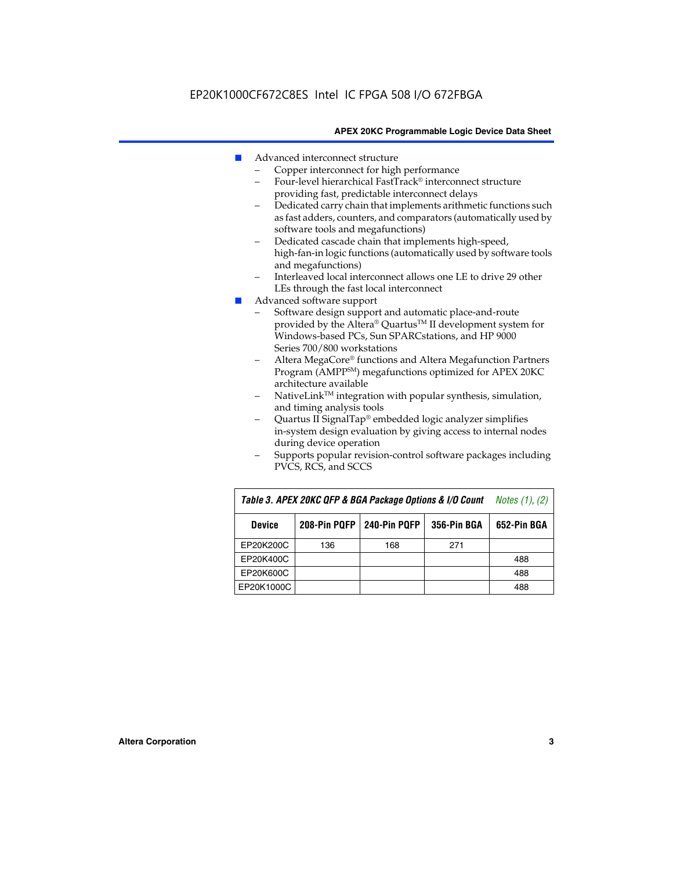- Advanced interconnect structure
	- Copper interconnect for high performance
	- Four-level hierarchical FastTrack® interconnect structure providing fast, predictable interconnect delays
	- Dedicated carry chain that implements arithmetic functions such as fast adders, counters, and comparators (automatically used by software tools and megafunctions)
	- Dedicated cascade chain that implements high-speed, high-fan-in logic functions (automatically used by software tools and megafunctions)
	- Interleaved local interconnect allows one LE to drive 29 other LEs through the fast local interconnect
- Advanced software support
	- Software design support and automatic place-and-route provided by the Altera® Quartus™ II development system for Windows-based PCs, Sun SPARCstations, and HP 9000 Series 700/800 workstations
	- Altera MegaCore® functions and Altera Megafunction Partners Program (AMPPSM) megafunctions optimized for APEX 20KC architecture available
	- $N$ ativeLink<sup>TM</sup> integration with popular synthesis, simulation, and timing analysis tools
	- Quartus II SignalTap® embedded logic analyzer simplifies in-system design evaluation by giving access to internal nodes during device operation
	- Supports popular revision-control software packages including PVCS, RCS, and SCCS

| Table 3. APEX 20KC QFP & BGA Package Options & I/O Count | <i>Notes <math>(1)</math>, <math>(2)</math></i> |     |     |     |
|----------------------------------------------------------|-------------------------------------------------|-----|-----|-----|
| <b>Device</b>                                            | 240-Pin PQFP<br>208-Pin PQFP<br>356-Pin BGA     |     |     |     |
| EP20K200C                                                | 136                                             | 168 | 271 |     |
| EP20K400C                                                |                                                 |     |     | 488 |
| EP20K600C                                                |                                                 |     |     | 488 |
| EP20K1000C                                               |                                                 |     |     | 488 |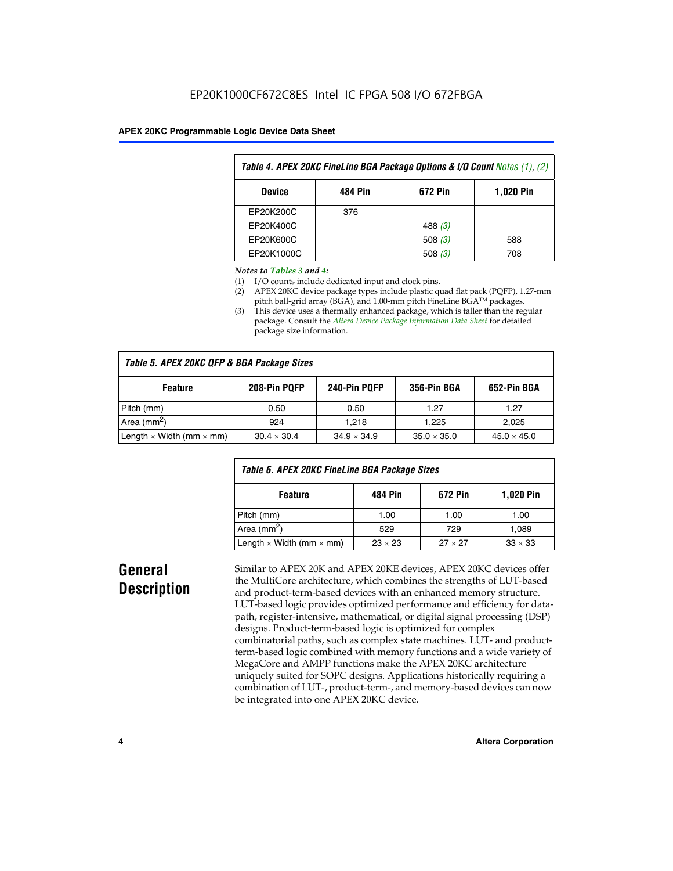| Table 4. APEX 20KC FineLine BGA Package Options & I/O Count Notes (1), (2) |     |           |     |  |  |  |
|----------------------------------------------------------------------------|-----|-----------|-----|--|--|--|
| 672 Pin<br>484 Pin<br><b>1,020 Pin</b><br><b>Device</b>                    |     |           |     |  |  |  |
| EP20K200C                                                                  | 376 |           |     |  |  |  |
| EP20K400C                                                                  |     | 488 $(3)$ |     |  |  |  |
| EP20K600C                                                                  |     | 508 $(3)$ | 588 |  |  |  |
| EP20K1000C                                                                 |     | 508(3)    | 708 |  |  |  |

#### *Notes to Tables 3 and 4:*

- (1) I/O counts include dedicated input and clock pins.
- (2) APEX 20KC device package types include plastic quad flat pack (PQFP), 1.27-mm pitch ball-grid array (BGA), and 1.00-mm pitch FineLine BGA™ packages.
- (3) This device uses a thermally enhanced package, which is taller than the regular package. Consult the *Altera Device Package Information Data Sheet* for detailed package size information.

| Table 5. APEX 20KC QFP & BGA Package Sizes |                    |                    |                    |                    |  |  |  |
|--------------------------------------------|--------------------|--------------------|--------------------|--------------------|--|--|--|
| <b>Feature</b>                             | 208-Pin PQFP       | 240-Pin PQFP       | 356-Pin BGA        | 652-Pin BGA        |  |  |  |
| Pitch (mm)                                 | 0.50               | 0.50               | 1.27               | 1.27               |  |  |  |
| Area ( $mm2$ )                             | 924                | 1.218              | 1.225              | 2,025              |  |  |  |
| Length $\times$ Width (mm $\times$ mm)     | $30.4 \times 30.4$ | $34.9 \times 34.9$ | $35.0 \times 35.0$ | $45.0 \times 45.0$ |  |  |  |

| Table 6. APEX 20KC FineLine BGA Package Sizes            |                |                |                |  |  |  |
|----------------------------------------------------------|----------------|----------------|----------------|--|--|--|
| <b>1,020 Pin</b><br>484 Pin<br>672 Pin<br><b>Feature</b> |                |                |                |  |  |  |
| Pitch (mm)                                               | 1.00           | 1.00           | 1.00           |  |  |  |
| Area ( $mm2$ )                                           | 529            | 729            | 1.089          |  |  |  |
| Length $\times$ Width (mm $\times$ mm)                   | $23 \times 23$ | $27 \times 27$ | $33 \times 33$ |  |  |  |

## **General Description**

Similar to APEX 20K and APEX 20KE devices, APEX 20KC devices offer the MultiCore architecture, which combines the strengths of LUT-based and product-term-based devices with an enhanced memory structure. LUT-based logic provides optimized performance and efficiency for datapath, register-intensive, mathematical, or digital signal processing (DSP) designs. Product-term-based logic is optimized for complex combinatorial paths, such as complex state machines. LUT- and productterm-based logic combined with memory functions and a wide variety of MegaCore and AMPP functions make the APEX 20KC architecture uniquely suited for SOPC designs. Applications historically requiring a combination of LUT-, product-term-, and memory-based devices can now be integrated into one APEX 20KC device.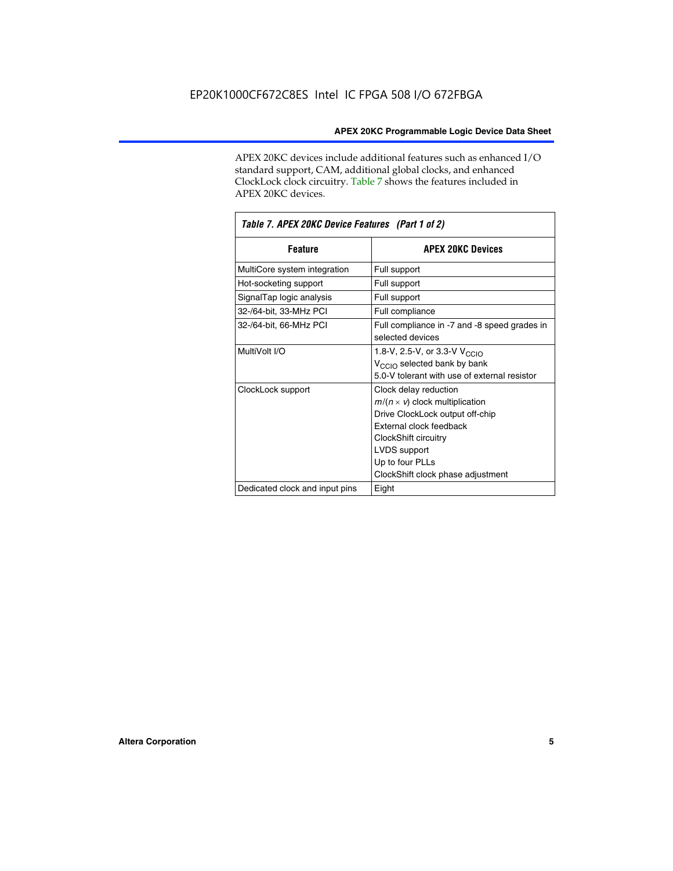APEX 20KC devices include additional features such as enhanced I/O standard support, CAM, additional global clocks, and enhanced ClockLock clock circuitry. Table 7 shows the features included in APEX 20KC devices.

| Table 7. APEX 20KC Device Features (Part 1 of 2) |                                                                                                                                                                                                                              |  |  |  |  |
|--------------------------------------------------|------------------------------------------------------------------------------------------------------------------------------------------------------------------------------------------------------------------------------|--|--|--|--|
| <b>Feature</b>                                   | <b>APEX 20KC Devices</b>                                                                                                                                                                                                     |  |  |  |  |
| MultiCore system integration                     | Full support                                                                                                                                                                                                                 |  |  |  |  |
| Hot-socketing support                            | Full support                                                                                                                                                                                                                 |  |  |  |  |
| SignalTap logic analysis                         | Full support                                                                                                                                                                                                                 |  |  |  |  |
| 32-/64-bit, 33-MHz PCI                           | Full compliance                                                                                                                                                                                                              |  |  |  |  |
| 32-/64-bit, 66-MHz PCI                           | Full compliance in -7 and -8 speed grades in<br>selected devices                                                                                                                                                             |  |  |  |  |
| MultiVolt I/O                                    | 1.8-V, 2.5-V, or 3.3-V V <sub>CCIO</sub><br>V <sub>CCIO</sub> selected bank by bank<br>5.0-V tolerant with use of external resistor                                                                                          |  |  |  |  |
| ClockLock support                                | Clock delay reduction<br>$m/(n \times v)$ clock multiplication<br>Drive ClockLock output off-chip<br>External clock feedback<br>ClockShift circuitry<br>LVDS support<br>Up to four PLLs<br>ClockShift clock phase adjustment |  |  |  |  |
| Dedicated clock and input pins                   | Eight                                                                                                                                                                                                                        |  |  |  |  |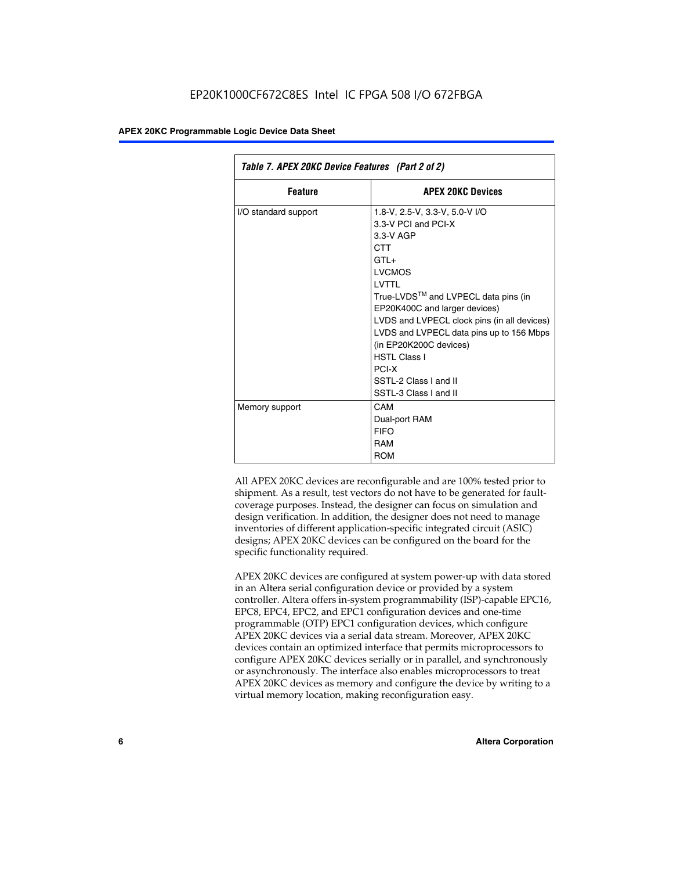| Table 7. APEX 20KC Device Features (Part 2 of 2) |                                                                                                                                                                                                                                                                                                                                                                                                 |  |  |  |  |
|--------------------------------------------------|-------------------------------------------------------------------------------------------------------------------------------------------------------------------------------------------------------------------------------------------------------------------------------------------------------------------------------------------------------------------------------------------------|--|--|--|--|
| <b>Feature</b>                                   | <b>APEX 20KC Devices</b>                                                                                                                                                                                                                                                                                                                                                                        |  |  |  |  |
| I/O standard support                             | 1.8-V, 2.5-V, 3.3-V, 5.0-V I/O<br>3.3-V PCI and PCI-X<br>$3.3-V$ AGP<br>CTT<br>$GTI +$<br><b>LVCMOS</b><br>I VTTI<br>True-LVDS™ and LVPECL data pins (in<br>EP20K400C and larger devices)<br>LVDS and LVPECL clock pins (in all devices)<br>LVDS and LVPECL data pins up to 156 Mbps<br>(in EP20K200C devices)<br><b>HSTL Class I</b><br>PCI-X<br>SSTI-2 Class Land II<br>SSTL-3 Class I and II |  |  |  |  |
| Memory support                                   | CAM<br>Dual-port RAM<br><b>FIFO</b><br>RAM<br><b>ROM</b>                                                                                                                                                                                                                                                                                                                                        |  |  |  |  |

All APEX 20KC devices are reconfigurable and are 100% tested prior to shipment. As a result, test vectors do not have to be generated for faultcoverage purposes. Instead, the designer can focus on simulation and design verification. In addition, the designer does not need to manage inventories of different application-specific integrated circuit (ASIC) designs; APEX 20KC devices can be configured on the board for the specific functionality required.

APEX 20KC devices are configured at system power-up with data stored in an Altera serial configuration device or provided by a system controller. Altera offers in-system programmability (ISP)-capable EPC16, EPC8, EPC4, EPC2, and EPC1 configuration devices and one-time programmable (OTP) EPC1 configuration devices, which configure APEX 20KC devices via a serial data stream. Moreover, APEX 20KC devices contain an optimized interface that permits microprocessors to configure APEX 20KC devices serially or in parallel, and synchronously or asynchronously. The interface also enables microprocessors to treat APEX 20KC devices as memory and configure the device by writing to a virtual memory location, making reconfiguration easy.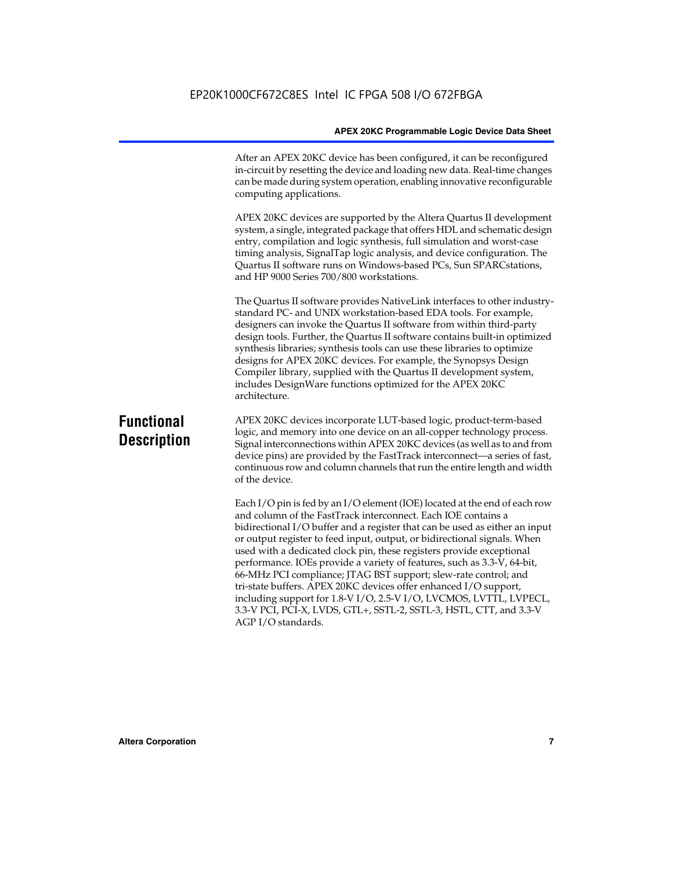After an APEX 20KC device has been configured, it can be reconfigured in-circuit by resetting the device and loading new data. Real-time changes can be made during system operation, enabling innovative reconfigurable computing applications.

APEX 20KC devices are supported by the Altera Quartus II development system, a single, integrated package that offers HDL and schematic design entry, compilation and logic synthesis, full simulation and worst-case timing analysis, SignalTap logic analysis, and device configuration. The Quartus II software runs on Windows-based PCs, Sun SPARCstations, and HP 9000 Series 700/800 workstations.

The Quartus II software provides NativeLink interfaces to other industrystandard PC- and UNIX workstation-based EDA tools. For example, designers can invoke the Quartus II software from within third-party design tools. Further, the Quartus II software contains built-in optimized synthesis libraries; synthesis tools can use these libraries to optimize designs for APEX 20KC devices. For example, the Synopsys Design Compiler library, supplied with the Quartus II development system, includes DesignWare functions optimized for the APEX 20KC architecture.

## **Functional Description**

APEX 20KC devices incorporate LUT-based logic, product-term-based logic, and memory into one device on an all-copper technology process. Signal interconnections within APEX 20KC devices (as well as to and from device pins) are provided by the FastTrack interconnect—a series of fast, continuous row and column channels that run the entire length and width of the device.

Each I/O pin is fed by an I/O element (IOE) located at the end of each row and column of the FastTrack interconnect. Each IOE contains a bidirectional I/O buffer and a register that can be used as either an input or output register to feed input, output, or bidirectional signals. When used with a dedicated clock pin, these registers provide exceptional performance. IOEs provide a variety of features, such as 3.3-V, 64-bit, 66-MHz PCI compliance; JTAG BST support; slew-rate control; and tri-state buffers. APEX 20KC devices offer enhanced I/O support, including support for 1.8-V I/O, 2.5-V I/O, LVCMOS, LVTTL, LVPECL, 3.3-V PCI, PCI-X, LVDS, GTL+, SSTL-2, SSTL-3, HSTL, CTT, and 3.3-V AGP I/O standards.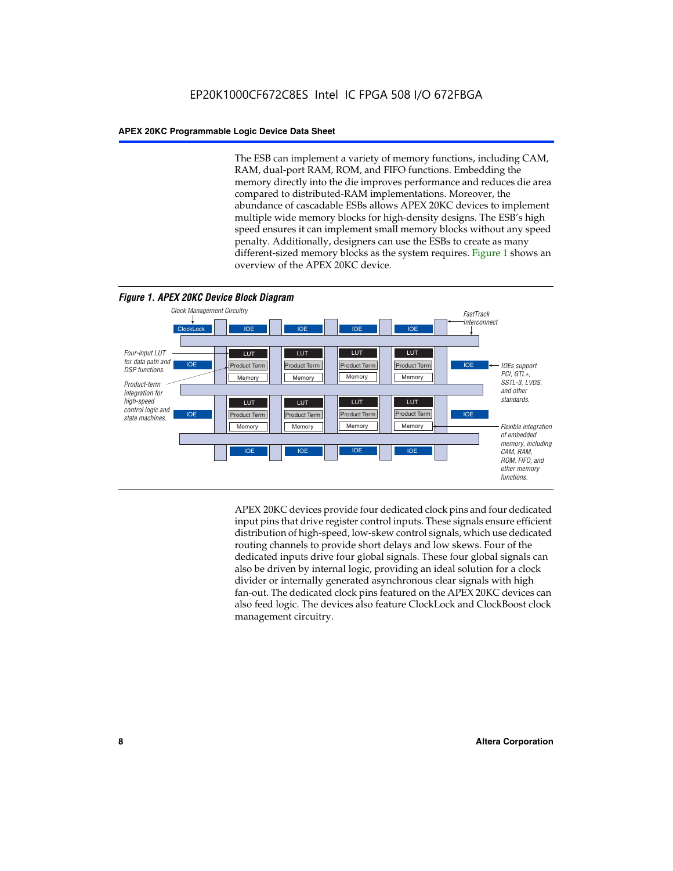The ESB can implement a variety of memory functions, including CAM, RAM, dual-port RAM, ROM, and FIFO functions. Embedding the memory directly into the die improves performance and reduces die area compared to distributed-RAM implementations. Moreover, the abundance of cascadable ESBs allows APEX 20KC devices to implement multiple wide memory blocks for high-density designs. The ESB's high speed ensures it can implement small memory blocks without any speed penalty. Additionally, designers can use the ESBs to create as many different-sized memory blocks as the system requires. Figure 1 shows an overview of the APEX 20KC device.



APEX 20KC devices provide four dedicated clock pins and four dedicated input pins that drive register control inputs. These signals ensure efficient distribution of high-speed, low-skew control signals, which use dedicated routing channels to provide short delays and low skews. Four of the dedicated inputs drive four global signals. These four global signals can also be driven by internal logic, providing an ideal solution for a clock divider or internally generated asynchronous clear signals with high fan-out. The dedicated clock pins featured on the APEX 20KC devices can also feed logic. The devices also feature ClockLock and ClockBoost clock management circuitry.

#### **8 Altera Corporation**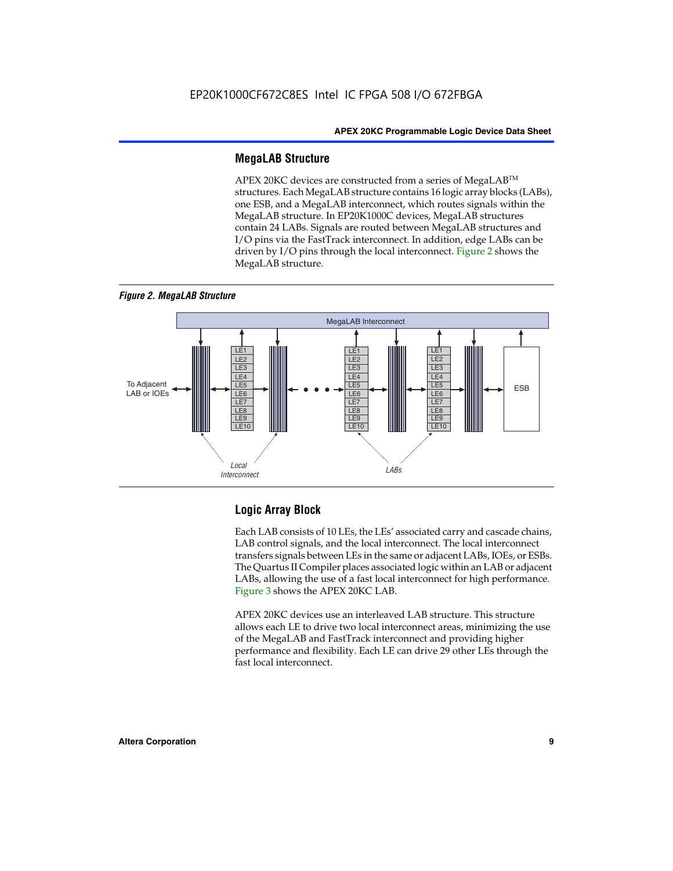#### **MegaLAB Structure**

APEX 20KC devices are constructed from a series of MegaLAB™ structures. Each MegaLAB structure contains 16 logic array blocks (LABs), one ESB, and a MegaLAB interconnect, which routes signals within the MegaLAB structure. In EP20K1000C devices, MegaLAB structures contain 24 LABs. Signals are routed between MegaLAB structures and I/O pins via the FastTrack interconnect. In addition, edge LABs can be driven by I/O pins through the local interconnect. Figure 2 shows the MegaLAB structure.

*Figure 2. MegaLAB Structure*



#### **Logic Array Block**

Each LAB consists of 10 LEs, the LEs' associated carry and cascade chains, LAB control signals, and the local interconnect. The local interconnect transfers signals between LEs in the same or adjacent LABs, IOEs, or ESBs. The Quartus II Compiler places associated logic within an LAB or adjacent LABs, allowing the use of a fast local interconnect for high performance. Figure 3 shows the APEX 20KC LAB.

APEX 20KC devices use an interleaved LAB structure. This structure allows each LE to drive two local interconnect areas, minimizing the use of the MegaLAB and FastTrack interconnect and providing higher performance and flexibility. Each LE can drive 29 other LEs through the fast local interconnect.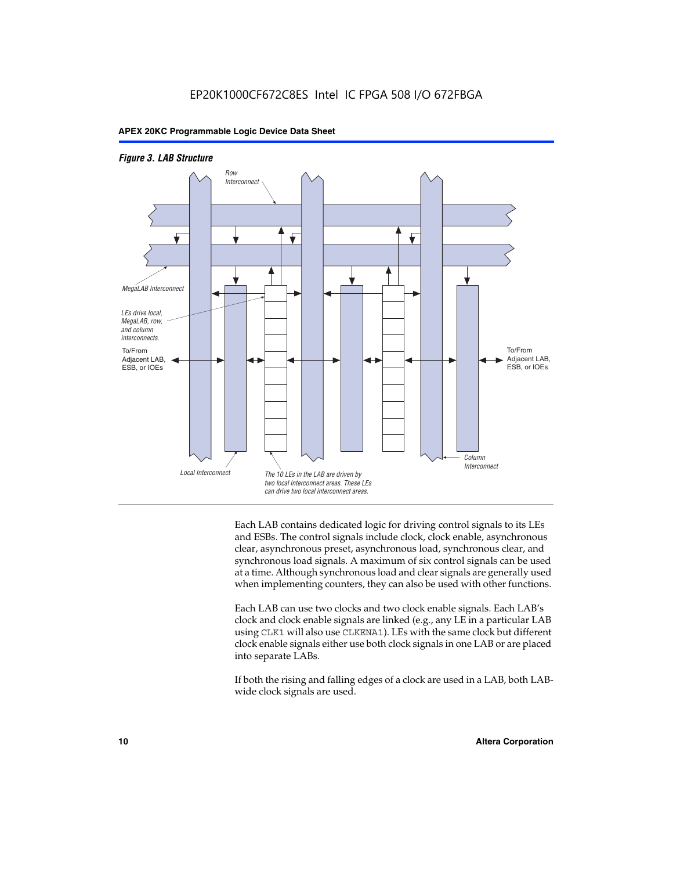



Each LAB contains dedicated logic for driving control signals to its LEs and ESBs. The control signals include clock, clock enable, asynchronous clear, asynchronous preset, asynchronous load, synchronous clear, and synchronous load signals. A maximum of six control signals can be used at a time. Although synchronous load and clear signals are generally used when implementing counters, they can also be used with other functions.

Each LAB can use two clocks and two clock enable signals. Each LAB's clock and clock enable signals are linked (e.g., any LE in a particular LAB using CLK1 will also use CLKENA1). LEs with the same clock but different clock enable signals either use both clock signals in one LAB or are placed into separate LABs.

If both the rising and falling edges of a clock are used in a LAB, both LABwide clock signals are used.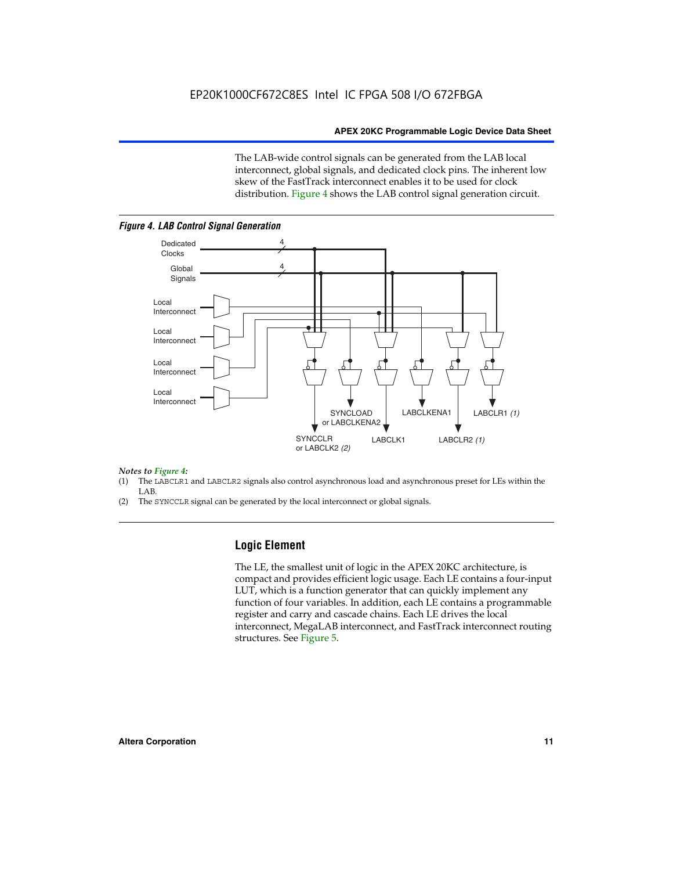The LAB-wide control signals can be generated from the LAB local interconnect, global signals, and dedicated clock pins. The inherent low skew of the FastTrack interconnect enables it to be used for clock distribution. Figure 4 shows the LAB control signal generation circuit.



#### *Figure 4. LAB Control Signal Generation*

#### *Notes to Figure 4:*

- (1) The LABCLR1 and LABCLR2 signals also control asynchronous load and asynchronous preset for LEs within the LAB.
- (2) The SYNCCLR signal can be generated by the local interconnect or global signals.

#### **Logic Element**

The LE, the smallest unit of logic in the APEX 20KC architecture, is compact and provides efficient logic usage. Each LE contains a four-input LUT, which is a function generator that can quickly implement any function of four variables. In addition, each LE contains a programmable register and carry and cascade chains. Each LE drives the local interconnect, MegaLAB interconnect, and FastTrack interconnect routing structures. See Figure 5.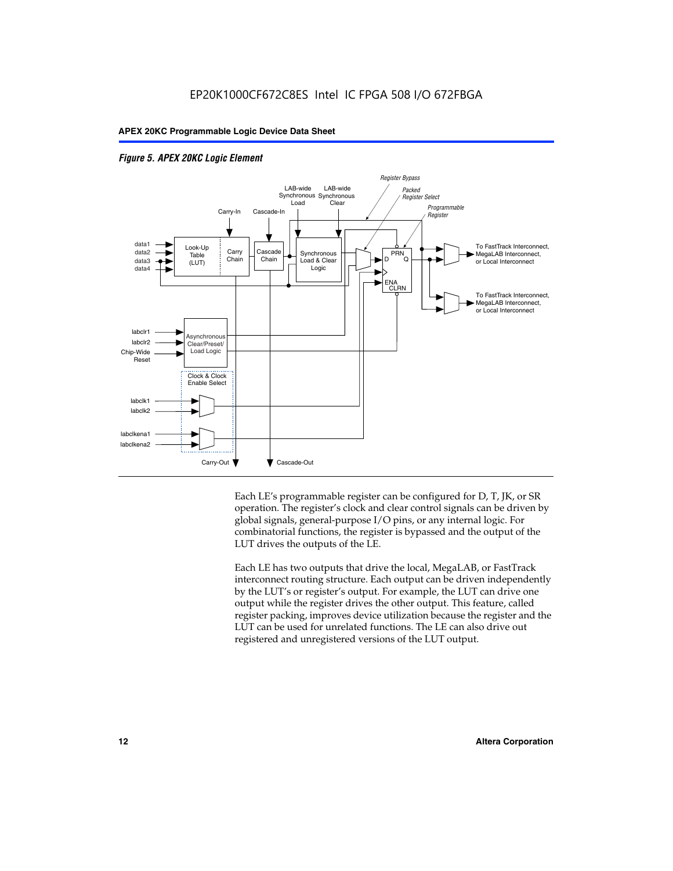

#### *Figure 5. APEX 20KC Logic Element*

Each LE's programmable register can be configured for D, T, JK, or SR operation. The register's clock and clear control signals can be driven by global signals, general-purpose I/O pins, or any internal logic. For combinatorial functions, the register is bypassed and the output of the LUT drives the outputs of the LE.

Each LE has two outputs that drive the local, MegaLAB, or FastTrack interconnect routing structure. Each output can be driven independently by the LUT's or register's output. For example, the LUT can drive one output while the register drives the other output. This feature, called register packing, improves device utilization because the register and the LUT can be used for unrelated functions. The LE can also drive out registered and unregistered versions of the LUT output.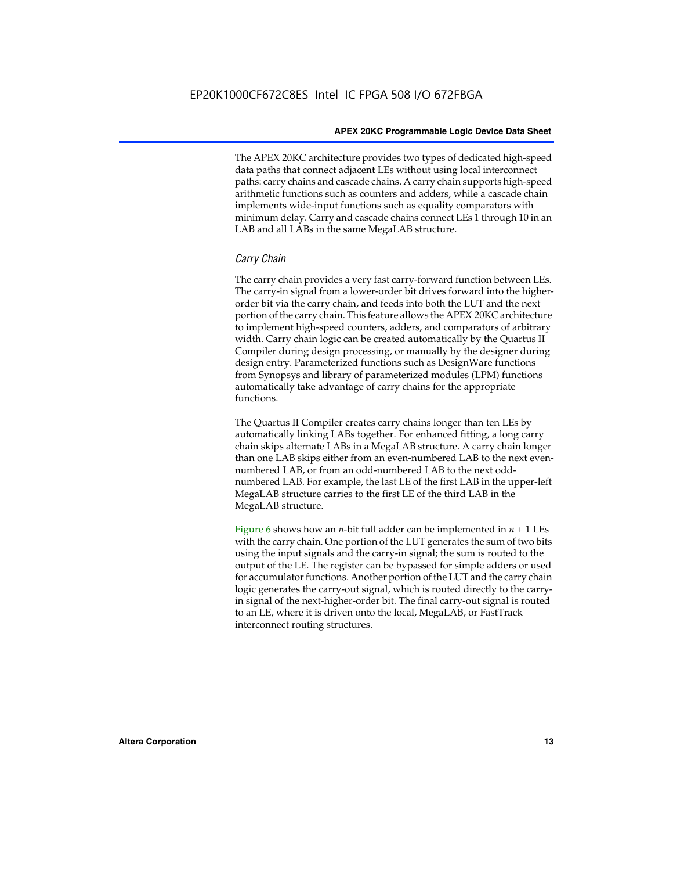The APEX 20KC architecture provides two types of dedicated high-speed data paths that connect adjacent LEs without using local interconnect paths: carry chains and cascade chains. A carry chain supports high-speed arithmetic functions such as counters and adders, while a cascade chain implements wide-input functions such as equality comparators with minimum delay. Carry and cascade chains connect LEs 1 through 10 in an LAB and all LABs in the same MegaLAB structure.

#### *Carry Chain*

The carry chain provides a very fast carry-forward function between LEs. The carry-in signal from a lower-order bit drives forward into the higherorder bit via the carry chain, and feeds into both the LUT and the next portion of the carry chain. This feature allows the APEX 20KC architecture to implement high-speed counters, adders, and comparators of arbitrary width. Carry chain logic can be created automatically by the Quartus II Compiler during design processing, or manually by the designer during design entry. Parameterized functions such as DesignWare functions from Synopsys and library of parameterized modules (LPM) functions automatically take advantage of carry chains for the appropriate functions.

The Quartus II Compiler creates carry chains longer than ten LEs by automatically linking LABs together. For enhanced fitting, a long carry chain skips alternate LABs in a MegaLAB structure. A carry chain longer than one LAB skips either from an even-numbered LAB to the next evennumbered LAB, or from an odd-numbered LAB to the next oddnumbered LAB. For example, the last LE of the first LAB in the upper-left MegaLAB structure carries to the first LE of the third LAB in the MegaLAB structure.

Figure 6 shows how an *n*-bit full adder can be implemented in  $n + 1$  LEs with the carry chain. One portion of the LUT generates the sum of two bits using the input signals and the carry-in signal; the sum is routed to the output of the LE. The register can be bypassed for simple adders or used for accumulator functions. Another portion of the LUT and the carry chain logic generates the carry-out signal, which is routed directly to the carryin signal of the next-higher-order bit. The final carry-out signal is routed to an LE, where it is driven onto the local, MegaLAB, or FastTrack interconnect routing structures.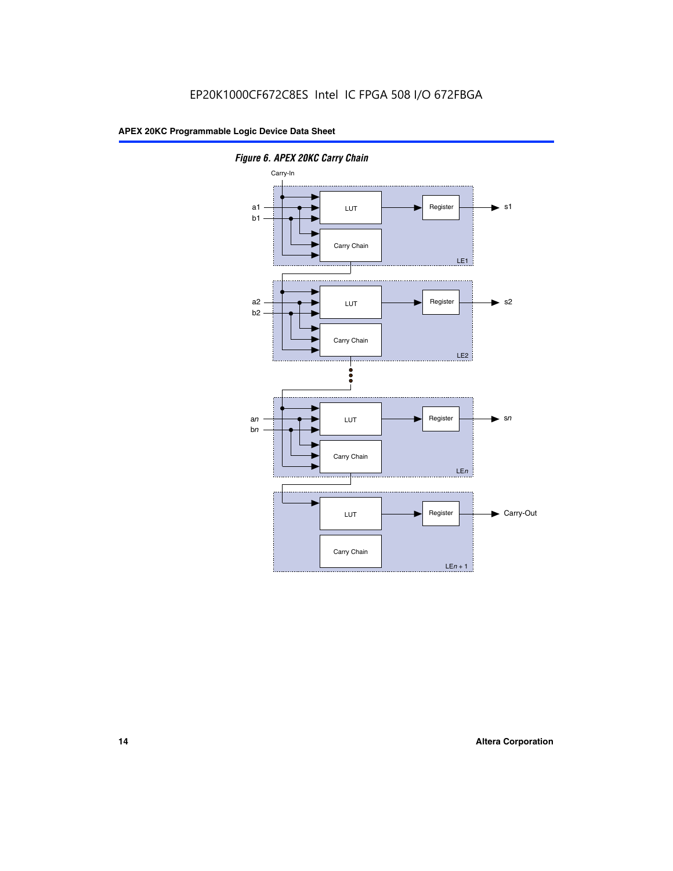

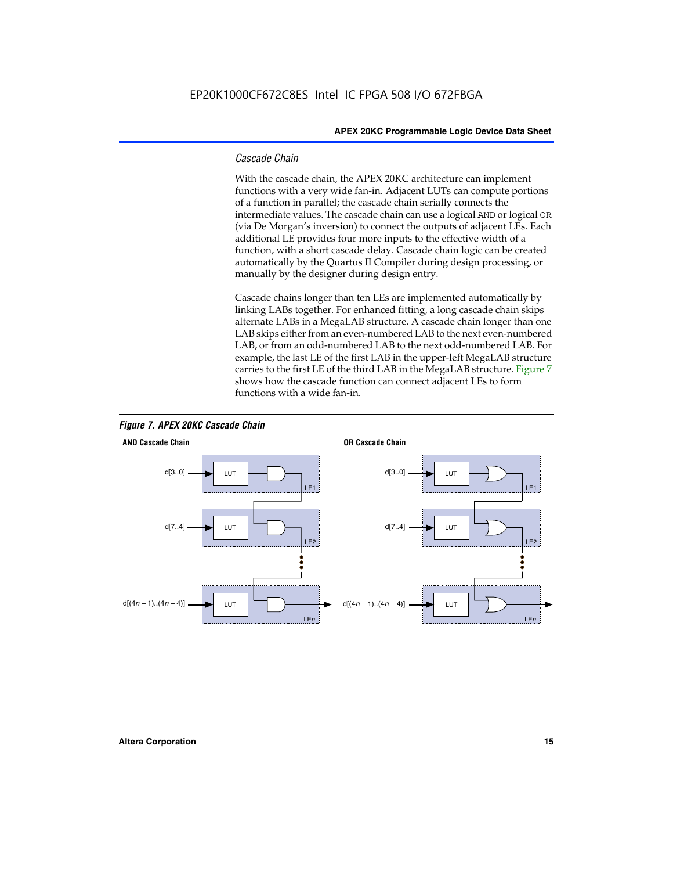#### *Cascade Chain*

With the cascade chain, the APEX 20KC architecture can implement functions with a very wide fan-in. Adjacent LUTs can compute portions of a function in parallel; the cascade chain serially connects the intermediate values. The cascade chain can use a logical AND or logical OR (via De Morgan's inversion) to connect the outputs of adjacent LEs. Each additional LE provides four more inputs to the effective width of a function, with a short cascade delay. Cascade chain logic can be created automatically by the Quartus II Compiler during design processing, or manually by the designer during design entry.

Cascade chains longer than ten LEs are implemented automatically by linking LABs together. For enhanced fitting, a long cascade chain skips alternate LABs in a MegaLAB structure. A cascade chain longer than one LAB skips either from an even-numbered LAB to the next even-numbered LAB, or from an odd-numbered LAB to the next odd-numbered LAB. For example, the last LE of the first LAB in the upper-left MegaLAB structure carries to the first LE of the third LAB in the MegaLAB structure. Figure 7 shows how the cascade function can connect adjacent LEs to form functions with a wide fan-in.



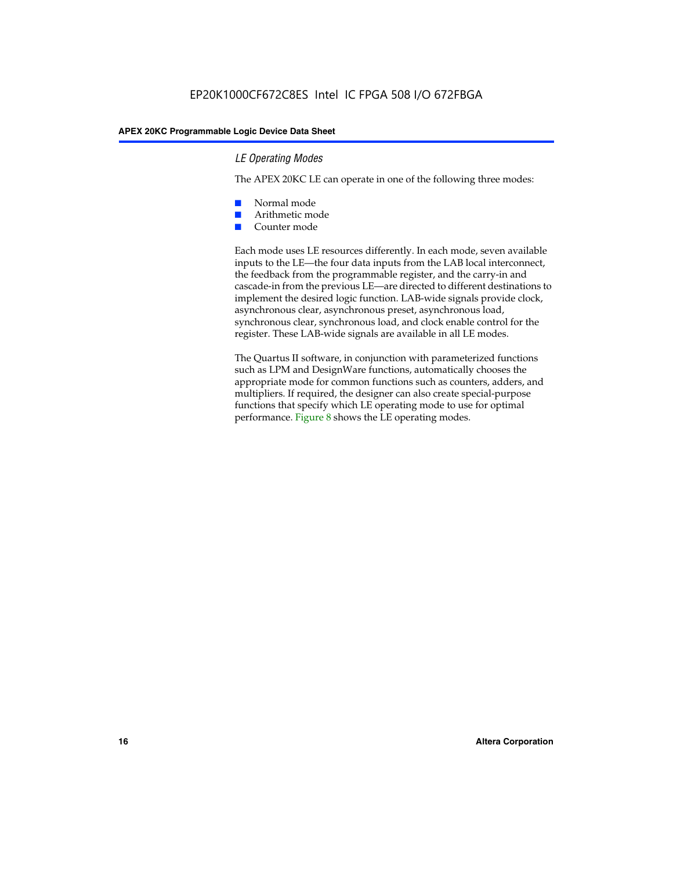#### *LE Operating Modes*

The APEX 20KC LE can operate in one of the following three modes:

- Normal mode
- Arithmetic mode
- Counter mode

Each mode uses LE resources differently. In each mode, seven available inputs to the LE—the four data inputs from the LAB local interconnect, the feedback from the programmable register, and the carry-in and cascade-in from the previous LE—are directed to different destinations to implement the desired logic function. LAB-wide signals provide clock, asynchronous clear, asynchronous preset, asynchronous load, synchronous clear, synchronous load, and clock enable control for the register. These LAB-wide signals are available in all LE modes.

The Quartus II software, in conjunction with parameterized functions such as LPM and DesignWare functions, automatically chooses the appropriate mode for common functions such as counters, adders, and multipliers. If required, the designer can also create special-purpose functions that specify which LE operating mode to use for optimal performance. Figure 8 shows the LE operating modes.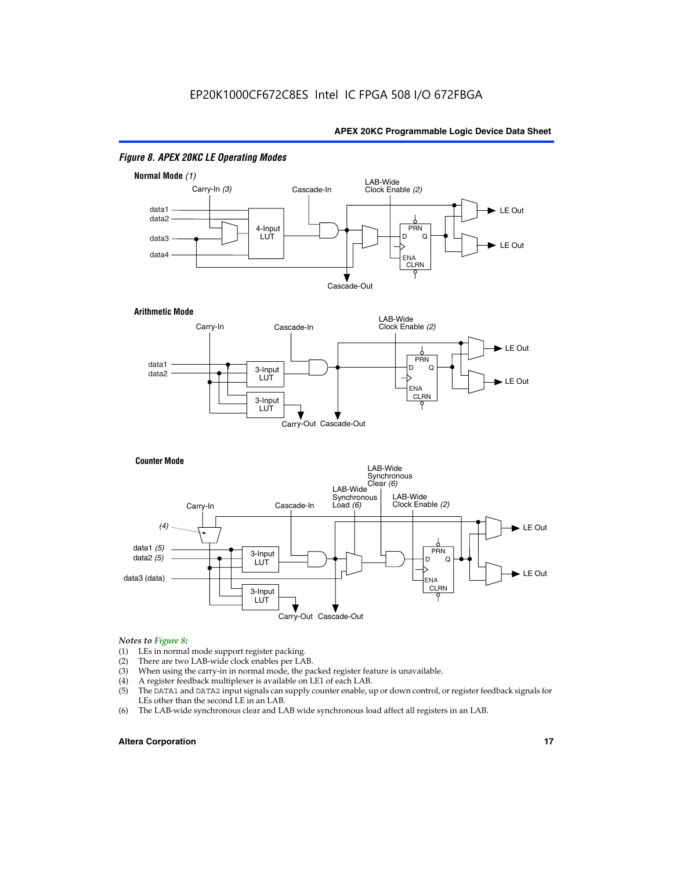

#### *Figure 8. APEX 20KC LE Operating Modes*

## *Notes to Figure 8:*

- (1) LEs in normal mode support register packing.<br>(2) There are two LAB-wide clock enables per LA
- (2) There are two LAB-wide clock enables per LAB.<br>(3) When using the carry-in in normal mode, the pa
- When using the carry-in in normal mode, the packed register feature is unavailable.
- (4) A register feedback multiplexer is available on LE1 of each LAB.
- (5) The DATA1 and DATA2 input signals can supply counter enable, up or down control, or register feedback signals for LEs other than the second LE in an LAB.
- (6) The LAB-wide synchronous clear and LAB wide synchronous load affect all registers in an LAB.

#### **Altera Corporation 17 17**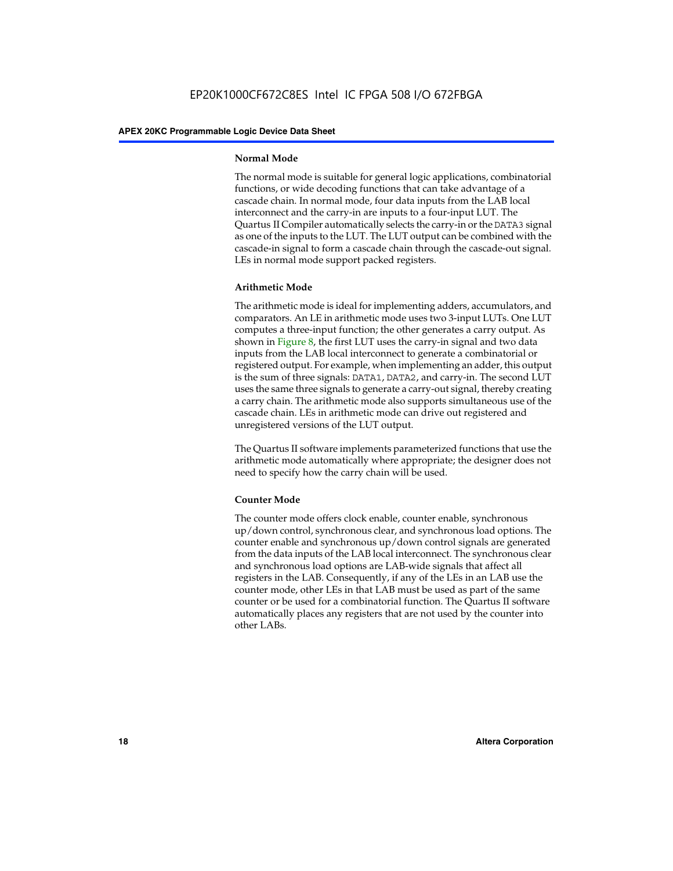#### **Normal Mode**

The normal mode is suitable for general logic applications, combinatorial functions, or wide decoding functions that can take advantage of a cascade chain. In normal mode, four data inputs from the LAB local interconnect and the carry-in are inputs to a four-input LUT. The Quartus II Compiler automatically selects the carry-in or the DATA3 signal as one of the inputs to the LUT. The LUT output can be combined with the cascade-in signal to form a cascade chain through the cascade-out signal. LEs in normal mode support packed registers.

#### **Arithmetic Mode**

The arithmetic mode is ideal for implementing adders, accumulators, and comparators. An LE in arithmetic mode uses two 3-input LUTs. One LUT computes a three-input function; the other generates a carry output. As shown in Figure 8, the first LUT uses the carry-in signal and two data inputs from the LAB local interconnect to generate a combinatorial or registered output. For example, when implementing an adder, this output is the sum of three signals: DATA1, DATA2, and carry-in. The second LUT uses the same three signals to generate a carry-out signal, thereby creating a carry chain. The arithmetic mode also supports simultaneous use of the cascade chain. LEs in arithmetic mode can drive out registered and unregistered versions of the LUT output.

The Quartus II software implements parameterized functions that use the arithmetic mode automatically where appropriate; the designer does not need to specify how the carry chain will be used.

#### **Counter Mode**

The counter mode offers clock enable, counter enable, synchronous up/down control, synchronous clear, and synchronous load options. The counter enable and synchronous up/down control signals are generated from the data inputs of the LAB local interconnect. The synchronous clear and synchronous load options are LAB-wide signals that affect all registers in the LAB. Consequently, if any of the LEs in an LAB use the counter mode, other LEs in that LAB must be used as part of the same counter or be used for a combinatorial function. The Quartus II software automatically places any registers that are not used by the counter into other LABs.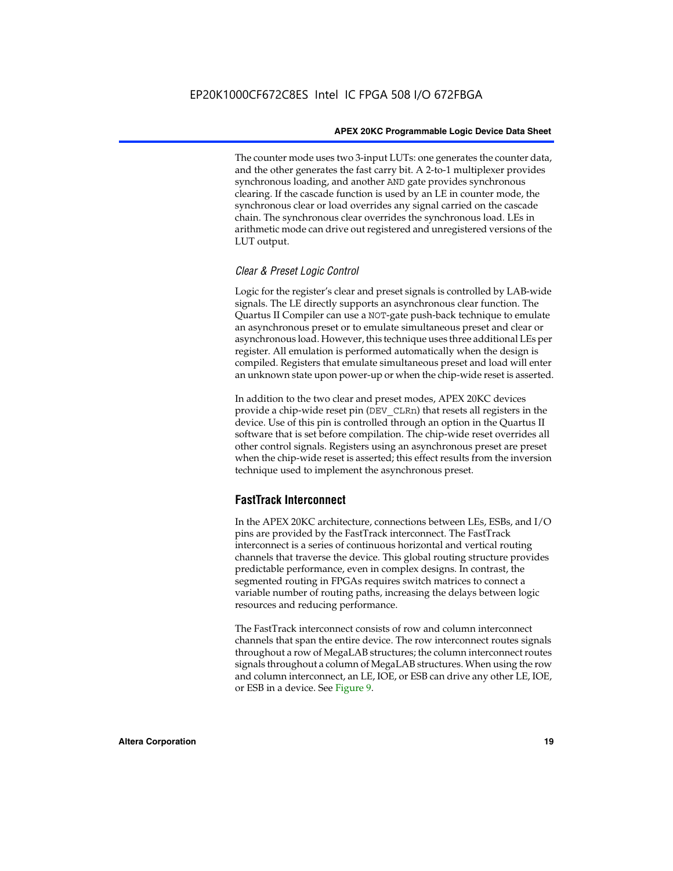The counter mode uses two 3-input LUTs: one generates the counter data, and the other generates the fast carry bit. A 2-to-1 multiplexer provides synchronous loading, and another AND gate provides synchronous clearing. If the cascade function is used by an LE in counter mode, the synchronous clear or load overrides any signal carried on the cascade chain. The synchronous clear overrides the synchronous load. LEs in arithmetic mode can drive out registered and unregistered versions of the LUT output.

#### *Clear & Preset Logic Control*

Logic for the register's clear and preset signals is controlled by LAB-wide signals. The LE directly supports an asynchronous clear function. The Quartus II Compiler can use a NOT-gate push-back technique to emulate an asynchronous preset or to emulate simultaneous preset and clear or asynchronous load. However, this technique uses three additional LEs per register. All emulation is performed automatically when the design is compiled. Registers that emulate simultaneous preset and load will enter an unknown state upon power-up or when the chip-wide reset is asserted.

In addition to the two clear and preset modes, APEX 20KC devices provide a chip-wide reset pin (DEV\_CLRn) that resets all registers in the device. Use of this pin is controlled through an option in the Quartus II software that is set before compilation. The chip-wide reset overrides all other control signals. Registers using an asynchronous preset are preset when the chip-wide reset is asserted; this effect results from the inversion technique used to implement the asynchronous preset.

#### **FastTrack Interconnect**

In the APEX 20KC architecture, connections between LEs, ESBs, and I/O pins are provided by the FastTrack interconnect. The FastTrack interconnect is a series of continuous horizontal and vertical routing channels that traverse the device. This global routing structure provides predictable performance, even in complex designs. In contrast, the segmented routing in FPGAs requires switch matrices to connect a variable number of routing paths, increasing the delays between logic resources and reducing performance.

The FastTrack interconnect consists of row and column interconnect channels that span the entire device. The row interconnect routes signals throughout a row of MegaLAB structures; the column interconnect routes signals throughout a column of MegaLAB structures. When using the row and column interconnect, an LE, IOE, or ESB can drive any other LE, IOE, or ESB in a device. See Figure 9.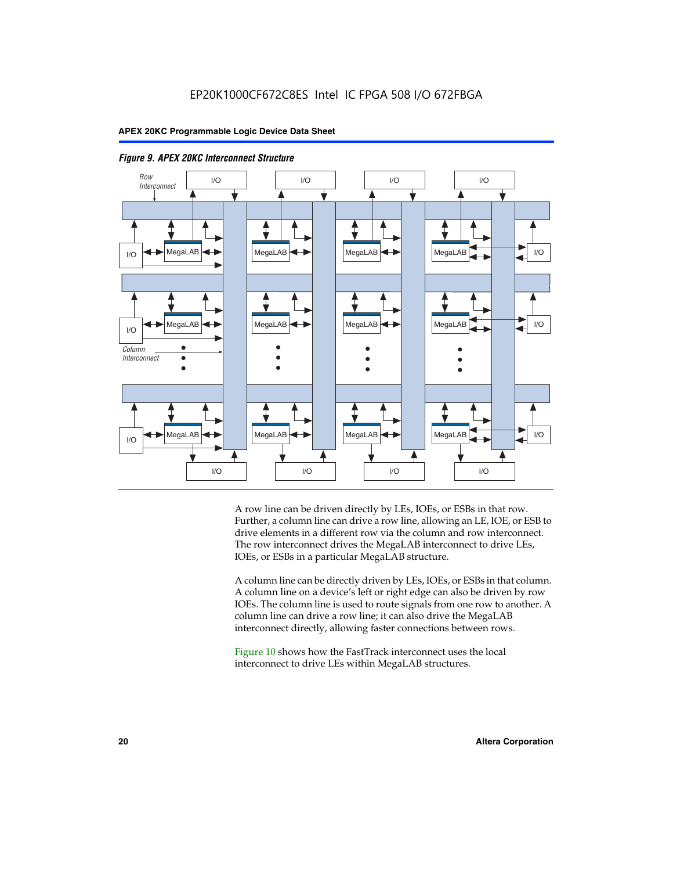



A row line can be driven directly by LEs, IOEs, or ESBs in that row. Further, a column line can drive a row line, allowing an LE, IOE, or ESB to drive elements in a different row via the column and row interconnect. The row interconnect drives the MegaLAB interconnect to drive LEs, IOEs, or ESBs in a particular MegaLAB structure.

A column line can be directly driven by LEs, IOEs, or ESBs in that column. A column line on a device's left or right edge can also be driven by row IOEs. The column line is used to route signals from one row to another. A column line can drive a row line; it can also drive the MegaLAB interconnect directly, allowing faster connections between rows.

Figure 10 shows how the FastTrack interconnect uses the local interconnect to drive LEs within MegaLAB structures.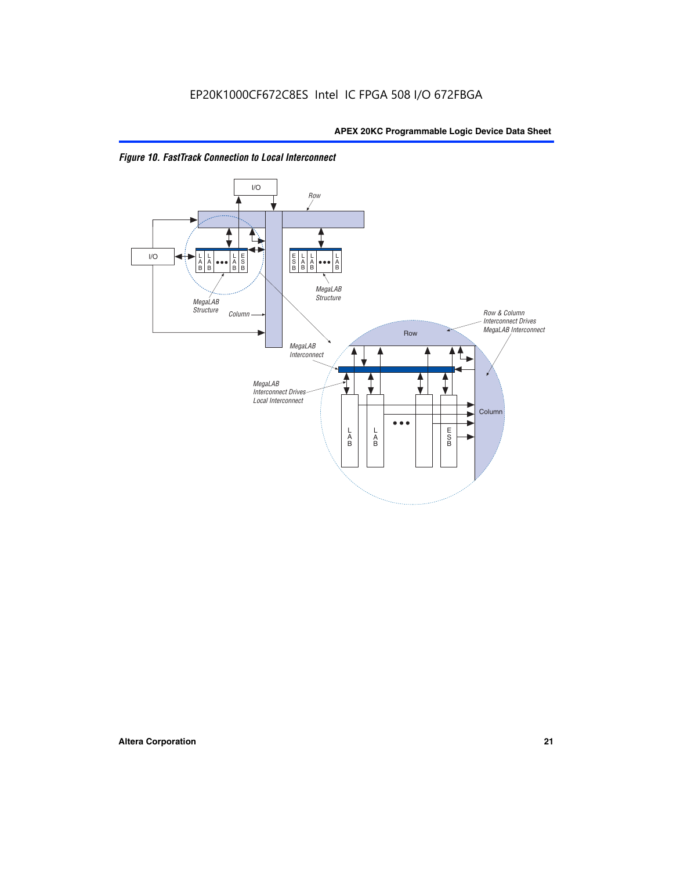

*Figure 10. FastTrack Connection to Local Interconnect*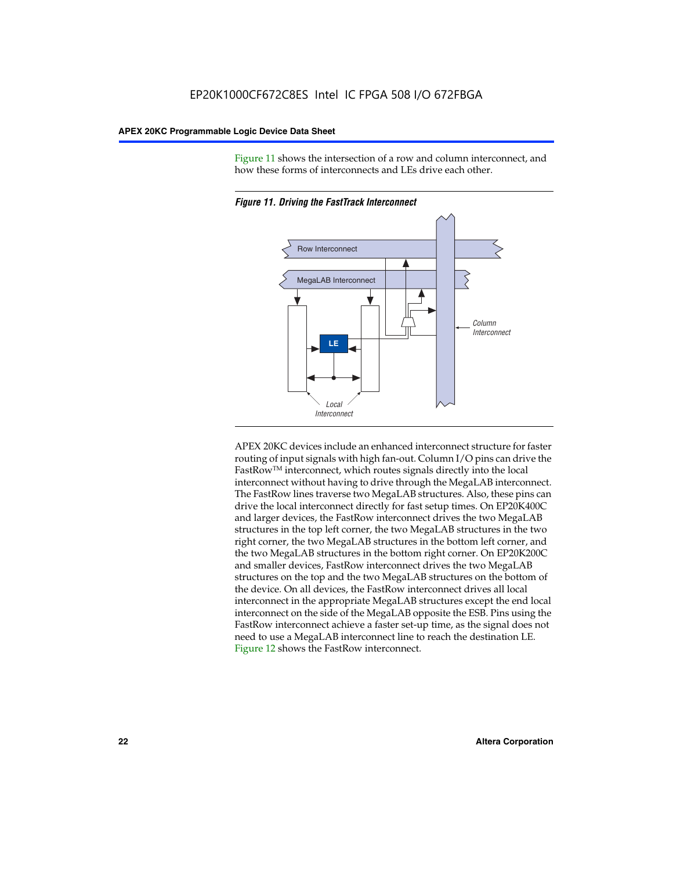Figure 11 shows the intersection of a row and column interconnect, and how these forms of interconnects and LEs drive each other.



*Figure 11. Driving the FastTrack Interconnect*

APEX 20KC devices include an enhanced interconnect structure for faster routing of input signals with high fan-out. Column I/O pins can drive the FastRowTM interconnect, which routes signals directly into the local interconnect without having to drive through the MegaLAB interconnect. The FastRow lines traverse two MegaLAB structures. Also, these pins can drive the local interconnect directly for fast setup times. On EP20K400C and larger devices, the FastRow interconnect drives the two MegaLAB structures in the top left corner, the two MegaLAB structures in the two right corner, the two MegaLAB structures in the bottom left corner, and the two MegaLAB structures in the bottom right corner. On EP20K200C and smaller devices, FastRow interconnect drives the two MegaLAB structures on the top and the two MegaLAB structures on the bottom of the device. On all devices, the FastRow interconnect drives all local interconnect in the appropriate MegaLAB structures except the end local interconnect on the side of the MegaLAB opposite the ESB. Pins using the FastRow interconnect achieve a faster set-up time, as the signal does not need to use a MegaLAB interconnect line to reach the destination LE. Figure 12 shows the FastRow interconnect.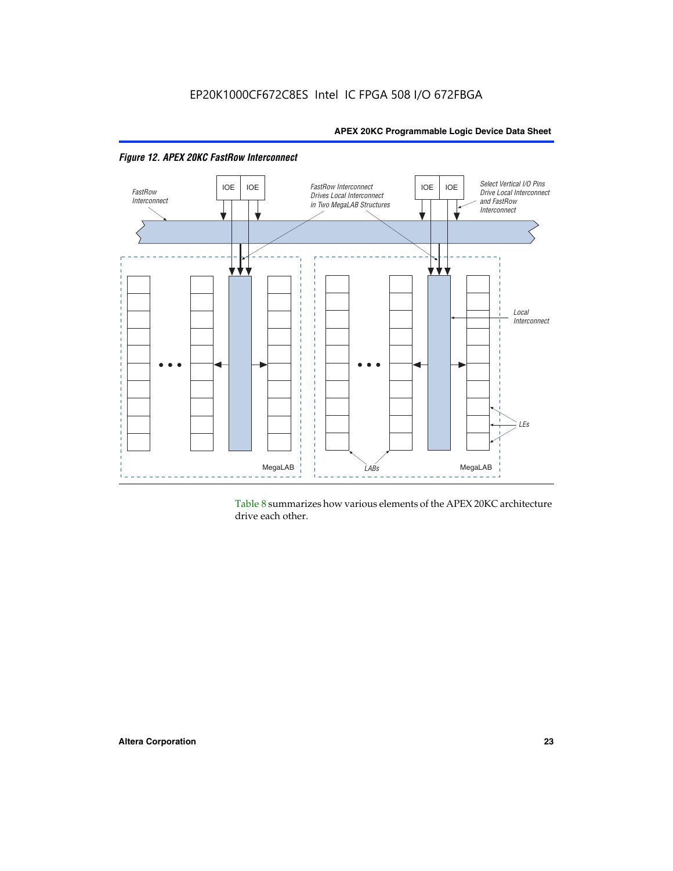

*Figure 12. APEX 20KC FastRow Interconnect*

Table 8 summarizes how various elements of the APEX 20KC architecture drive each other.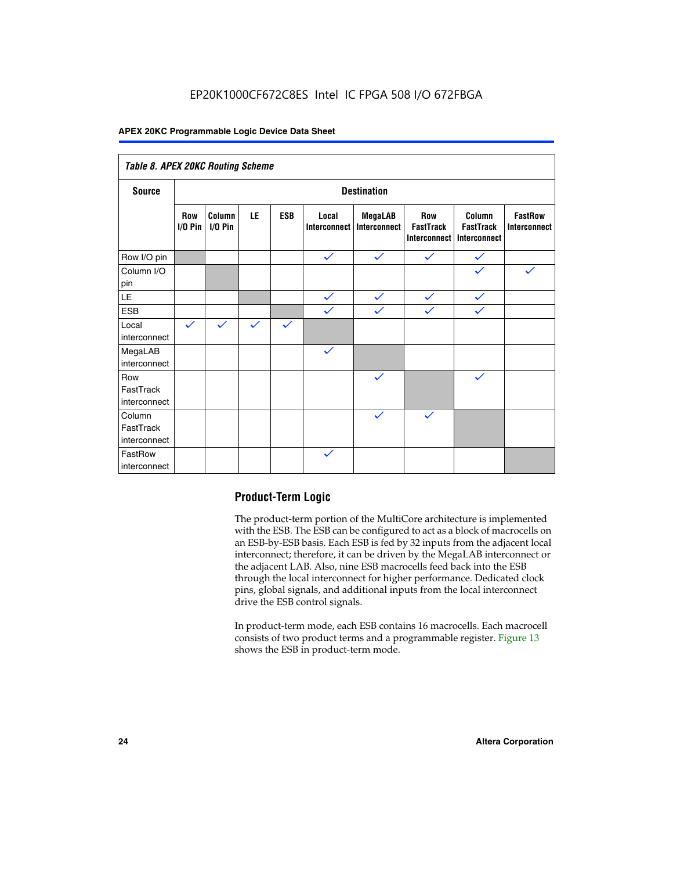| Table 8. APEX 20KC Routing Scheme   |                          |                     |              |              |                       |                         |                                                |                                            |                                       |
|-------------------------------------|--------------------------|---------------------|--------------|--------------|-----------------------|-------------------------|------------------------------------------------|--------------------------------------------|---------------------------------------|
| <b>Source</b>                       | <b>Destination</b>       |                     |              |              |                       |                         |                                                |                                            |                                       |
|                                     | <b>Row</b><br>$I/O P$ in | Column<br>$I/O$ Pin | LE           | <b>ESB</b>   | Local<br>Interconnect | MegaLAB<br>Interconnect | <b>Row</b><br><b>FastTrack</b><br>Interconnect | Column<br><b>FastTrack</b><br>Interconnect | <b>FastRow</b><br><b>Interconnect</b> |
| Row I/O pin                         |                          |                     |              |              | $\checkmark$          | $\checkmark$            | $\checkmark$                                   | $\checkmark$                               |                                       |
| Column I/O<br>pin                   |                          |                     |              |              |                       |                         |                                                | $\checkmark$                               | $\checkmark$                          |
| $\mathsf{LE}\,$                     |                          |                     |              |              | $\checkmark$          | $\checkmark$            | $\checkmark$                                   | $\checkmark$                               |                                       |
| <b>ESB</b>                          |                          |                     |              |              | $\checkmark$          | $\checkmark$            | $\checkmark$                                   | $\checkmark$                               |                                       |
| Local<br>interconnect               | $\checkmark$             | $\checkmark$        | $\checkmark$ | $\checkmark$ |                       |                         |                                                |                                            |                                       |
| MegaLAB<br>interconnect             |                          |                     |              |              | $\checkmark$          |                         |                                                |                                            |                                       |
| Row<br>FastTrack<br>interconnect    |                          |                     |              |              |                       | $\checkmark$            |                                                | $\checkmark$                               |                                       |
| Column<br>FastTrack<br>interconnect |                          |                     |              |              |                       | $\checkmark$            | $\checkmark$                                   |                                            |                                       |
| FastRow<br>interconnect             |                          |                     |              |              | $\checkmark$          |                         |                                                |                                            |                                       |

### **Product-Term Logic**

The product-term portion of the MultiCore architecture is implemented with the ESB. The ESB can be configured to act as a block of macrocells on an ESB-by-ESB basis. Each ESB is fed by 32 inputs from the adjacent local interconnect; therefore, it can be driven by the MegaLAB interconnect or the adjacent LAB. Also, nine ESB macrocells feed back into the ESB through the local interconnect for higher performance. Dedicated clock pins, global signals, and additional inputs from the local interconnect drive the ESB control signals.

In product-term mode, each ESB contains 16 macrocells. Each macrocell consists of two product terms and a programmable register. Figure 13 shows the ESB in product-term mode.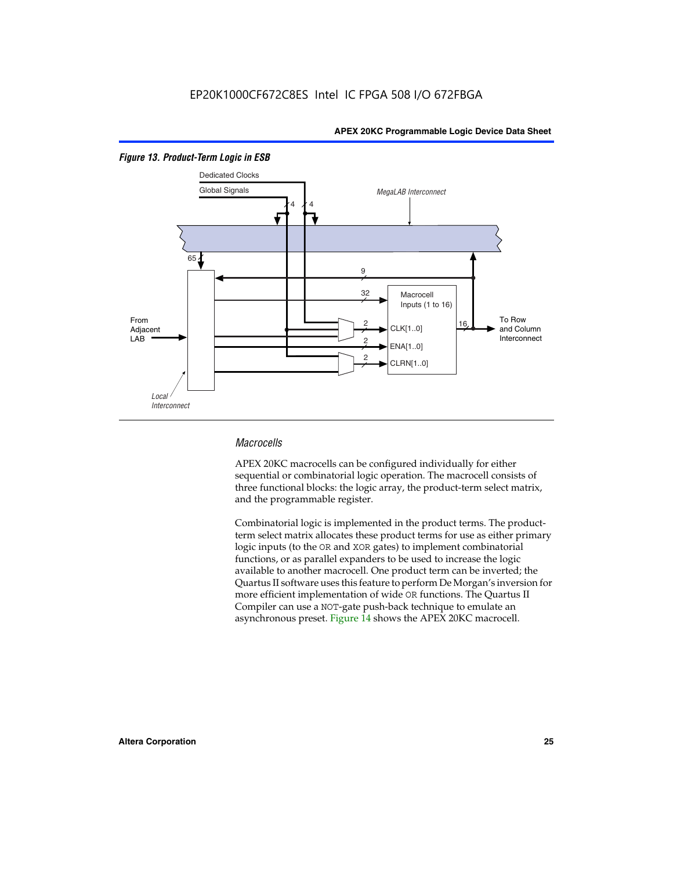

#### *Figure 13. Product-Term Logic in ESB*

#### *Macrocells*

APEX 20KC macrocells can be configured individually for either sequential or combinatorial logic operation. The macrocell consists of three functional blocks: the logic array, the product-term select matrix, and the programmable register.

Combinatorial logic is implemented in the product terms. The productterm select matrix allocates these product terms for use as either primary logic inputs (to the OR and XOR gates) to implement combinatorial functions, or as parallel expanders to be used to increase the logic available to another macrocell. One product term can be inverted; the Quartus II software uses this feature to perform De Morgan's inversion for more efficient implementation of wide OR functions. The Quartus II Compiler can use a NOT-gate push-back technique to emulate an asynchronous preset. Figure 14 shows the APEX 20KC macrocell.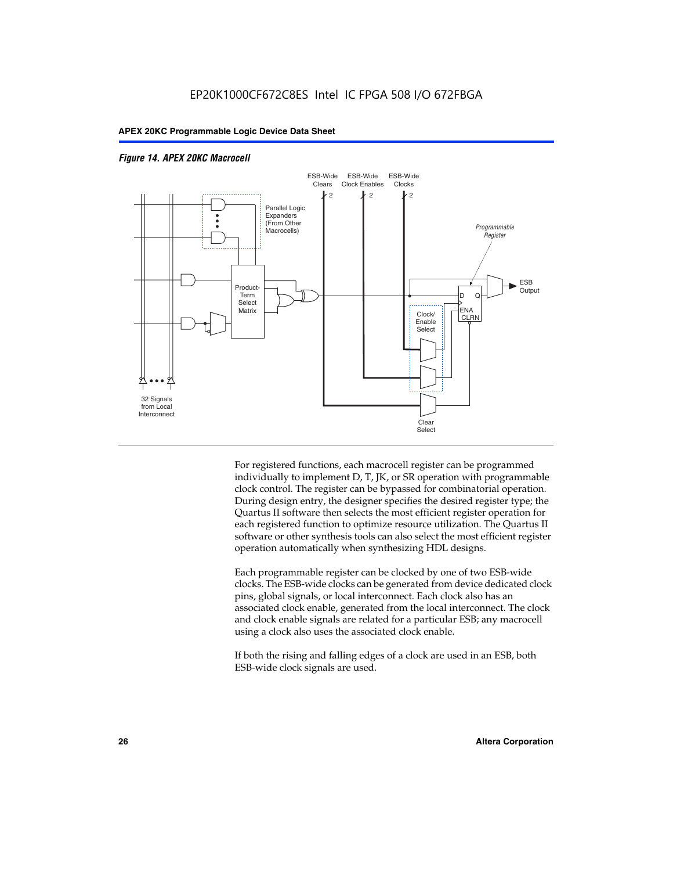

#### *Figure 14. APEX 20KC Macrocell*

For registered functions, each macrocell register can be programmed individually to implement D, T, JK, or SR operation with programmable clock control. The register can be bypassed for combinatorial operation. During design entry, the designer specifies the desired register type; the Quartus II software then selects the most efficient register operation for each registered function to optimize resource utilization. The Quartus II software or other synthesis tools can also select the most efficient register operation automatically when synthesizing HDL designs.

Each programmable register can be clocked by one of two ESB-wide clocks. The ESB-wide clocks can be generated from device dedicated clock pins, global signals, or local interconnect. Each clock also has an associated clock enable, generated from the local interconnect. The clock and clock enable signals are related for a particular ESB; any macrocell using a clock also uses the associated clock enable.

If both the rising and falling edges of a clock are used in an ESB, both ESB-wide clock signals are used.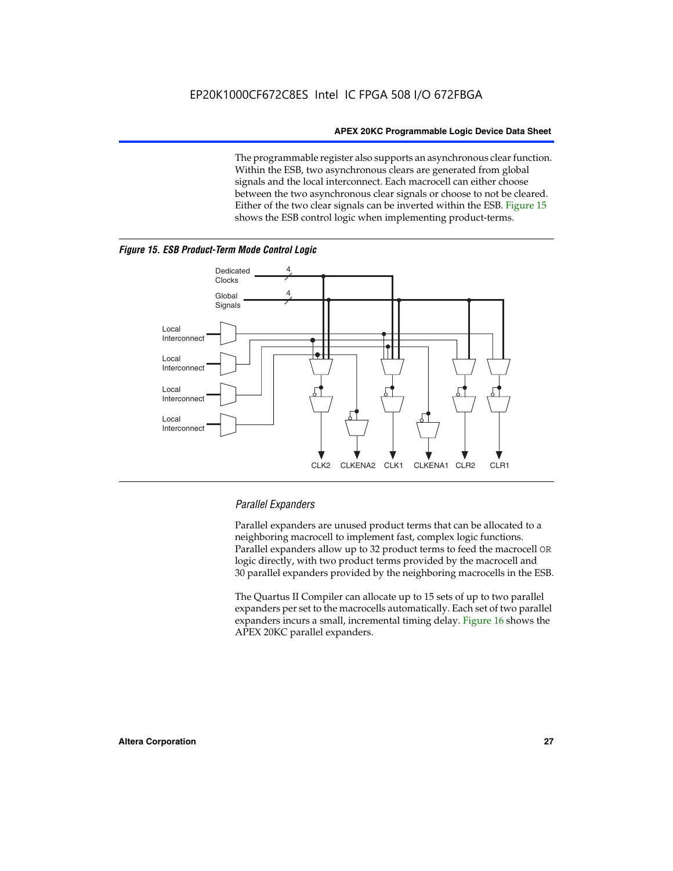The programmable register also supports an asynchronous clear function. Within the ESB, two asynchronous clears are generated from global signals and the local interconnect. Each macrocell can either choose between the two asynchronous clear signals or choose to not be cleared. Either of the two clear signals can be inverted within the ESB. Figure 15 shows the ESB control logic when implementing product-terms.



*Figure 15. ESB Product-Term Mode Control Logic*

#### *Parallel Expanders*

Parallel expanders are unused product terms that can be allocated to a neighboring macrocell to implement fast, complex logic functions. Parallel expanders allow up to 32 product terms to feed the macrocell OR logic directly, with two product terms provided by the macrocell and 30 parallel expanders provided by the neighboring macrocells in the ESB.

The Quartus II Compiler can allocate up to 15 sets of up to two parallel expanders per set to the macrocells automatically. Each set of two parallel expanders incurs a small, incremental timing delay. Figure 16 shows the APEX 20KC parallel expanders.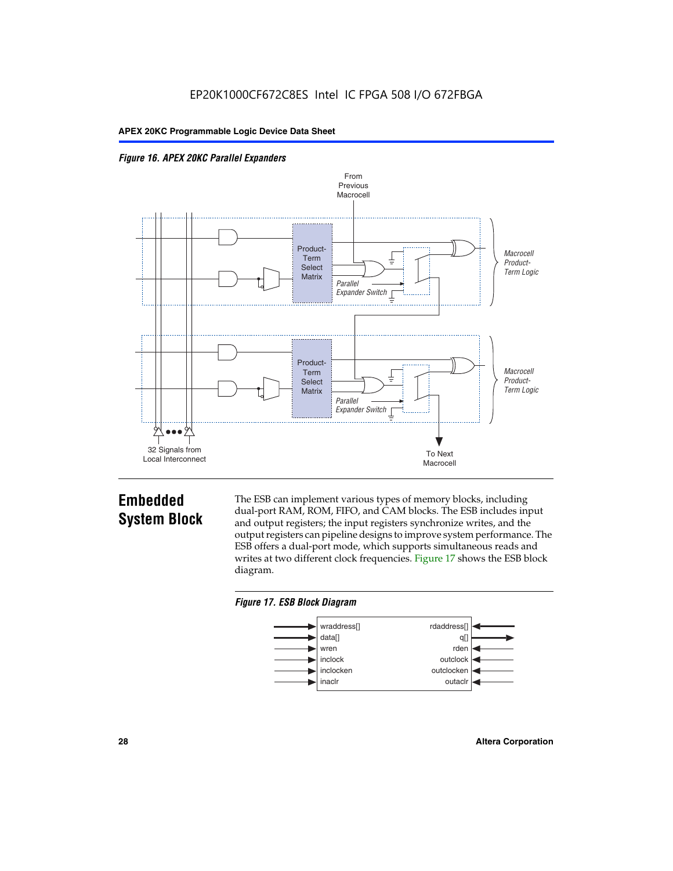



## **Embedded System Block**

The ESB can implement various types of memory blocks, including dual-port RAM, ROM, FIFO, and CAM blocks. The ESB includes input and output registers; the input registers synchronize writes, and the output registers can pipeline designs to improve system performance. The ESB offers a dual-port mode, which supports simultaneous reads and writes at two different clock frequencies. Figure 17 shows the ESB block diagram.



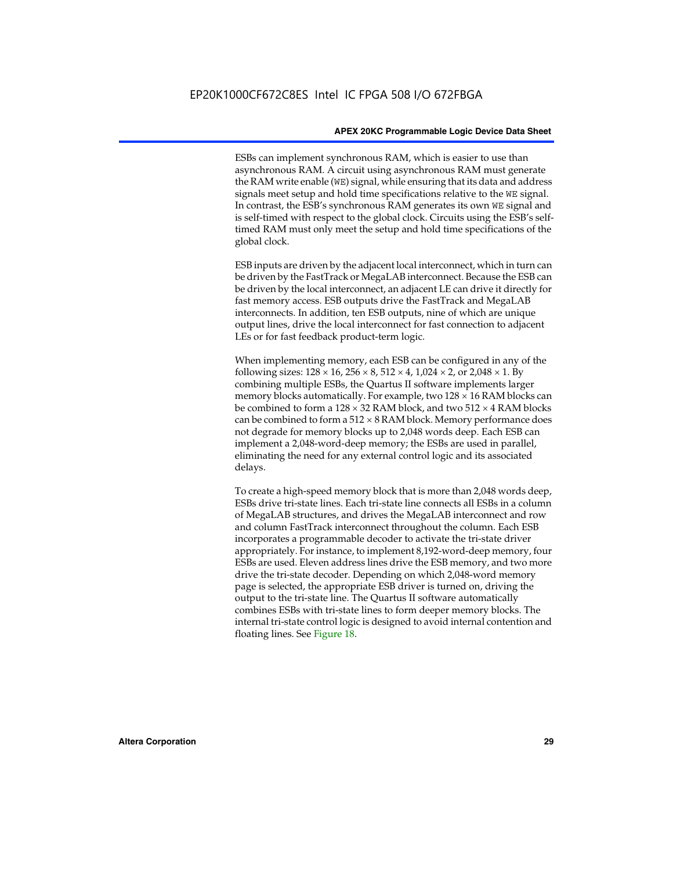ESBs can implement synchronous RAM, which is easier to use than asynchronous RAM. A circuit using asynchronous RAM must generate the RAM write enable (WE) signal, while ensuring that its data and address signals meet setup and hold time specifications relative to the WE signal. In contrast, the ESB's synchronous RAM generates its own WE signal and is self-timed with respect to the global clock. Circuits using the ESB's selftimed RAM must only meet the setup and hold time specifications of the global clock.

ESB inputs are driven by the adjacent local interconnect, which in turn can be driven by the FastTrack or MegaLAB interconnect. Because the ESB can be driven by the local interconnect, an adjacent LE can drive it directly for fast memory access. ESB outputs drive the FastTrack and MegaLAB interconnects. In addition, ten ESB outputs, nine of which are unique output lines, drive the local interconnect for fast connection to adjacent LEs or for fast feedback product-term logic.

When implementing memory, each ESB can be configured in any of the following sizes:  $128 \times 16$ ,  $256 \times 8$ ,  $512 \times 4$ ,  $1,024 \times 2$ , or  $2,048 \times 1$ . By combining multiple ESBs, the Quartus II software implements larger memory blocks automatically. For example, two  $128 \times 16$  RAM blocks can be combined to form a  $128 \times 32$  RAM block, and two  $512 \times 4$  RAM blocks can be combined to form a  $512 \times 8$  RAM block. Memory performance does not degrade for memory blocks up to 2,048 words deep. Each ESB can implement a 2,048-word-deep memory; the ESBs are used in parallel, eliminating the need for any external control logic and its associated delays.

To create a high-speed memory block that is more than 2,048 words deep, ESBs drive tri-state lines. Each tri-state line connects all ESBs in a column of MegaLAB structures, and drives the MegaLAB interconnect and row and column FastTrack interconnect throughout the column. Each ESB incorporates a programmable decoder to activate the tri-state driver appropriately. For instance, to implement 8,192-word-deep memory, four ESBs are used. Eleven address lines drive the ESB memory, and two more drive the tri-state decoder. Depending on which 2,048-word memory page is selected, the appropriate ESB driver is turned on, driving the output to the tri-state line. The Quartus II software automatically combines ESBs with tri-state lines to form deeper memory blocks. The internal tri-state control logic is designed to avoid internal contention and floating lines. See Figure 18.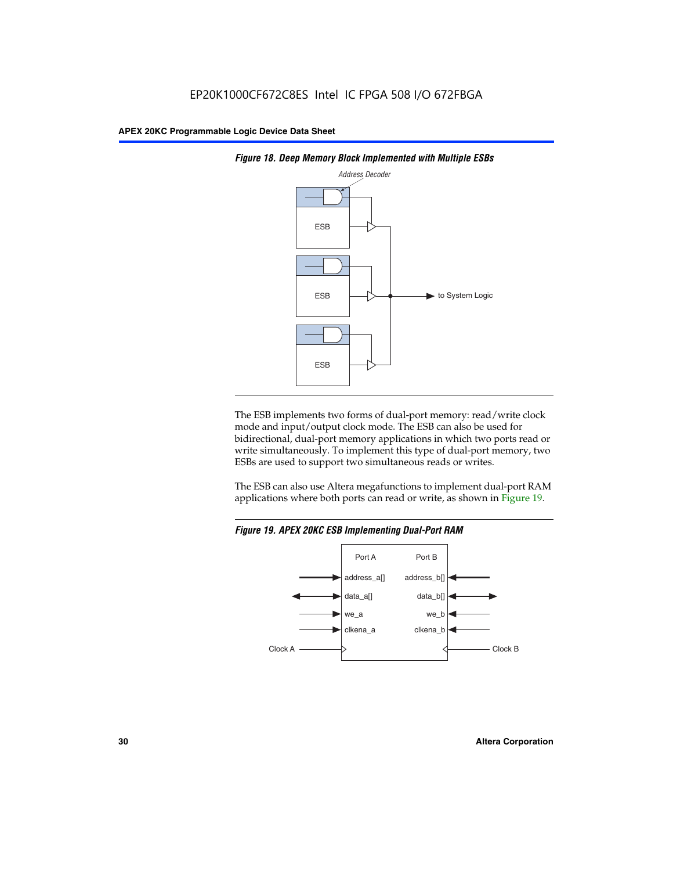



The ESB implements two forms of dual-port memory: read/write clock mode and input/output clock mode. The ESB can also be used for bidirectional, dual-port memory applications in which two ports read or write simultaneously. To implement this type of dual-port memory, two ESBs are used to support two simultaneous reads or writes.

The ESB can also use Altera megafunctions to implement dual-port RAM applications where both ports can read or write, as shown in Figure 19.



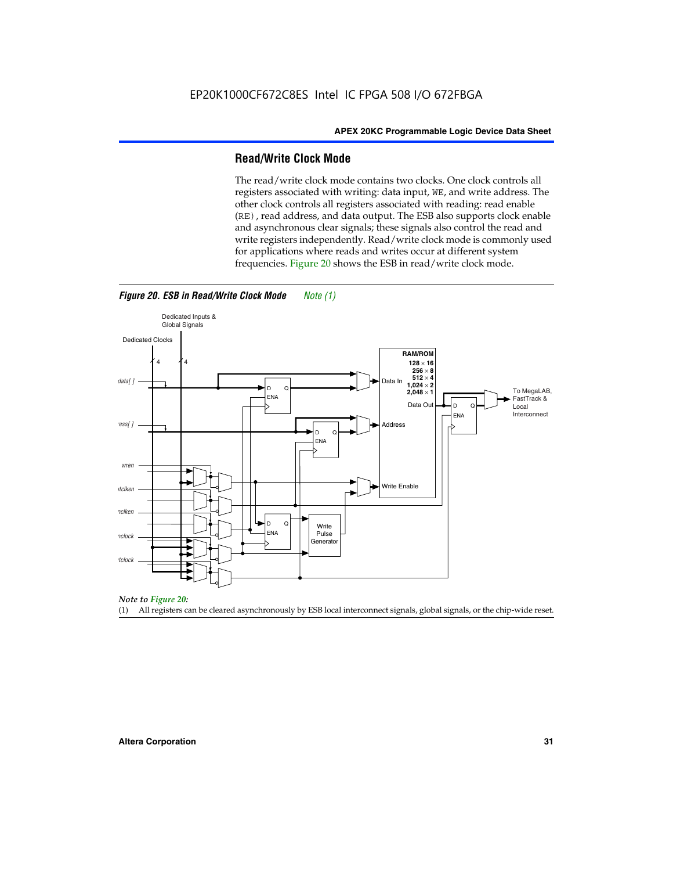#### **Read/Write Clock Mode**

The read/write clock mode contains two clocks. One clock controls all registers associated with writing: data input, WE, and write address. The other clock controls all registers associated with reading: read enable (RE), read address, and data output. The ESB also supports clock enable and asynchronous clear signals; these signals also control the read and write registers independently. Read/write clock mode is commonly used for applications where reads and writes occur at different system frequencies. Figure 20 shows the ESB in read/write clock mode.



#### *Figure 20. ESB in Read/Write Clock Mode Note (1)*

*Note to Figure 20:*

(1) All registers can be cleared asynchronously by ESB local interconnect signals, global signals, or the chip-wide reset.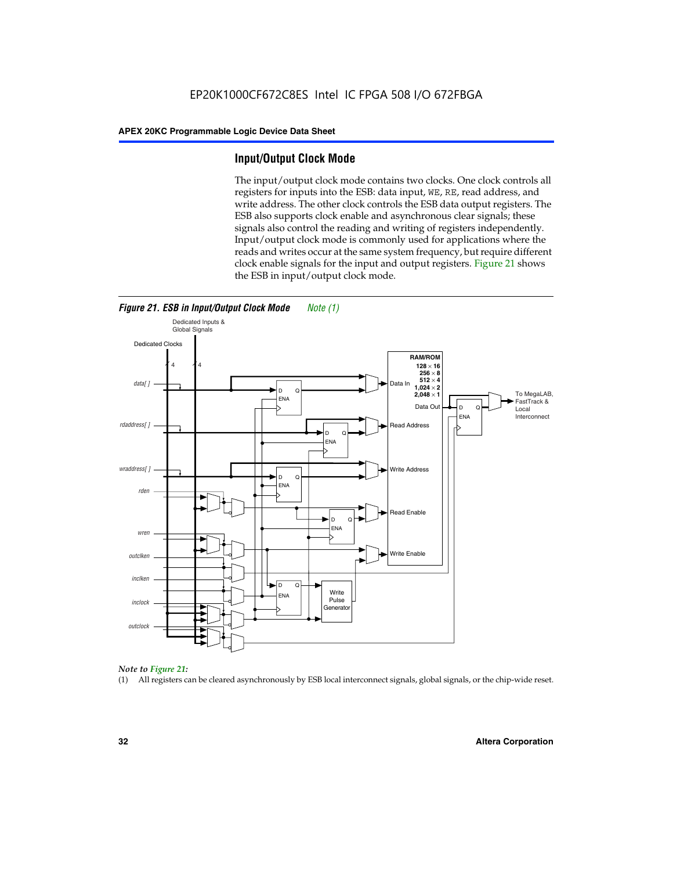#### **Input/Output Clock Mode**

The input/output clock mode contains two clocks. One clock controls all registers for inputs into the ESB: data input, WE, RE, read address, and write address. The other clock controls the ESB data output registers. The ESB also supports clock enable and asynchronous clear signals; these signals also control the reading and writing of registers independently. Input/output clock mode is commonly used for applications where the reads and writes occur at the same system frequency, but require different clock enable signals for the input and output registers. Figure 21 shows the ESB in input/output clock mode.





#### *Note to Figure 21:*

(1) All registers can be cleared asynchronously by ESB local interconnect signals, global signals, or the chip-wide reset.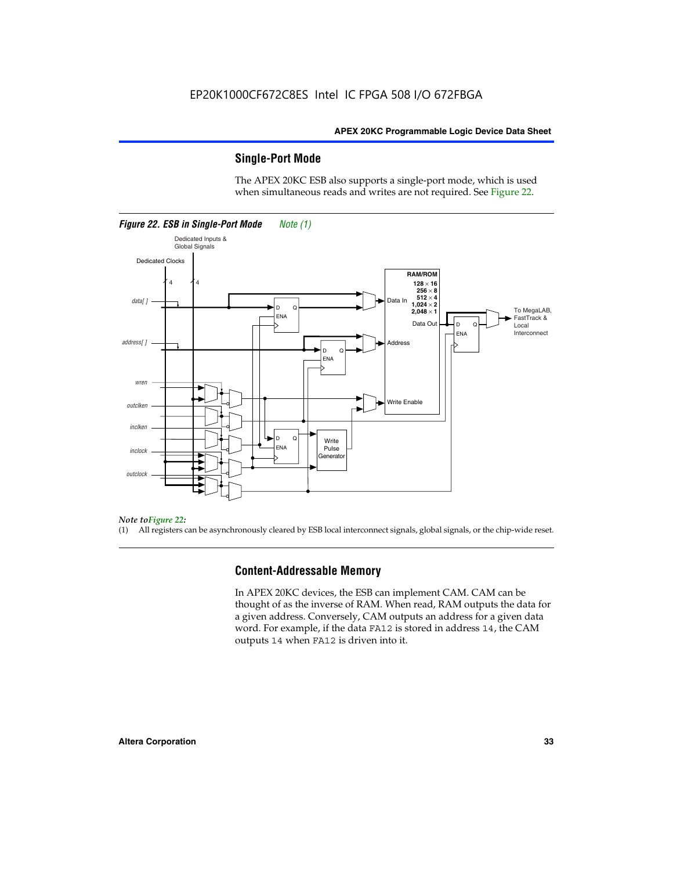#### **Single-Port Mode**

The APEX 20KC ESB also supports a single-port mode, which is used when simultaneous reads and writes are not required. See Figure 22.



#### *Note toFigure 22:*

(1) All registers can be asynchronously cleared by ESB local interconnect signals, global signals, or the chip-wide reset.

#### **Content-Addressable Memory**

In APEX 20KC devices, the ESB can implement CAM. CAM can be thought of as the inverse of RAM. When read, RAM outputs the data for a given address. Conversely, CAM outputs an address for a given data word. For example, if the data FA12 is stored in address 14, the CAM outputs 14 when FA12 is driven into it.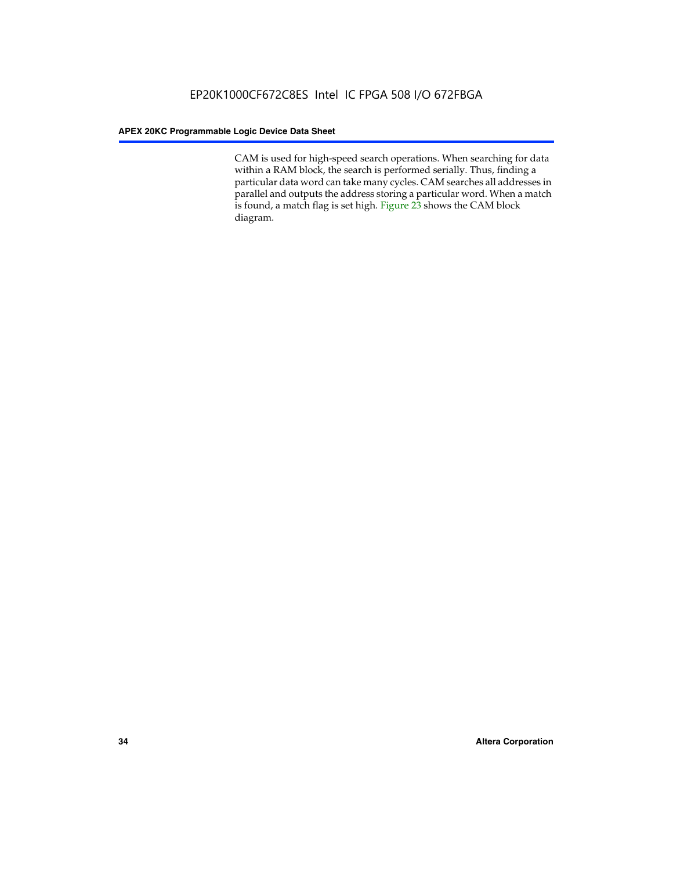CAM is used for high-speed search operations. When searching for data within a RAM block, the search is performed serially. Thus, finding a particular data word can take many cycles. CAM searches all addresses in parallel and outputs the address storing a particular word. When a match is found, a match flag is set high. Figure 23 shows the CAM block diagram.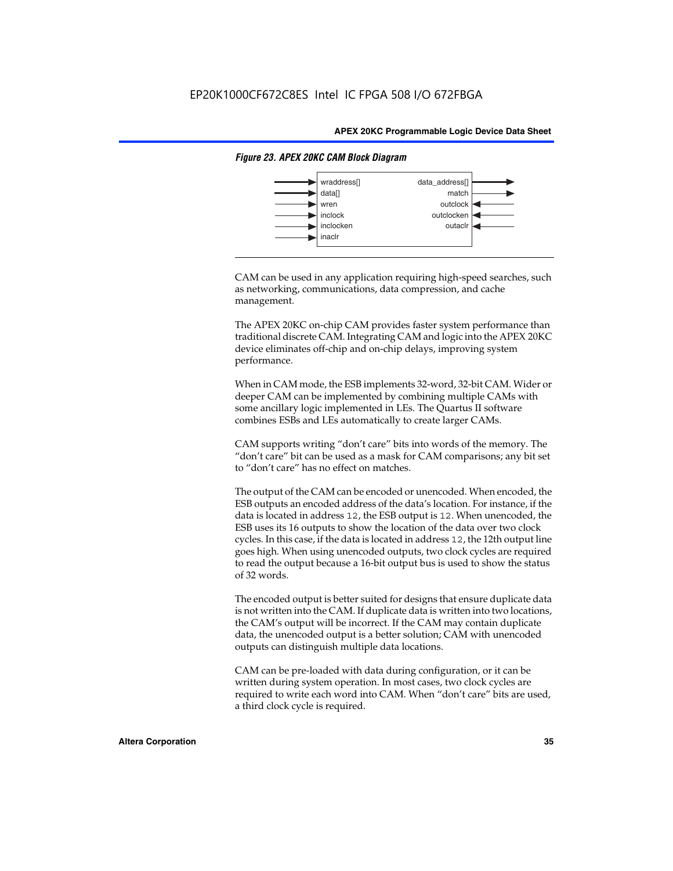

#### *Figure 23. APEX 20KC CAM Block Diagram*

CAM can be used in any application requiring high-speed searches, such as networking, communications, data compression, and cache management.

The APEX 20KC on-chip CAM provides faster system performance than traditional discrete CAM. Integrating CAM and logic into the APEX 20KC device eliminates off-chip and on-chip delays, improving system performance.

When in CAM mode, the ESB implements 32-word, 32-bit CAM. Wider or deeper CAM can be implemented by combining multiple CAMs with some ancillary logic implemented in LEs. The Quartus II software combines ESBs and LEs automatically to create larger CAMs.

CAM supports writing "don't care" bits into words of the memory. The "don't care" bit can be used as a mask for CAM comparisons; any bit set to "don't care" has no effect on matches.

The output of the CAM can be encoded or unencoded. When encoded, the ESB outputs an encoded address of the data's location. For instance, if the data is located in address 12, the ESB output is 12. When unencoded, the ESB uses its 16 outputs to show the location of the data over two clock cycles. In this case, if the data is located in address 12, the 12th output line goes high. When using unencoded outputs, two clock cycles are required to read the output because a 16-bit output bus is used to show the status of 32 words.

The encoded output is better suited for designs that ensure duplicate data is not written into the CAM. If duplicate data is written into two locations, the CAM's output will be incorrect. If the CAM may contain duplicate data, the unencoded output is a better solution; CAM with unencoded outputs can distinguish multiple data locations.

CAM can be pre-loaded with data during configuration, or it can be written during system operation. In most cases, two clock cycles are required to write each word into CAM. When "don't care" bits are used, a third clock cycle is required.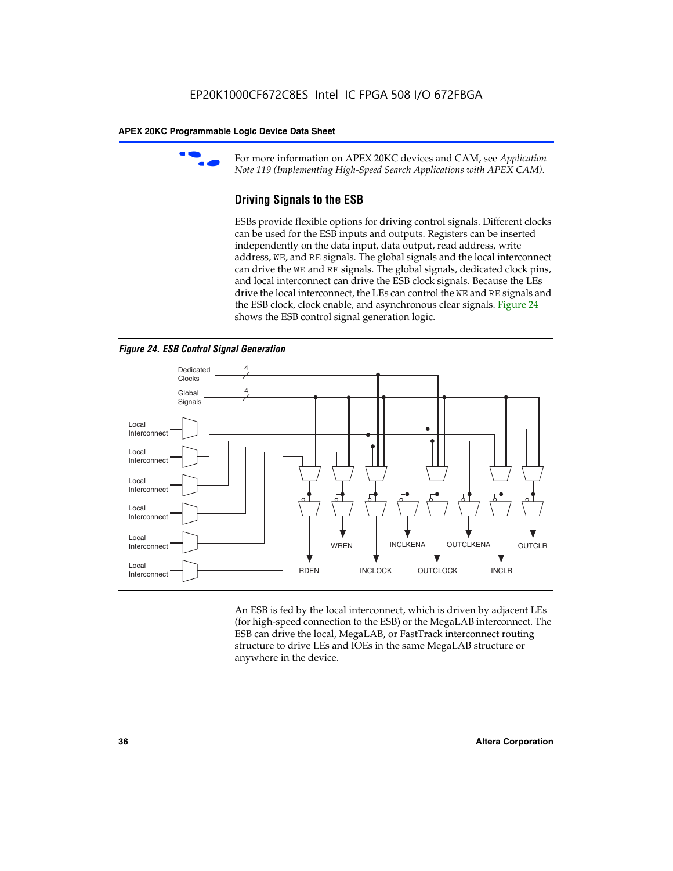

For more information on APEX 20KC devices and CAM, see *Application Note 119 (Implementing High-Speed Search Applications with APEX CAM).*

# **Driving Signals to the ESB**

ESBs provide flexible options for driving control signals. Different clocks can be used for the ESB inputs and outputs. Registers can be inserted independently on the data input, data output, read address, write address, WE, and RE signals. The global signals and the local interconnect can drive the WE and RE signals. The global signals, dedicated clock pins, and local interconnect can drive the ESB clock signals. Because the LEs drive the local interconnect, the LEs can control the WE and RE signals and the ESB clock, clock enable, and asynchronous clear signals. Figure 24 shows the ESB control signal generation logic.





An ESB is fed by the local interconnect, which is driven by adjacent LEs (for high-speed connection to the ESB) or the MegaLAB interconnect. The ESB can drive the local, MegaLAB, or FastTrack interconnect routing structure to drive LEs and IOEs in the same MegaLAB structure or anywhere in the device.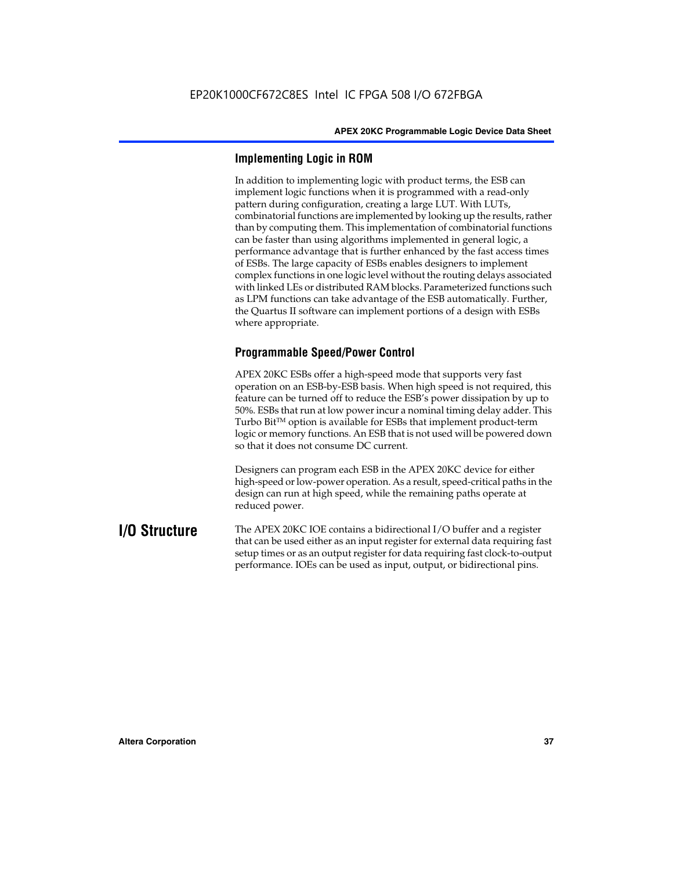## **Implementing Logic in ROM**

In addition to implementing logic with product terms, the ESB can implement logic functions when it is programmed with a read-only pattern during configuration, creating a large LUT. With LUTs, combinatorial functions are implemented by looking up the results, rather than by computing them. This implementation of combinatorial functions can be faster than using algorithms implemented in general logic, a performance advantage that is further enhanced by the fast access times of ESBs. The large capacity of ESBs enables designers to implement complex functions in one logic level without the routing delays associated with linked LEs or distributed RAM blocks. Parameterized functions such as LPM functions can take advantage of the ESB automatically. Further, the Quartus II software can implement portions of a design with ESBs where appropriate.

# **Programmable Speed/Power Control**

APEX 20KC ESBs offer a high-speed mode that supports very fast operation on an ESB-by-ESB basis. When high speed is not required, this feature can be turned off to reduce the ESB's power dissipation by up to 50%. ESBs that run at low power incur a nominal timing delay adder. This Turbo  $Bit^{TM}$  option is available for ESBs that implement product-term logic or memory functions. An ESB that is not used will be powered down so that it does not consume DC current.

Designers can program each ESB in the APEX 20KC device for either high-speed or low-power operation. As a result, speed-critical paths in the design can run at high speed, while the remaining paths operate at reduced power.

**I/O Structure** The APEX 20KC IOE contains a bidirectional I/O buffer and a register that can be used either as an input register for external data requiring fast setup times or as an output register for data requiring fast clock-to-output performance. IOEs can be used as input, output, or bidirectional pins.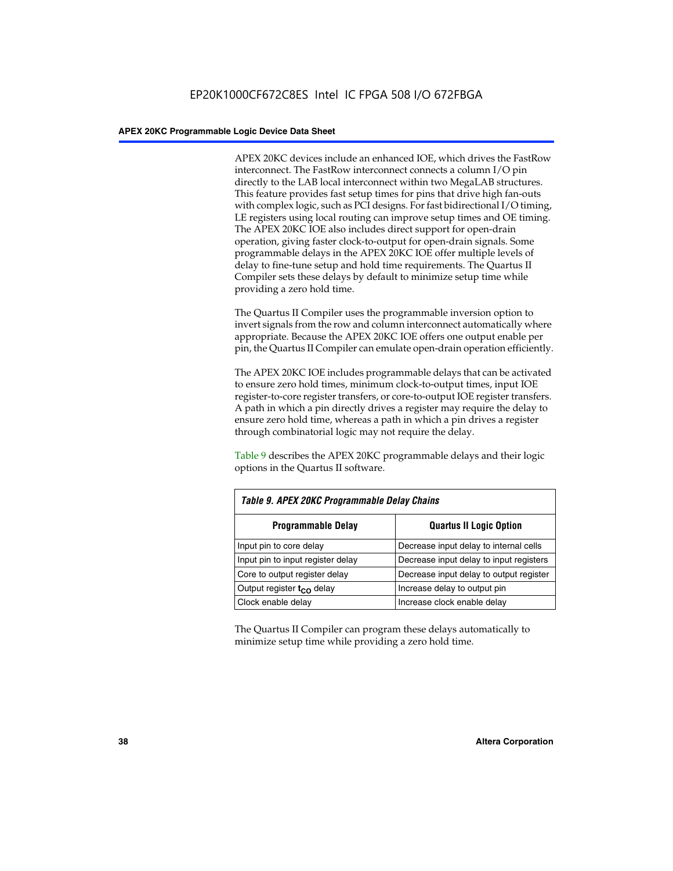APEX 20KC devices include an enhanced IOE, which drives the FastRow interconnect. The FastRow interconnect connects a column I/O pin directly to the LAB local interconnect within two MegaLAB structures. This feature provides fast setup times for pins that drive high fan-outs with complex logic, such as PCI designs. For fast bidirectional I/O timing, LE registers using local routing can improve setup times and OE timing. The APEX 20KC IOE also includes direct support for open-drain operation, giving faster clock-to-output for open-drain signals. Some programmable delays in the APEX 20KC IOE offer multiple levels of delay to fine-tune setup and hold time requirements. The Quartus II Compiler sets these delays by default to minimize setup time while providing a zero hold time.

The Quartus II Compiler uses the programmable inversion option to invert signals from the row and column interconnect automatically where appropriate. Because the APEX 20KC IOE offers one output enable per pin, the Quartus II Compiler can emulate open-drain operation efficiently.

The APEX 20KC IOE includes programmable delays that can be activated to ensure zero hold times, minimum clock-to-output times, input IOE register-to-core register transfers, or core-to-output IOE register transfers. A path in which a pin directly drives a register may require the delay to ensure zero hold time, whereas a path in which a pin drives a register through combinatorial logic may not require the delay.

Table 9 describes the APEX 20KC programmable delays and their logic options in the Quartus II software.

| Table 9. APEX 20KC Programmable Delay Chains                |                                         |  |  |  |  |
|-------------------------------------------------------------|-----------------------------------------|--|--|--|--|
| <b>Programmable Delay</b><br><b>Quartus II Logic Option</b> |                                         |  |  |  |  |
| Input pin to core delay                                     | Decrease input delay to internal cells  |  |  |  |  |
| Input pin to input register delay                           | Decrease input delay to input registers |  |  |  |  |
| Core to output register delay                               | Decrease input delay to output register |  |  |  |  |
| Output register t <sub>co</sub> delay                       | Increase delay to output pin            |  |  |  |  |
| Clock enable delay                                          | Increase clock enable delay             |  |  |  |  |

The Quartus II Compiler can program these delays automatically to minimize setup time while providing a zero hold time.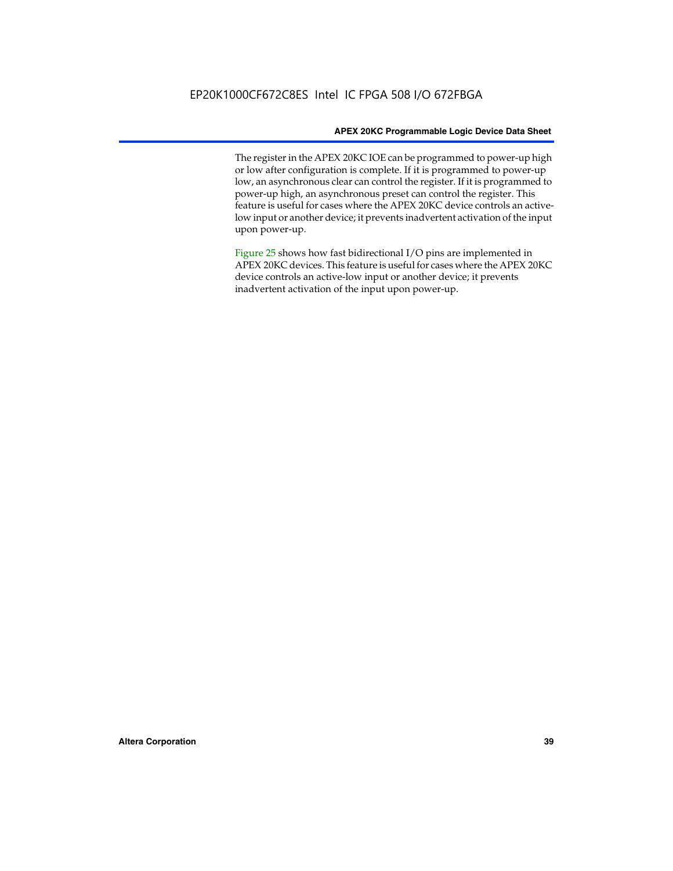The register in the APEX 20KC IOE can be programmed to power-up high or low after configuration is complete. If it is programmed to power-up low, an asynchronous clear can control the register. If it is programmed to power-up high, an asynchronous preset can control the register. This feature is useful for cases where the APEX 20KC device controls an activelow input or another device; it prevents inadvertent activation of the input upon power-up.

Figure 25 shows how fast bidirectional I/O pins are implemented in APEX 20KC devices. This feature is useful for cases where the APEX 20KC device controls an active-low input or another device; it prevents inadvertent activation of the input upon power-up.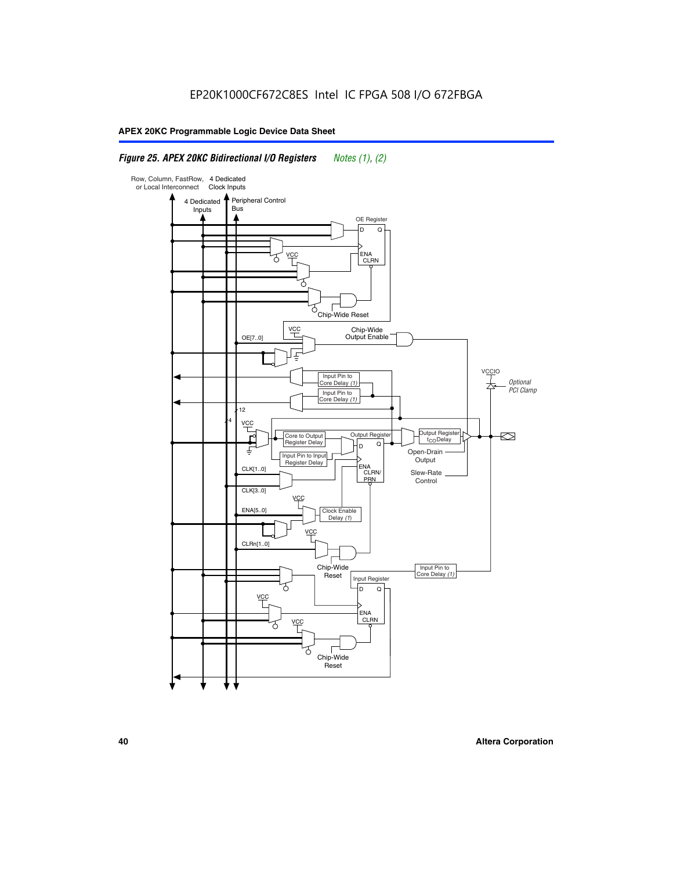### *Figure 25. APEX 20KC Bidirectional I/O Registers Notes (1), (2)*

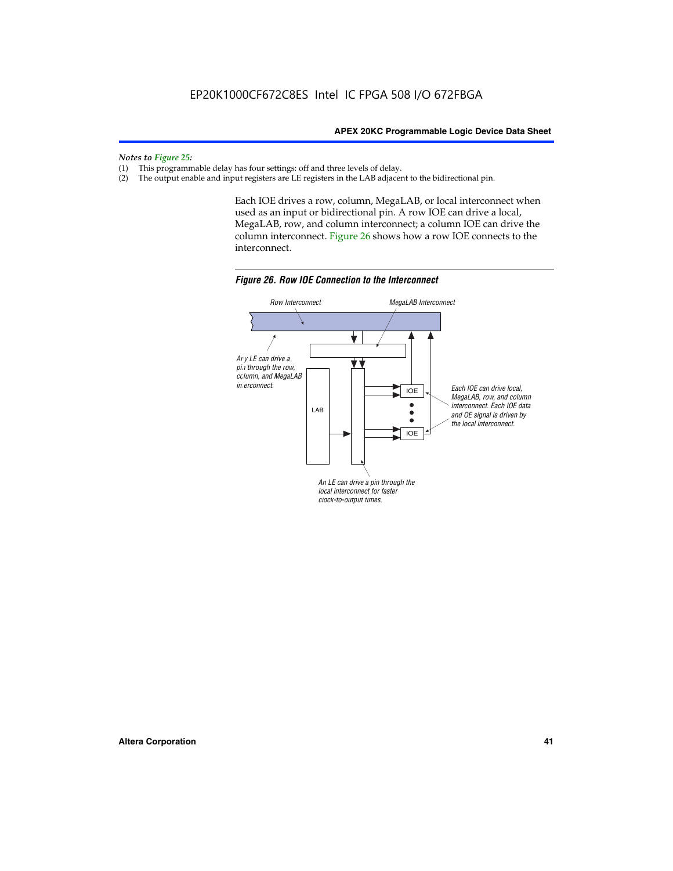*Notes to Figure 25:*

- (1) This programmable delay has four settings: off and three levels of delay.<br>(2) The output enable and input registers are LE registers in the LAB adjacer
- The output enable and input registers are LE registers in the LAB adjacent to the bidirectional pin.

Each IOE drives a row, column, MegaLAB, or local interconnect when used as an input or bidirectional pin. A row IOE can drive a local, MegaLAB, row, and column interconnect; a column IOE can drive the column interconnect. Figure 26 shows how a row IOE connects to the interconnect.



*Figure 26. Row IOE Connection to the Interconnect*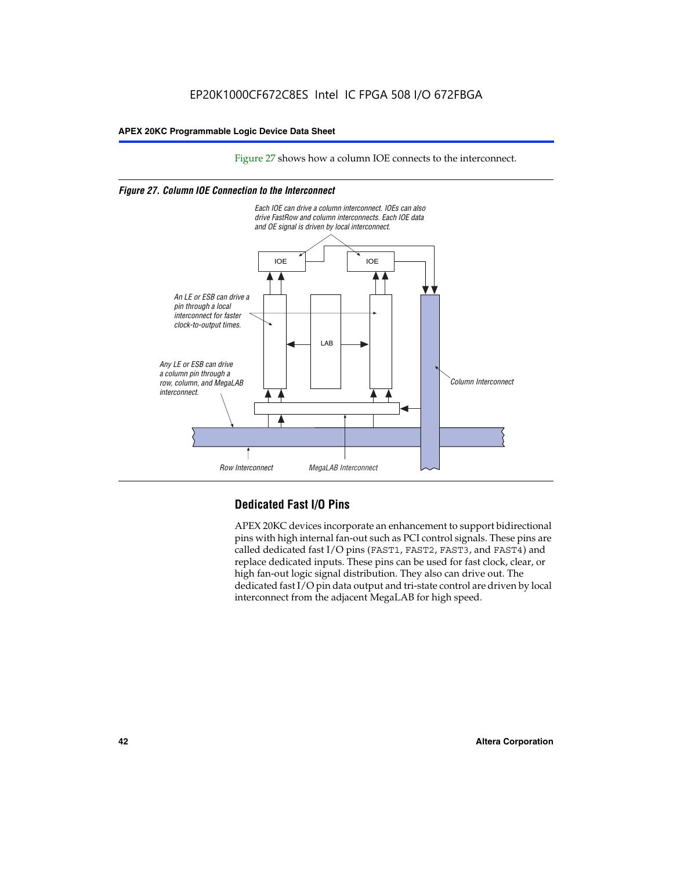Figure 27 shows how a column IOE connects to the interconnect.

### *Figure 27. Column IOE Connection to the Interconnect*



# **Dedicated Fast I/O Pins**

APEX 20KC devices incorporate an enhancement to support bidirectional pins with high internal fan-out such as PCI control signals. These pins are called dedicated fast I/O pins (FAST1, FAST2, FAST3, and FAST4) and replace dedicated inputs. These pins can be used for fast clock, clear, or high fan-out logic signal distribution. They also can drive out. The dedicated fast I/O pin data output and tri-state control are driven by local interconnect from the adjacent MegaLAB for high speed.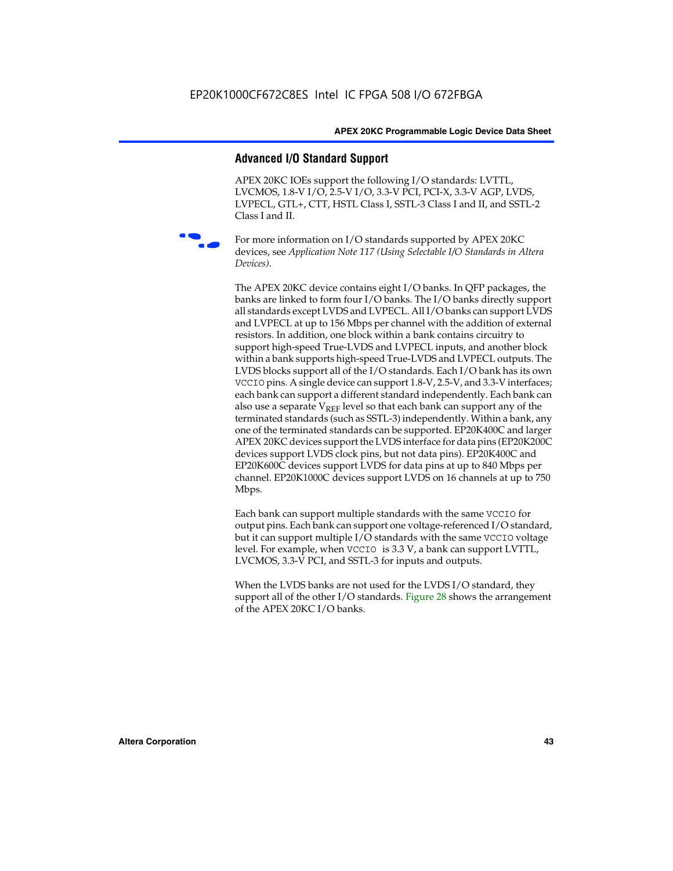### **Advanced I/O Standard Support**

APEX 20KC IOEs support the following I/O standards: LVTTL, LVCMOS, 1.8-V I/O, 2.5-V I/O, 3.3-V PCI, PCI-X, 3.3-V AGP, LVDS, LVPECL, GTL+, CTT, HSTL Class I, SSTL-3 Class I and II, and SSTL-2 Class I and II.



For more information on I/O standards supported by APEX 20KC devices, see *Application Note 117 (Using Selectable I/O Standards in Altera Devices)*.

The APEX 20KC device contains eight I/O banks. In QFP packages, the banks are linked to form four I/O banks. The I/O banks directly support all standards except LVDS and LVPECL. All I/O banks can support LVDS and LVPECL at up to 156 Mbps per channel with the addition of external resistors. In addition, one block within a bank contains circuitry to support high-speed True-LVDS and LVPECL inputs, and another block within a bank supports high-speed True-LVDS and LVPECL outputs. The LVDS blocks support all of the I/O standards. Each I/O bank has its own VCCIO pins. A single device can support 1.8-V, 2.5-V, and 3.3-V interfaces; each bank can support a different standard independently. Each bank can also use a separate  $V_{REF}$  level so that each bank can support any of the terminated standards (such as SSTL-3) independently. Within a bank, any one of the terminated standards can be supported. EP20K400C and larger APEX 20KC devices support the LVDS interface for data pins (EP20K200C devices support LVDS clock pins, but not data pins). EP20K400C and EP20K600C devices support LVDS for data pins at up to 840 Mbps per channel. EP20K1000C devices support LVDS on 16 channels at up to 750 Mbps.

Each bank can support multiple standards with the same VCCIO for output pins. Each bank can support one voltage-referenced I/O standard, but it can support multiple I/O standards with the same VCCIO voltage level. For example, when VCCIO is 3.3 V, a bank can support LVTTL, LVCMOS, 3.3-V PCI, and SSTL-3 for inputs and outputs.

When the LVDS banks are not used for the LVDS I/O standard, they support all of the other I/O standards. Figure 28 shows the arrangement of the APEX 20KC I/O banks.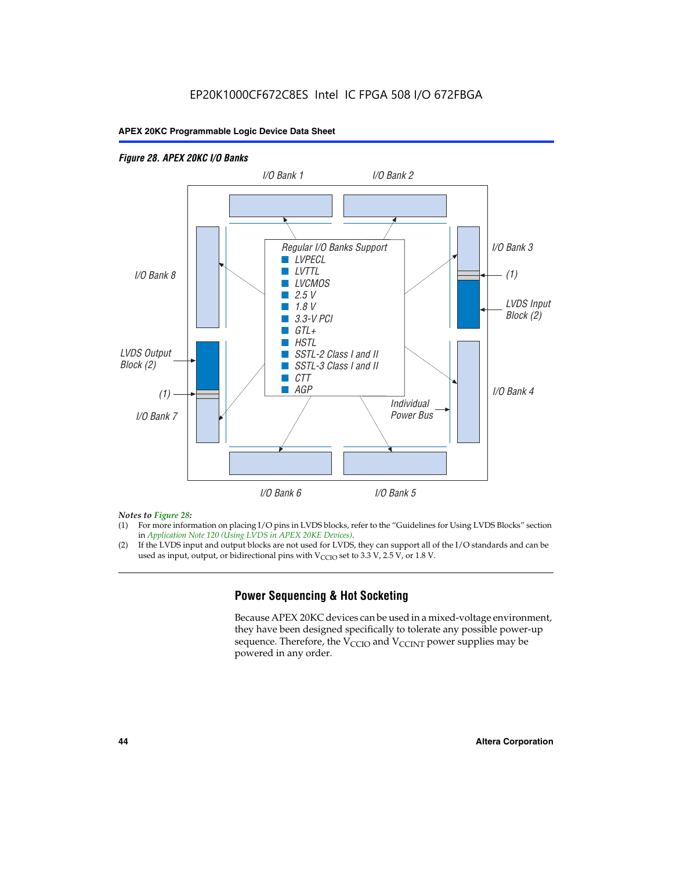### *Figure 28. APEX 20KC I/O Banks LVDS Input Block (2) (1) LVDS Output Block (2) (1) Individual Power Bus I/O Bank 8 I/O Bank 1 I/O Bank 2 I/O Bank 3 I/O Bank 4 I/O Bank 6 I/O Bank 5 I/O Bank 7 Regular I/O Banks Support* ■ *LVPECL* ■ *LVTTL* ■ *LVCMOS* ■ *2.5 V* ■ *1.8 V* ■ *3.3-V PCI* ■ *GTL+* ■ *HSTL* ■ *SSTL-2 Class I and II* ■ *SSTL-3 Class I and II* ■ *CTT* ■ *AGP*

### *Notes to Figure 28:*

- (1) For more information on placing I/O pins in LVDS blocks, refer to the "Guidelines for Using LVDS Blocks" section in *Application Note 120 (Using LVDS in APEX 20KE Devices)*.
- (2) If the LVDS input and output blocks are not used for LVDS, they can support all of the I/O standards and can be used as input, output, or bidirectional pins with  $V_{\text{CCIO}}$  set to 3.3 V, 2.5 V, or 1.8 V.

# **Power Sequencing & Hot Socketing**

Because APEX 20KC devices can be used in a mixed-voltage environment, they have been designed specifically to tolerate any possible power-up sequence. Therefore, the  $V_{\text{CCIO}}$  and  $V_{\text{CCINT}}$  power supplies may be powered in any order.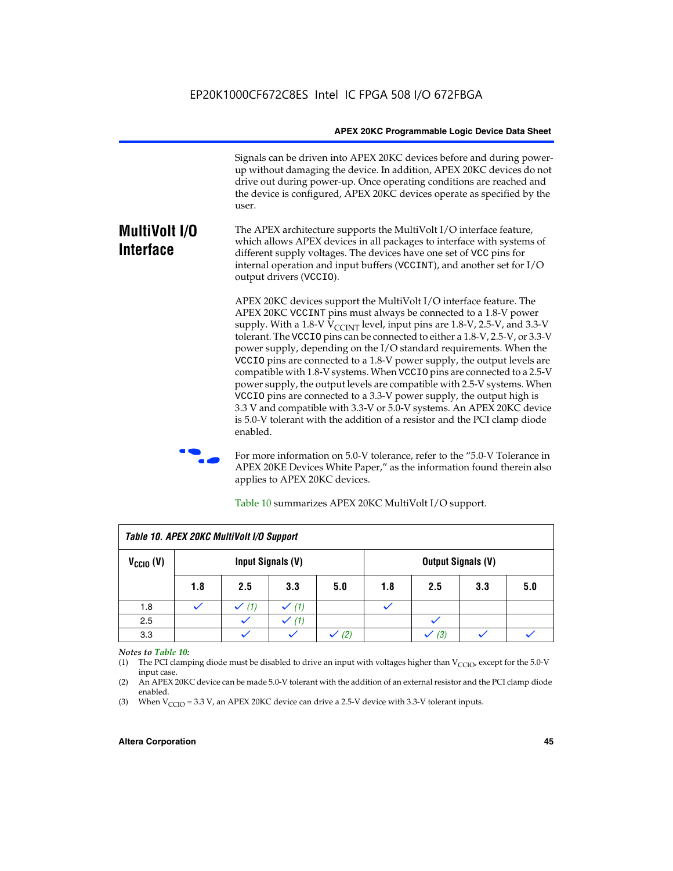Signals can be driven into APEX 20KC devices before and during powerup without damaging the device. In addition, APEX 20KC devices do not drive out during power-up. Once operating conditions are reached and the device is configured, APEX 20KC devices operate as specified by the user.

### **MultiVolt I/O Interface** The APEX architecture supports the MultiVolt I/O interface feature, which allows APEX devices in all packages to interface with systems of different supply voltages. The devices have one set of VCC pins for internal operation and input buffers (VCCINT), and another set for I/O output drivers (VCCIO).

APEX 20KC devices support the MultiVolt I/O interface feature. The APEX 20KC VCCINT pins must always be connected to a 1.8-V power supply. With a 1.8-V  $V_{\text{CCINT}}$  level, input pins are 1.8-V, 2.5-V, and 3.3-V tolerant. The VCCIO pins can be connected to either a 1.8-V, 2.5-V, or 3.3-V power supply, depending on the I/O standard requirements. When the VCCIO pins are connected to a 1.8-V power supply, the output levels are compatible with 1.8-V systems. When VCCIO pins are connected to a 2.5-V power supply, the output levels are compatible with 2.5-V systems. When VCCIO pins are connected to a 3.3-V power supply, the output high is 3.3 V and compatible with 3.3-V or 5.0-V systems. An APEX 20KC device is 5.0-V tolerant with the addition of a resistor and the PCI clamp diode enabled.

For more information on 5.0-V tolerance, refer to the "5.0-V Tolerance in APEX 20KE Devices White Paper," as the information found therein also applies to APEX 20KC devices.

| Table 10. APEX 20KC MultiVolt I/O Support |                                                |     |     |     |     |     |     |     |
|-------------------------------------------|------------------------------------------------|-----|-----|-----|-----|-----|-----|-----|
| $V_{\text{CCIO}}(V)$                      | Input Signals (V)<br><b>Output Signals (V)</b> |     |     |     |     |     |     |     |
|                                           | 1.8                                            | 2.5 | 3.3 | 5.0 | 1.8 | 2.5 | 3.3 | 5.0 |
| 1.8                                       |                                                | (1) | (1) |     |     |     |     |     |
| 2.5                                       |                                                |     | (1) |     |     |     |     |     |
| 3.3                                       |                                                |     |     | (2) |     | (3) |     |     |

Table 10 summarizes APEX 20KC MultiVolt I/O support.

### *Notes to Table 10:*

(1) The PCI clamping diode must be disabled to drive an input with voltages higher than  $V_{C CIO}$ , except for the 5.0-V input case.

(2) An APEX 20KC device can be made 5.0-V tolerant with the addition of an external resistor and the PCI clamp diode enabled.

(3) When  $V_{\text{CCIO}} = 3.3 \text{ V}$ , an APEX 20KC device can drive a 2.5-V device with 3.3-V tolerant inputs.

### **Altera Corporation 45**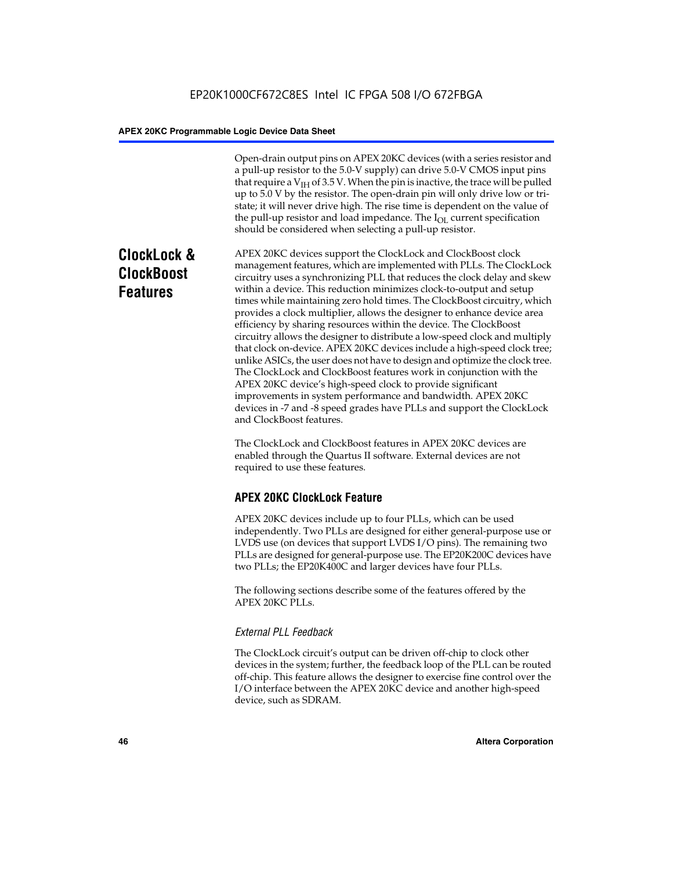Open-drain output pins on APEX 20KC devices (with a series resistor and a pull-up resistor to the 5.0-V supply) can drive 5.0-V CMOS input pins that require a  $V<sub>IH</sub>$  of 3.5 V. When the pin is inactive, the trace will be pulled up to 5.0 V by the resistor. The open-drain pin will only drive low or tristate; it will never drive high. The rise time is dependent on the value of the pull-up resistor and load impedance. The  $I_{OL}$  current specification should be considered when selecting a pull-up resistor.

# **ClockLock & ClockBoost Features**

APEX 20KC devices support the ClockLock and ClockBoost clock management features, which are implemented with PLLs. The ClockLock circuitry uses a synchronizing PLL that reduces the clock delay and skew within a device. This reduction minimizes clock-to-output and setup times while maintaining zero hold times. The ClockBoost circuitry, which provides a clock multiplier, allows the designer to enhance device area efficiency by sharing resources within the device. The ClockBoost circuitry allows the designer to distribute a low-speed clock and multiply that clock on-device. APEX 20KC devices include a high-speed clock tree; unlike ASICs, the user does not have to design and optimize the clock tree. The ClockLock and ClockBoost features work in conjunction with the APEX 20KC device's high-speed clock to provide significant improvements in system performance and bandwidth. APEX 20KC devices in -7 and -8 speed grades have PLLs and support the ClockLock and ClockBoost features.

The ClockLock and ClockBoost features in APEX 20KC devices are enabled through the Quartus II software. External devices are not required to use these features.

# **APEX 20KC ClockLock Feature**

APEX 20KC devices include up to four PLLs, which can be used independently. Two PLLs are designed for either general-purpose use or LVDS use (on devices that support LVDS I/O pins). The remaining two PLLs are designed for general-purpose use. The EP20K200C devices have two PLLs; the EP20K400C and larger devices have four PLLs.

The following sections describe some of the features offered by the APEX 20KC PLLs.

## *External PLL Feedback*

The ClockLock circuit's output can be driven off-chip to clock other devices in the system; further, the feedback loop of the PLL can be routed off-chip. This feature allows the designer to exercise fine control over the I/O interface between the APEX 20KC device and another high-speed device, such as SDRAM.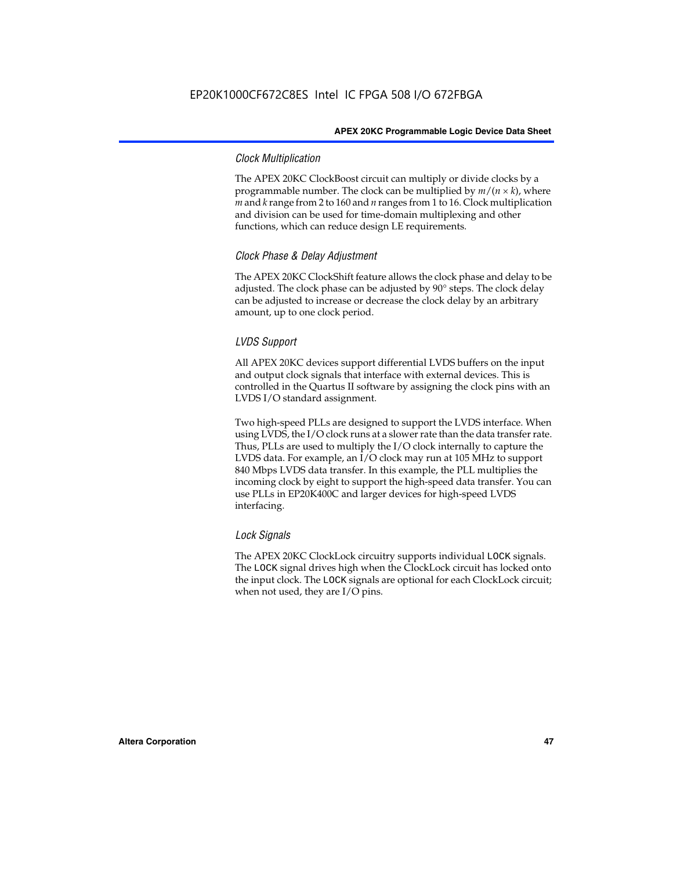### *Clock Multiplication*

The APEX 20KC ClockBoost circuit can multiply or divide clocks by a programmable number. The clock can be multiplied by  $m/(n \times k)$ , where *m* and *k* range from 2 to 160 and *n* ranges from 1 to 16. Clock multiplication and division can be used for time-domain multiplexing and other functions, which can reduce design LE requirements.

### *Clock Phase & Delay Adjustment*

The APEX 20KC ClockShift feature allows the clock phase and delay to be adjusted. The clock phase can be adjusted by 90° steps. The clock delay can be adjusted to increase or decrease the clock delay by an arbitrary amount, up to one clock period.

### *LVDS Support*

All APEX 20KC devices support differential LVDS buffers on the input and output clock signals that interface with external devices. This is controlled in the Quartus II software by assigning the clock pins with an LVDS I/O standard assignment.

Two high-speed PLLs are designed to support the LVDS interface. When using LVDS, the I/O clock runs at a slower rate than the data transfer rate. Thus, PLLs are used to multiply the I/O clock internally to capture the LVDS data. For example, an I/O clock may run at 105 MHz to support 840 Mbps LVDS data transfer. In this example, the PLL multiplies the incoming clock by eight to support the high-speed data transfer. You can use PLLs in EP20K400C and larger devices for high-speed LVDS interfacing.

### *Lock Signals*

The APEX 20KC ClockLock circuitry supports individual LOCK signals. The LOCK signal drives high when the ClockLock circuit has locked onto the input clock. The LOCK signals are optional for each ClockLock circuit; when not used, they are I/O pins.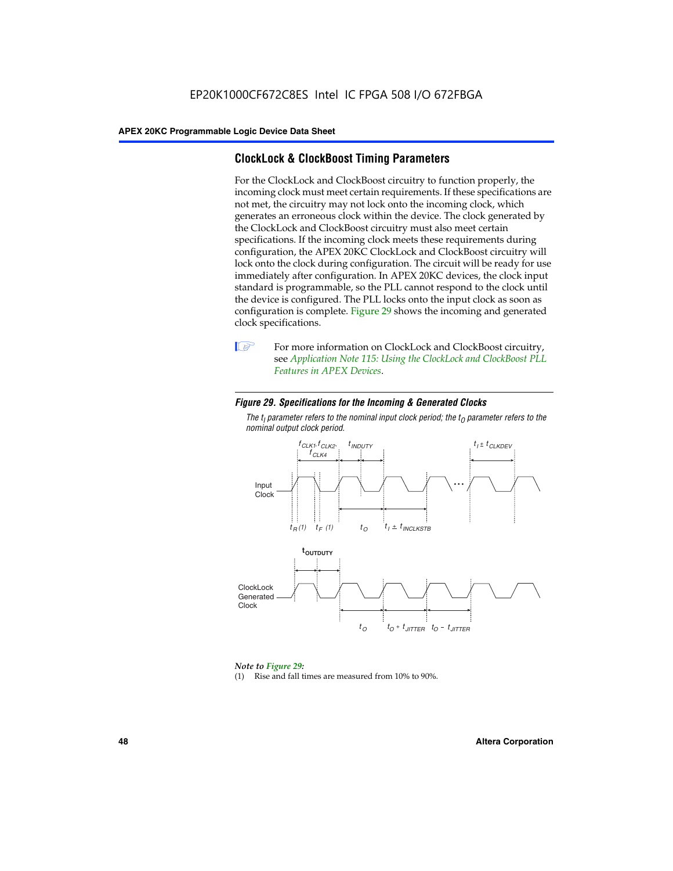## **ClockLock & ClockBoost Timing Parameters**

For the ClockLock and ClockBoost circuitry to function properly, the incoming clock must meet certain requirements. If these specifications are not met, the circuitry may not lock onto the incoming clock, which generates an erroneous clock within the device. The clock generated by the ClockLock and ClockBoost circuitry must also meet certain specifications. If the incoming clock meets these requirements during configuration, the APEX 20KC ClockLock and ClockBoost circuitry will lock onto the clock during configuration. The circuit will be ready for use immediately after configuration. In APEX 20KC devices, the clock input standard is programmable, so the PLL cannot respond to the clock until the device is configured. The PLL locks onto the input clock as soon as configuration is complete. Figure 29 shows the incoming and generated clock specifications.



**1** For more information on ClockLock and ClockBoost circuitry, see *Application Note 115: Using the ClockLock and ClockBoost PLL Features in APEX Devices*.

### *Figure 29. Specifications for the Incoming & Generated Clocks*

The  $t_{\mathfrak l}$  parameter refers to the nominal input clock period; the  $t_{\mathfrak l}$  parameter refers to the *nominal output clock period.*



### *Note to Figure 29:*

(1) Rise and fall times are measured from 10% to 90%.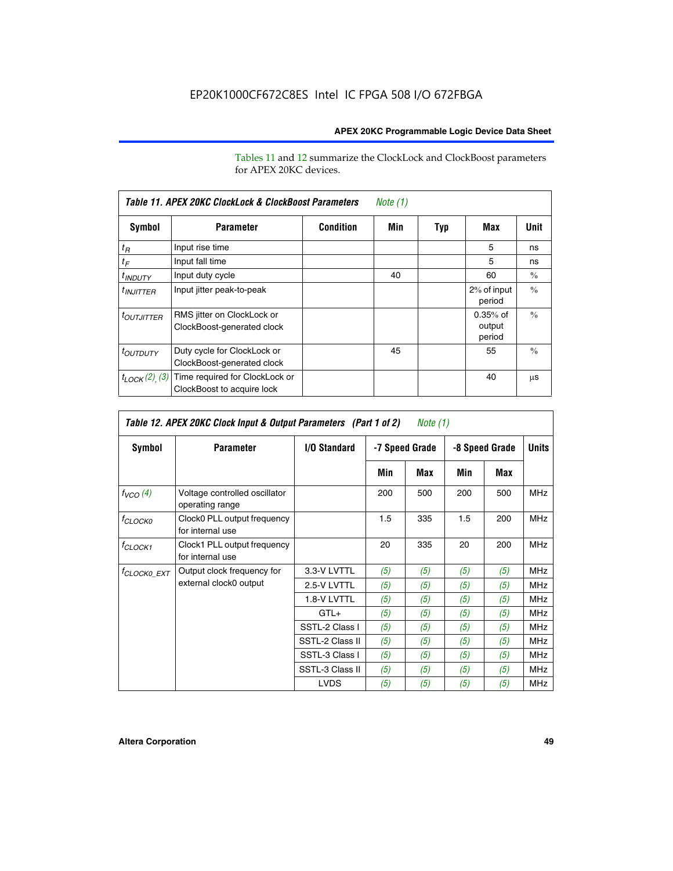Tables 11 and 12 summarize the ClockLock and ClockBoost parameters for APEX 20KC devices.

| Table 11. APEX 20KC ClockLock & ClockBoost Parameters<br>Note (1) |                                                              |                  |     |     |                                |               |  |  |
|-------------------------------------------------------------------|--------------------------------------------------------------|------------------|-----|-----|--------------------------------|---------------|--|--|
| Symbol                                                            | <b>Parameter</b>                                             | <b>Condition</b> | Min | Typ | Max                            | Unit          |  |  |
| $t_R$                                                             | Input rise time                                              |                  |     |     | 5                              | ns            |  |  |
| $t_F$                                                             | Input fall time                                              |                  |     |     | 5                              | ns            |  |  |
| <sup>t</sup> INDUTY                                               | Input duty cycle                                             |                  | 40  |     | 60                             | $\frac{0}{0}$ |  |  |
| $t_{INJITTER}$                                                    | Input jitter peak-to-peak                                    |                  |     |     | 2% of input<br>period          | $\frac{0}{0}$ |  |  |
| <i>toutjitter</i>                                                 | RMS jitter on ClockLock or<br>ClockBoost-generated clock     |                  |     |     | $0.35%$ of<br>output<br>period | $\frac{0}{0}$ |  |  |
| <i>toutbuty</i>                                                   | Duty cycle for ClockLock or<br>ClockBoost-generated clock    |                  | 45  |     | 55                             | $\frac{0}{0}$ |  |  |
| $t_{LOCK}(2)$ (3)                                                 | Time required for ClockLock or<br>ClockBoost to acquire lock |                  |     |     | 40                             | μS            |  |  |

| Table 12. APEX 20KC Clock Input & Output Parameters (Part 1 of 2)<br>Note (1) |                                                  |                                |     |     |                |     |            |
|-------------------------------------------------------------------------------|--------------------------------------------------|--------------------------------|-----|-----|----------------|-----|------------|
| Symbol                                                                        | <b>Parameter</b>                                 | I/O Standard<br>-7 Speed Grade |     |     | -8 Speed Grade |     |            |
|                                                                               |                                                  |                                | Min | Max | Min            | Max |            |
| $f_{VCO}(4)$                                                                  | Voltage controlled oscillator<br>operating range |                                | 200 | 500 | 200            | 500 | <b>MHz</b> |
| $f_{CLOCKO}$                                                                  | Clock0 PLL output frequency<br>for internal use  |                                | 1.5 | 335 | 1.5            | 200 | <b>MHz</b> |
| <sup>f</sup> CLOCK1                                                           | Clock1 PLL output frequency<br>for internal use  |                                | 20  | 335 | 20             | 200 | <b>MHz</b> |
| <sup>f</sup> CLOCK0_EXT                                                       | Output clock frequency for                       | 3.3-V LVTTL                    | (5) | (5) | (5)            | (5) | <b>MHz</b> |
|                                                                               | external clock0 output                           | 2.5-V LVTTL                    | (5) | (5) | (5)            | (5) | <b>MHz</b> |
|                                                                               |                                                  | 1.8-V LVTTL                    | (5) | (5) | (5)            | (5) | <b>MHz</b> |
|                                                                               |                                                  | $GTL+$                         | (5) | (5) | (5)            | (5) | <b>MHz</b> |
|                                                                               |                                                  | SSTL-2 Class I                 | (5) | (5) | (5)            | (5) | <b>MHz</b> |
|                                                                               |                                                  | SSTL-2 Class II                | (5) | (5) | (5)            | (5) | <b>MHz</b> |
|                                                                               |                                                  | SSTL-3 Class I                 | (5) | (5) | (5)            | (5) | <b>MHz</b> |
|                                                                               |                                                  | SSTL-3 Class II                | (5) | (5) | (5)            | (5) | <b>MHz</b> |
|                                                                               |                                                  | <b>LVDS</b>                    | (5) | (5) | (5)            | (5) | <b>MHz</b> |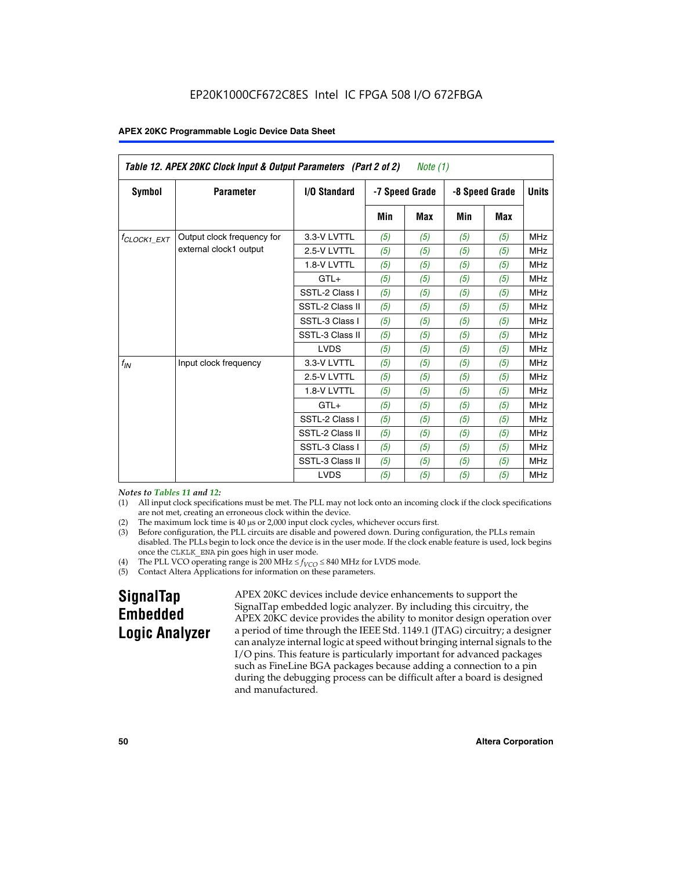| Table 12. APEX 20KC Clock Input & Output Parameters (Part 2 of 2)<br>Note $(1)$ |                            |                     |     |                |                |            |              |
|---------------------------------------------------------------------------------|----------------------------|---------------------|-----|----------------|----------------|------------|--------------|
| Symbol                                                                          | <b>Parameter</b>           | <b>I/O Standard</b> |     | -7 Speed Grade | -8 Speed Grade |            | <b>Units</b> |
|                                                                                 |                            |                     | Min | Max            | <b>Min</b>     | <b>Max</b> |              |
| <sup>f</sup> CLOCK1 EXT                                                         | Output clock frequency for | 3.3-V LVTTL         | (5) | (5)            | (5)            | (5)        | <b>MHz</b>   |
|                                                                                 | external clock1 output     | 2.5-V LVTTL         | (5) | (5)            | (5)            | (5)        | <b>MHz</b>   |
|                                                                                 |                            | 1.8-V LVTTL         | (5) | (5)            | (5)            | (5)        | <b>MHz</b>   |
|                                                                                 |                            | $GTL+$              | (5) | (5)            | (5)            | (5)        | <b>MHz</b>   |
|                                                                                 |                            | SSTL-2 Class I      | (5) | (5)            | (5)            | (5)        | <b>MHz</b>   |
|                                                                                 |                            | SSTL-2 Class II     | (5) | (5)            | (5)            | (5)        | <b>MHz</b>   |
|                                                                                 |                            | SSTL-3 Class I      | (5) | (5)            | (5)            | (5)        | <b>MHz</b>   |
|                                                                                 |                            | SSTL-3 Class II     | (5) | (5)            | (5)            | (5)        | <b>MHz</b>   |
|                                                                                 |                            | <b>LVDS</b>         | (5) | (5)            | (5)            | (5)        | <b>MHz</b>   |
| $f_{IN}$                                                                        | Input clock frequency      | 3.3-V LVTTL         | (5) | (5)            | (5)            | (5)        | <b>MHz</b>   |
|                                                                                 |                            | 2.5-V LVTTL         | (5) | (5)            | (5)            | (5)        | <b>MHz</b>   |
|                                                                                 |                            | 1.8-V LVTTL         | (5) | (5)            | (5)            | (5)        | <b>MHz</b>   |
|                                                                                 |                            | $GTL+$              | (5) | (5)            | (5)            | (5)        | <b>MHz</b>   |
|                                                                                 |                            | SSTL-2 Class I      | (5) | (5)            | (5)            | (5)        | <b>MHz</b>   |
|                                                                                 |                            | SSTL-2 Class II     | (5) | (5)            | (5)            | (5)        | <b>MHz</b>   |
|                                                                                 |                            | SSTL-3 Class I      | (5) | (5)            | (5)            | (5)        | <b>MHz</b>   |
|                                                                                 |                            | SSTL-3 Class II     | (5) | (5)            | (5)            | (5)        | <b>MHz</b>   |
|                                                                                 |                            | <b>LVDS</b>         | (5) | (5)            | (5)            | (5)        | <b>MHz</b>   |

### *Notes to Tables 11 and 12:*

- (1) All input clock specifications must be met. The PLL may not lock onto an incoming clock if the clock specifications are not met, creating an erroneous clock within the device.
- 
- (2) The maximum lock time is  $40 \mu s$  or  $2,000$  input clock cycles, whichever occurs first.<br>
(3) Before configuration, the PLL circuits are disable and powered down. During confi Before configuration, the PLL circuits are disable and powered down. During configuration, the PLLs remain disabled. The PLLs begin to lock once the device is in the user mode. If the clock enable feature is used, lock begins once the CLKLK\_ENA pin goes high in user mode.
- (4) The PLL VCO operating range is 200 MHz  $\leq f_{VCO} \leq 840$  MHz for LVDS mode.

(5) Contact Altera Applications for information on these parameters.

# **SignalTap Embedded Logic Analyzer**

APEX 20KC devices include device enhancements to support the SignalTap embedded logic analyzer. By including this circuitry, the APEX 20KC device provides the ability to monitor design operation over a period of time through the IEEE Std. 1149.1 (JTAG) circuitry; a designer can analyze internal logic at speed without bringing internal signals to the I/O pins. This feature is particularly important for advanced packages such as FineLine BGA packages because adding a connection to a pin during the debugging process can be difficult after a board is designed and manufactured.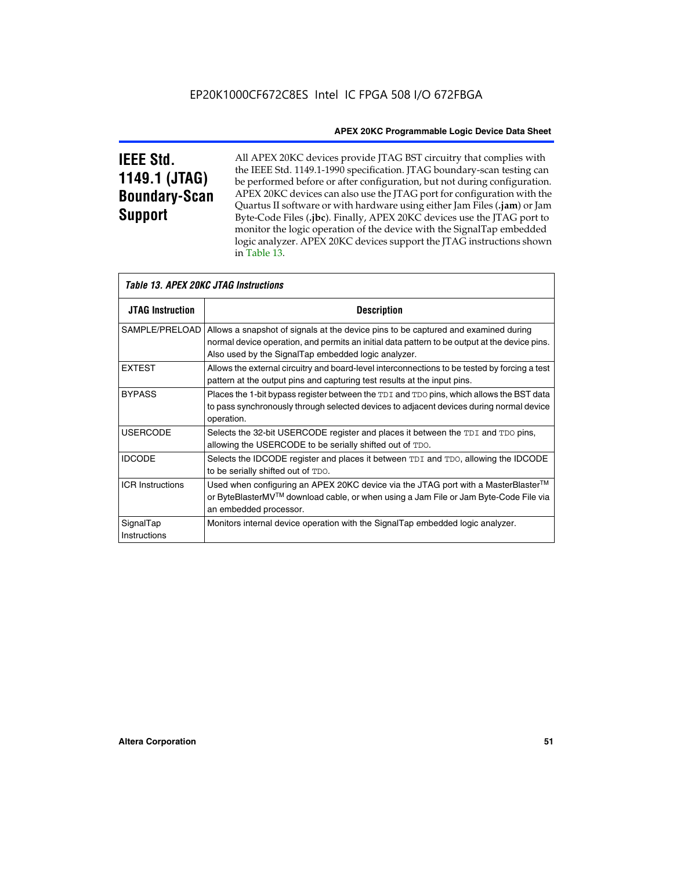# **IEEE Std. 1149.1 (JTAG) Boundary-Scan Support**

Г

All APEX 20KC devices provide JTAG BST circuitry that complies with the IEEE Std. 1149.1-1990 specification. JTAG boundary-scan testing can be performed before or after configuration, but not during configuration. APEX 20KC devices can also use the JTAG port for configuration with the Quartus II software or with hardware using either Jam Files (**.jam**) or Jam Byte-Code Files (**.jbc**). Finally, APEX 20KC devices use the JTAG port to monitor the logic operation of the device with the SignalTap embedded logic analyzer. APEX 20KC devices support the JTAG instructions shown in Table 13.

| Table 13. APEX 20KC JTAG Instructions |                                                                                                                                                                                                                                            |  |  |  |  |
|---------------------------------------|--------------------------------------------------------------------------------------------------------------------------------------------------------------------------------------------------------------------------------------------|--|--|--|--|
| <b>JTAG Instruction</b>               | <b>Description</b>                                                                                                                                                                                                                         |  |  |  |  |
| SAMPLE/PRELOAD                        | Allows a snapshot of signals at the device pins to be captured and examined during<br>normal device operation, and permits an initial data pattern to be output at the device pins.<br>Also used by the SignalTap embedded logic analyzer. |  |  |  |  |
| <b>EXTEST</b>                         | Allows the external circuitry and board-level interconnections to be tested by forcing a test<br>pattern at the output pins and capturing test results at the input pins.                                                                  |  |  |  |  |
| <b>BYPASS</b>                         | Places the 1-bit bypass register between the TDI and TDO pins, which allows the BST data<br>to pass synchronously through selected devices to adjacent devices during normal device<br>operation.                                          |  |  |  |  |
| <b>USERCODE</b>                       | Selects the 32-bit USERCODE register and places it between the TDI and TDO pins,<br>allowing the USERCODE to be serially shifted out of TDO.                                                                                               |  |  |  |  |
| <b>IDCODE</b>                         | Selects the IDCODE register and places it between TDI and TDO, allowing the IDCODE<br>to be serially shifted out of TDO.                                                                                                                   |  |  |  |  |
| <b>ICR Instructions</b>               | Used when configuring an APEX 20KC device via the JTAG port with a MasterBlaster™<br>or ByteBlasterMV™ download cable, or when using a Jam File or Jam Byte-Code File via<br>an embedded processor.                                        |  |  |  |  |
| SignalTap<br>Instructions             | Monitors internal device operation with the SignalTap embedded logic analyzer.                                                                                                                                                             |  |  |  |  |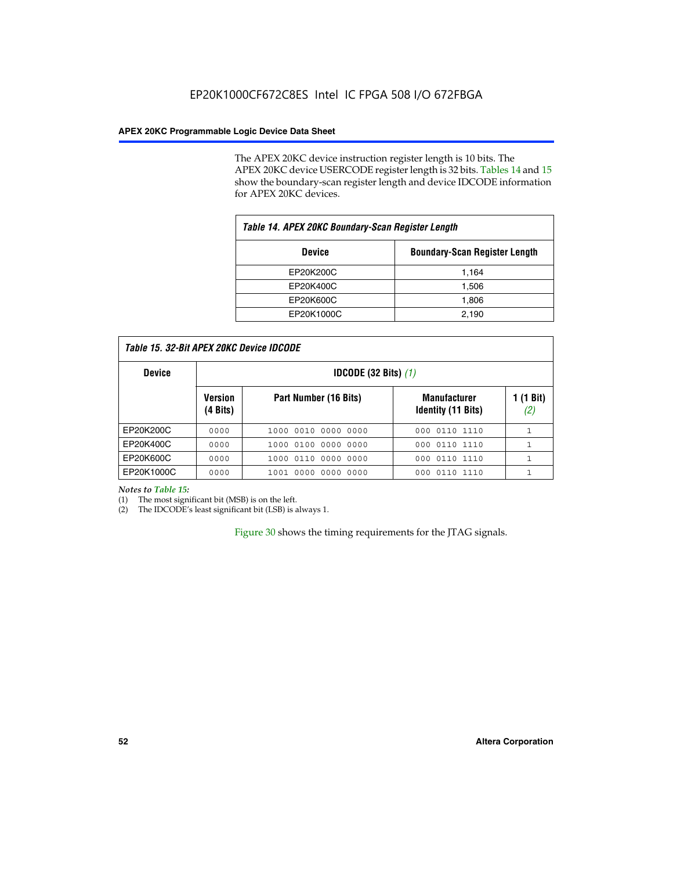The APEX 20KC device instruction register length is 10 bits. The APEX 20KC device USERCODE register length is 32 bits. Tables 14 and 15 show the boundary-scan register length and device IDCODE information for APEX 20KC devices.

| Table 14. APEX 20KC Boundary-Scan Register Length     |       |  |  |  |  |
|-------------------------------------------------------|-------|--|--|--|--|
| <b>Boundary-Scan Register Length</b><br><b>Device</b> |       |  |  |  |  |
| EP20K200C                                             | 1,164 |  |  |  |  |
| EP20K400C                                             | 1,506 |  |  |  |  |
| EP20K600C                                             | 1,806 |  |  |  |  |
| EP20K1000C                                            | 2,190 |  |  |  |  |

| <b>Device</b> | <b>IDCODE (32 Bits)</b> $(1)$ |                       |                                                  |                  |  |
|---------------|-------------------------------|-----------------------|--------------------------------------------------|------------------|--|
|               | <b>Version</b><br>(4 Bits)    | Part Number (16 Bits) | <b>Manufacturer</b><br><b>Identity (11 Bits)</b> | 1 (1 Bit)<br>(2, |  |
| EP20K200C     | 0000                          | 1000 0010 0000 0000   | 000 0110 1110                                    |                  |  |
| EP20K400C     | 0000                          | 1000 0100 0000 0000   | 0110 1110<br>000                                 |                  |  |
| EP20K600C     | 0000                          | 1000 0110 0000 0000   | 000 0110 1110                                    | 1                |  |
| EP20K1000C    | 0000                          | 1001 0000 0000 0000   | 000 0110 1110                                    |                  |  |

*Notes to Table 15:*

(1) The most significant bit (MSB) is on the left.

(2) The IDCODE's least significant bit (LSB) is always 1.

Figure 30 shows the timing requirements for the JTAG signals.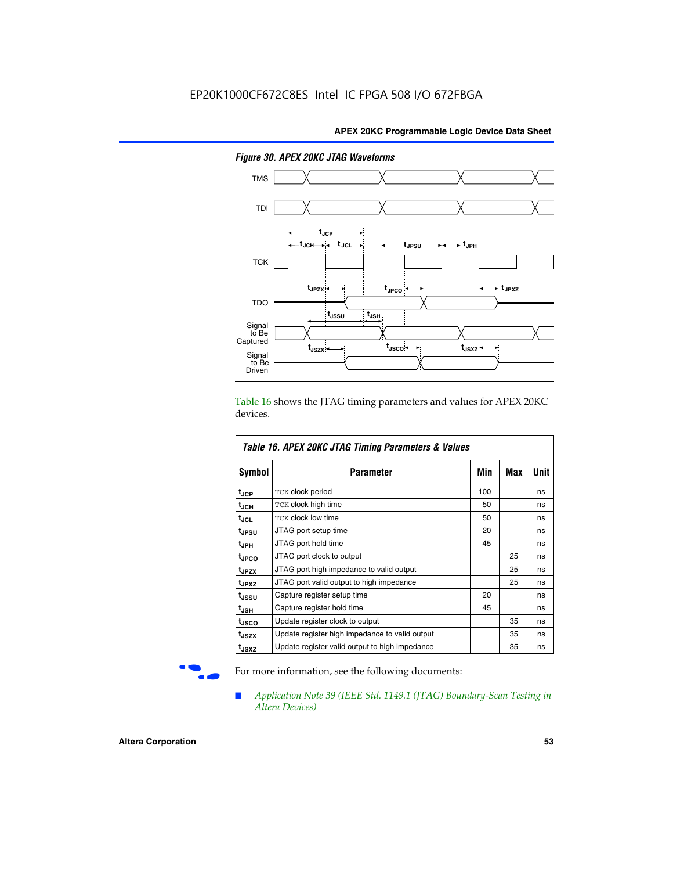

*Figure 30. APEX 20KC JTAG Waveforms*

Table 16 shows the JTAG timing parameters and values for APEX 20KC devices.

| Table 16. APEX 20KC JTAG Timing Parameters & Values |                                                |     |     |      |  |  |
|-----------------------------------------------------|------------------------------------------------|-----|-----|------|--|--|
| Symbol                                              | Parameter                                      | Min | Max | Unit |  |  |
| $t_{JCP}$                                           | TCK clock period                               | 100 |     | ns   |  |  |
| t <sub>JCH</sub>                                    | TCK clock high time                            | 50  |     | ns   |  |  |
| $t_{JCL}$                                           | <b>TCK clock low time</b>                      | 50  |     | ns   |  |  |
| <b>t</b> JPSU                                       | JTAG port setup time                           | 20  |     | ns   |  |  |
| I <sup>t</sup> JPH                                  | JTAG port hold time                            | 45  |     | ns   |  |  |
| t <sub>JPCO</sub>                                   | JTAG port clock to output                      |     | 25  | ns   |  |  |
| t <sub>JPZX</sub>                                   | JTAG port high impedance to valid output       |     | 25  | ns   |  |  |
| t <sub>JPXZ</sub>                                   | JTAG port valid output to high impedance       |     | 25  | ns   |  |  |
| t <sub>JSSU</sub>                                   | Capture register setup time                    | 20  |     | ns   |  |  |
| $t_{\rm JSH}$                                       | Capture register hold time                     | 45  |     | ns   |  |  |
| t <sub>JSCO</sub>                                   | Update register clock to output                |     | 35  | ns   |  |  |
| t <sub>JSZX</sub>                                   | Update register high impedance to valid output |     | 35  | ns   |  |  |
| t <sub>JSXZ</sub>                                   | Update register valid output to high impedance |     | 35  | ns   |  |  |

For more information, see the following documents:

■ *Application Note 39 (IEEE Std. 1149.1 (JTAG) Boundary-Scan Testing in Altera Devices)*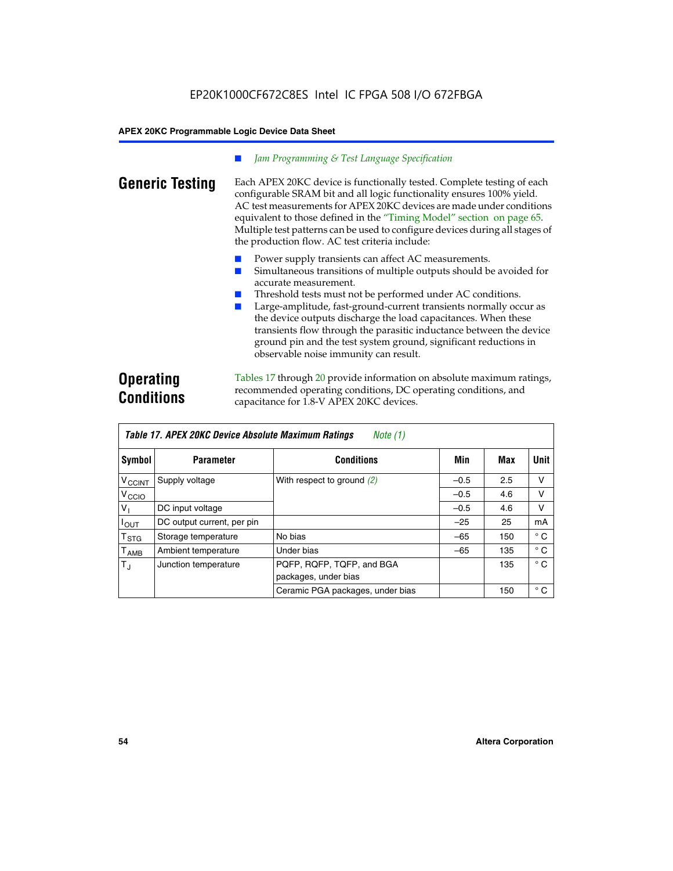### *Jam Programming & Test Language Specification*

**Generic Testing** Each APEX 20KC device is functionally tested. Complete testing of each configurable SRAM bit and all logic functionality ensures 100% yield. AC test measurements for APEX 20KC devices are made under conditions equivalent to those defined in the "Timing Model" section on page 65. Multiple test patterns can be used to configure devices during all stages of the production flow. AC test criteria include:

- Power supply transients can affect AC measurements.
- Simultaneous transitions of multiple outputs should be avoided for accurate measurement.
- Threshold tests must not be performed under AC conditions.
- Large-amplitude, fast-ground-current transients normally occur as the device outputs discharge the load capacitances. When these transients flow through the parasitic inductance between the device ground pin and the test system ground, significant reductions in observable noise immunity can result.

# **Operating Conditions**

Tables 17 through 20 provide information on absolute maximum ratings, recommended operating conditions, DC operating conditions, and capacitance for 1.8-V APEX 20KC devices.

| Table 17. APEX 20KC Device Absolute Maximum Ratings<br>Note (1) |                            |                                  |        |     |              |  |
|-----------------------------------------------------------------|----------------------------|----------------------------------|--------|-----|--------------|--|
| Symbol                                                          | <b>Parameter</b>           | <b>Conditions</b>                | Min    | Max | Unit         |  |
| $V_{\text{CCINT}}$                                              | Supply voltage             | With respect to ground $(2)$     | $-0.5$ | 2.5 | v            |  |
| V <sub>CCIO</sub>                                               |                            |                                  | $-0.5$ | 4.6 | v            |  |
| $V_{1}$                                                         | DC input voltage           |                                  | $-0.5$ | 4.6 | v            |  |
| $I_{OUT}$                                                       | DC output current, per pin |                                  | $-25$  | 25  | mA           |  |
| T <sub>STG</sub>                                                | Storage temperature        | No bias                          | $-65$  | 150 | $^{\circ}$ C |  |
| $T_{\sf AMB}$                                                   | Ambient temperature        | Under bias                       | $-65$  | 135 | $^{\circ}$ C |  |
| $T_{\rm J}$                                                     | Junction temperature       | PQFP, RQFP, TQFP, and BGA        |        | 135 | $^{\circ}$ C |  |
|                                                                 |                            | packages, under bias             |        |     |              |  |
|                                                                 |                            | Ceramic PGA packages, under bias |        | 150 | $^{\circ}$ C |  |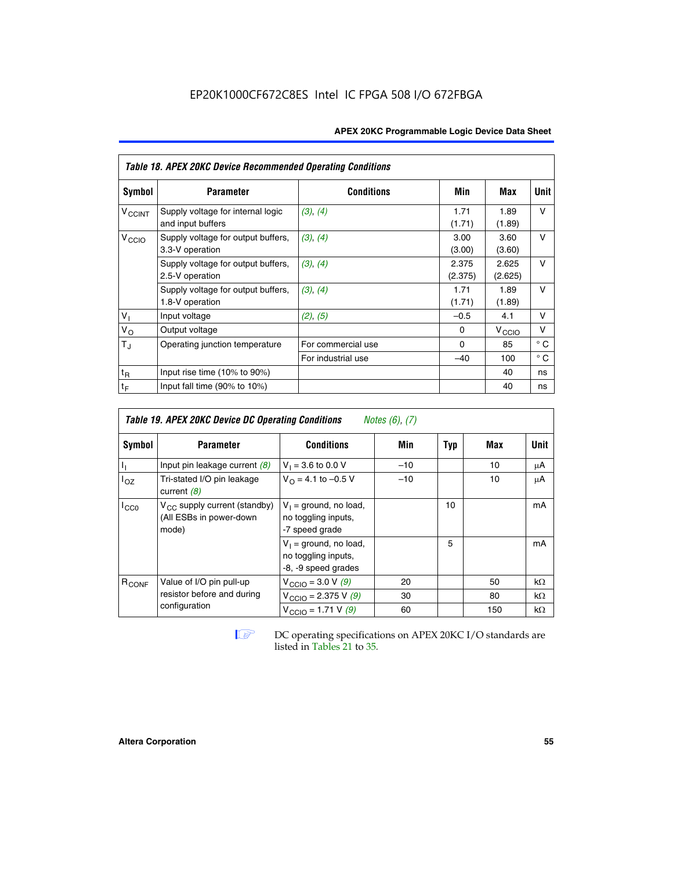| <b>APEX 20KC Programmable Logic Device Data Sheet</b> |  |  |
|-------------------------------------------------------|--|--|
|-------------------------------------------------------|--|--|

|                          | Table 18. APEX 20KC Device Recommended Operating Conditions |                    |                  |                   |              |  |  |  |  |
|--------------------------|-------------------------------------------------------------|--------------------|------------------|-------------------|--------------|--|--|--|--|
| Symbol                   | <b>Parameter</b>                                            | <b>Conditions</b>  | Min              | Max               | Unit         |  |  |  |  |
| <b>V<sub>CCINT</sub></b> | Supply voltage for internal logic<br>and input buffers      | (3), (4)           | 1.71<br>(1.71)   | 1.89<br>(1.89)    | v            |  |  |  |  |
| V <sub>CCIO</sub>        | Supply voltage for output buffers,<br>3.3-V operation       | (3), (4)           | 3.00<br>(3.00)   | 3.60<br>(3.60)    | $\vee$       |  |  |  |  |
|                          | Supply voltage for output buffers,<br>2.5-V operation       | (3), (4)           | 2.375<br>(2.375) | 2.625<br>(2.625)  | $\vee$       |  |  |  |  |
|                          | Supply voltage for output buffers,<br>1.8-V operation       | (3), (4)           | 1.71<br>(1.71)   | 1.89<br>(1.89)    | $\vee$       |  |  |  |  |
| V <sub>1</sub>           | Input voltage                                               | (2), (5)           | $-0.5$           | 4.1               | v            |  |  |  |  |
| $V_{\rm O}$              | Output voltage                                              |                    | 0                | $V_{\text{CCI}O}$ | v            |  |  |  |  |
| $T_{\rm J}$              | Operating junction temperature                              | For commercial use | $\Omega$         | 85                | $^{\circ}$ C |  |  |  |  |
|                          |                                                             | For industrial use | $-40$            | 100               | $^{\circ}$ C |  |  |  |  |
| $t_{R}$                  | Input rise time $(10\% \text{ to } 90\%)$                   |                    |                  | 40                | ns           |  |  |  |  |
| $t_F$                    | Input fall time $(90\% \text{ to } 10\%)$                   |                    |                  | 40                | ns           |  |  |  |  |

|                   | <b>Table 19. APEX 20KC Device DC Operating Conditions</b><br><i>Notes <math>(6)</math>, <math>(7)</math></i> |                                                                        |       |     |     |           |
|-------------------|--------------------------------------------------------------------------------------------------------------|------------------------------------------------------------------------|-------|-----|-----|-----------|
| <b>Symbol</b>     | <b>Parameter</b>                                                                                             | <b>Conditions</b>                                                      | Min   | Typ | Max | Unit      |
| J,                | Input pin leakage current $(8)$                                                                              | $V_1 = 3.6$ to 0.0 V                                                   | $-10$ |     | 10  | μA        |
| $I_{OZ}$          | Tri-stated I/O pin leakage<br>current $(8)$                                                                  | $V_{\Omega} = 4.1$ to -0.5 V                                           | $-10$ |     | 10  | μA        |
| $I_{CC0}$         | $V_{CC}$ supply current (standby)<br>(All ESBs in power-down<br>mode)                                        | $V_1$ = ground, no load,<br>no toggling inputs,<br>-7 speed grade      |       | 10  |     | mA        |
|                   |                                                                                                              | $V_1$ = ground, no load,<br>no toggling inputs,<br>-8, -9 speed grades |       | 5   |     | mA        |
| R <sub>CONF</sub> | Value of I/O pin pull-up                                                                                     | $V_{\text{CCIO}} = 3.0 V (9)$                                          | 20    |     | 50  | $k\Omega$ |
|                   | resistor before and during                                                                                   | $V_{\text{CCIO}} = 2.375 \text{ V } (9)$                               | 30    |     | 80  | $k\Omega$ |
|                   | configuration                                                                                                | $V_{\text{CCIO}} = 1.71 V(9)$                                          | 60    |     | 150 | $k\Omega$ |

**IF DC** operating specifications on APEX 20KC I/O standards are listed in Tables 21 to 35*.*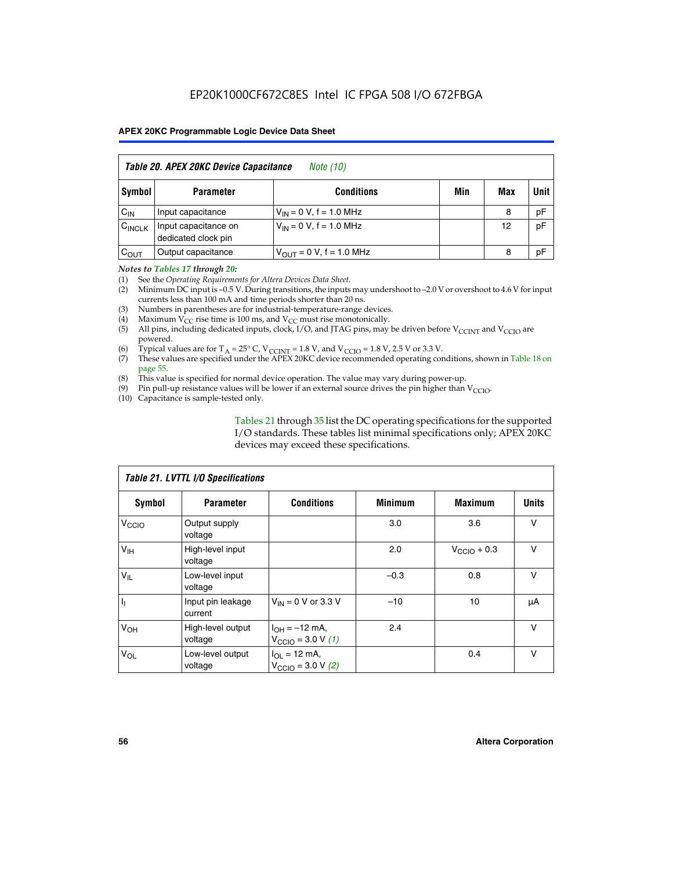|                    | Table 20. APEX 20KC Device Capacitance<br><i>Note (10)</i> |                               |     |     |             |  |  |
|--------------------|------------------------------------------------------------|-------------------------------|-----|-----|-------------|--|--|
| Symbol             | <b>Parameter</b>                                           | <b>Conditions</b>             | Min | Max | <b>Unit</b> |  |  |
| $C_{IN}$           | Input capacitance                                          | $V_{IN} = 0 V$ , f = 1.0 MHz  |     | 8   | pF          |  |  |
| $C_{\text{INCLK}}$ | Input capacitance on<br>dedicated clock pin                | $V_{IN} = 0 V$ , f = 1.0 MHz  |     | 12  | pF          |  |  |
| $C_{OUT}$          | Output capacitance                                         | $V_{OUT} = 0 V$ , f = 1.0 MHz |     | 8   | pF          |  |  |

### *Notes to Tables 17 through 20:*

(1) See the *Operating Requirements for Altera Devices Data Sheet*.

(2) Minimum DC input is –0.5 V. During transitions, the inputs may undershoot to –2.0 V or overshoot to 4.6 V for input currents less than 100 mA and time periods shorter than 20 ns.

- (3) Numbers in parentheses are for industrial-temperature-range devices.<br>(4) Maximum  $V_{CC}$  rise time is 100 ms, and  $V_{CC}$  must rise monotonically.
- (4) Maximum  $V_{CC}$  rise time is 100 ms, and  $V_{CC}$  must rise monotonically.<br>(5) All pins, including dedicated inputs, clock, I/O, and JTAG pins, may
- All pins, including dedicated inputs, clock, I/O, and JTAG pins, may be driven before  $V_{CCTN}$  and  $V_{CCTO}$  are powered.
- (6) Typical values are for T<sub>A</sub> = 25° C, V<sub>CCINT</sub> = 1.8 V, and V<sub>CCIO</sub> = 1.8 V, 2.5 V or 3.3 V.
- (7) These values are specified under the APEX 20KC device recommended operating conditions, shown in Table 18 on page 55.
- (8) This value is specified for normal device operation. The value may vary during power-up.
- (9) Pin pull-up resistance values will be lower if an external source drives the pin higher than  $V_{\text{CCIO}}$ .
- (10) Capacitance is sample-tested only.

Tables 21 through 35 list the DC operating specifications for the supported I/O standards. These tables list minimal specifications only; APEX 20KC devices may exceed these specifications.

|                   | Table 21. LVTTL I/O Specifications |                                                            |                |                         |              |  |  |  |
|-------------------|------------------------------------|------------------------------------------------------------|----------------|-------------------------|--------------|--|--|--|
| Symbol            | <b>Parameter</b>                   | <b>Conditions</b>                                          | <b>Minimum</b> | <b>Maximum</b>          | <b>Units</b> |  |  |  |
| V <sub>CCIO</sub> | Output supply<br>voltage           |                                                            | 3.0            | 3.6                     | v            |  |  |  |
| V <sub>IH</sub>   | High-level input<br>voltage        |                                                            | 2.0            | $V_{\text{CClO}} + 0.3$ | $\vee$       |  |  |  |
| $V_{IL}$          | Low-level input<br>voltage         |                                                            | $-0.3$         | 0.8                     | v            |  |  |  |
| $\mathbf{I}_{1}$  | Input pin leakage<br>current       | $V_{IN}$ = 0 V or 3.3 V                                    | $-10$          | 10                      | μA           |  |  |  |
| V <sub>OH</sub>   | High-level output<br>voltage       | $I_{OH} = -12$ mA,<br>$V_{\text{CCIO}} = 3.0 V (1)$        | 2.4            |                         | v            |  |  |  |
| $V_{OL}$          | Low-level output<br>voltage        | $I_{OL}$ = 12 mA,<br>$V_{\text{CCIO}} = 3.0 \text{ V}$ (2) |                | 0.4                     | $\vee$       |  |  |  |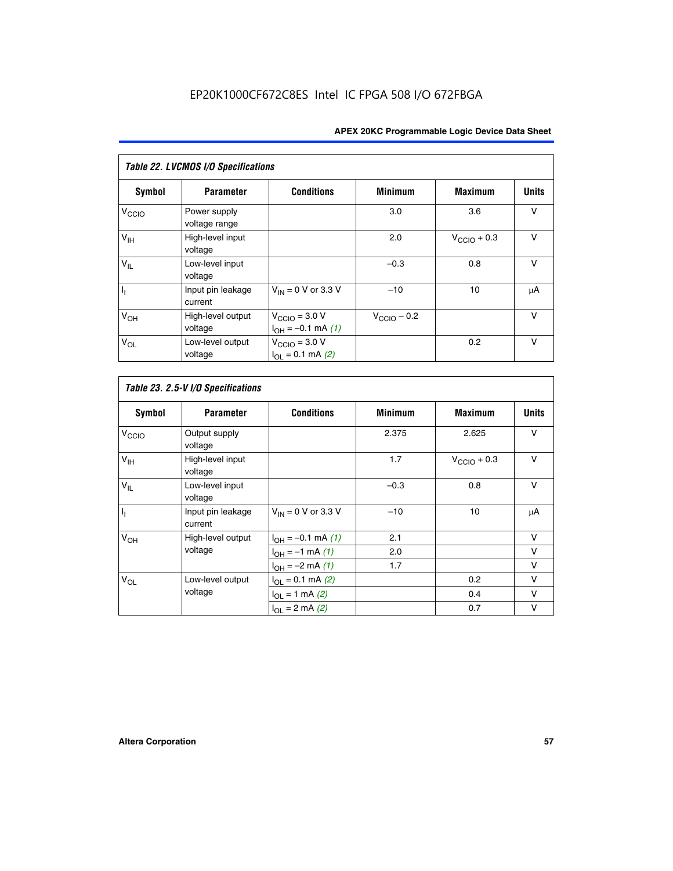| Table 22. LVCMOS I/O Specifications |                               |                                                          |                         |                         |              |  |  |
|-------------------------------------|-------------------------------|----------------------------------------------------------|-------------------------|-------------------------|--------------|--|--|
| <b>Symbol</b>                       | <b>Parameter</b>              | <b>Conditions</b>                                        | <b>Minimum</b>          | <b>Maximum</b>          | <b>Units</b> |  |  |
| V <sub>CCIO</sub>                   | Power supply<br>voltage range |                                                          | 3.0                     | 3.6                     | $\vee$       |  |  |
| V <sub>IH</sub>                     | High-level input<br>voltage   |                                                          | 2.0                     | $V_{\text{CCIO}} + 0.3$ | $\vee$       |  |  |
| $V_{IL}$                            | Low-level input<br>voltage    |                                                          | $-0.3$                  | 0.8                     | $\vee$       |  |  |
| $\overline{I_1}$                    | Input pin leakage<br>current  | $V_{IN}$ = 0 V or 3.3 V                                  | $-10$                   | 10                      | μA           |  |  |
| V <sub>OH</sub>                     | High-level output<br>voltage  | $V_{\text{CCIO}} = 3.0 V$<br>$I_{OH} = -0.1$ mA $(1)$    | $V_{\text{CCIO}} - 0.2$ |                         | $\vee$       |  |  |
| $V_{OL}$                            | Low-level output<br>voltage   | $V_{\text{CCIO}} = 3.0 V$<br>$I_{\Omega I} = 0.1$ mA (2) |                         | 0.2                     | $\vee$       |  |  |

|                   | Table 23. 2.5-V I/O Specifications |                         |                |                         |              |
|-------------------|------------------------------------|-------------------------|----------------|-------------------------|--------------|
| Symbol            | <b>Parameter</b>                   | <b>Conditions</b>       | <b>Minimum</b> | <b>Maximum</b>          | <b>Units</b> |
| V <sub>CCIO</sub> | Output supply<br>voltage           |                         | 2.375          | 2.625                   | v            |
| $V_{\text{IH}}$   | High-level input<br>voltage        |                         | 1.7            | $V_{\text{CCIO}} + 0.3$ | v            |
| $V_{IL}$          | Low-level input<br>voltage         |                         | $-0.3$         | 0.8                     | V            |
| $I_1$             | Input pin leakage<br>current       | $V_{IN}$ = 0 V or 3.3 V | $-10$          | 10                      | μA           |
| V <sub>OH</sub>   | High-level output                  | $I_{OH} = -0.1$ mA (1)  | 2.1            |                         | v            |
|                   | voltage                            | $I_{OH} = -1$ mA (1)    | 2.0            |                         | v            |
|                   |                                    | $I_{OH} = -2$ mA (1)    | 1.7            |                         | v            |
| $V_{OL}$          | Low-level output                   | $I_{OL} = 0.1$ mA (2)   |                | 0.2                     | v            |
|                   | voltage                            | $I_{OL} = 1$ mA (2)     |                | 0.4                     | v            |
|                   |                                    | $I_{OL} = 2$ mA (2)     |                | 0.7                     | v            |

r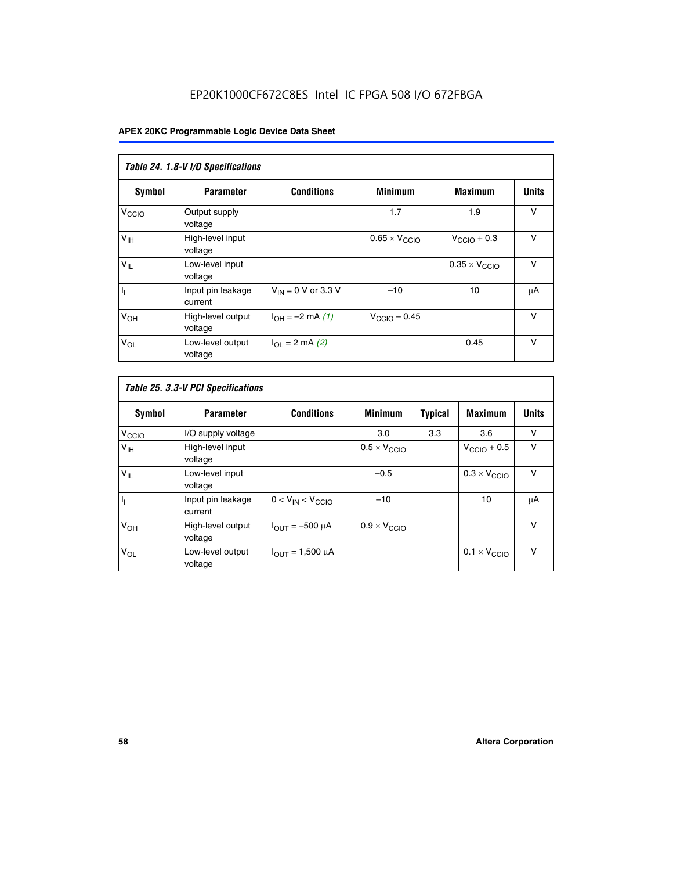|                            | Table 24. 1.8-V I/O Specifications |                           |                               |                               |              |  |  |  |
|----------------------------|------------------------------------|---------------------------|-------------------------------|-------------------------------|--------------|--|--|--|
| Symbol                     | <b>Parameter</b>                   | <b>Conditions</b>         | <b>Minimum</b>                | <b>Maximum</b>                | <b>Units</b> |  |  |  |
| V <sub>CCIO</sub>          | Output supply<br>voltage           |                           | 1.7                           | 1.9                           | $\vee$       |  |  |  |
| V <sub>IH</sub>            | High-level input<br>voltage        |                           | $0.65 \times V_{\text{CCIO}}$ | $V_{\text{CCIO}} + 0.3$       | $\vee$       |  |  |  |
| $\mathsf{V}_{\mathsf{IL}}$ | Low-level input<br>voltage         |                           |                               | $0.35 \times V_{\text{CCIO}}$ | $\vee$       |  |  |  |
| $I_1$                      | Input pin leakage<br>current       | $V_{IN}$ = 0 V or 3.3 V   | $-10$                         | 10                            | μA           |  |  |  |
| V <sub>OH</sub>            | High-level output<br>voltage       | $I_{OH} = -2$ mA (1)      | $V_{\text{CCIO}} - 0.45$      |                               | V            |  |  |  |
| $V_{OL}$                   | Low-level output<br>voltage        | $I_{\Omega I}$ = 2 mA (2) |                               | 0.45                          | $\vee$       |  |  |  |

|                   | Table 25. 3.3-V PCI Specifications |                         |                              |                |                              |              |  |  |
|-------------------|------------------------------------|-------------------------|------------------------------|----------------|------------------------------|--------------|--|--|
| <b>Symbol</b>     | <b>Parameter</b>                   | <b>Conditions</b>       | <b>Minimum</b>               | <b>Typical</b> | <b>Maximum</b>               | <b>Units</b> |  |  |
| V <sub>CCIO</sub> | I/O supply voltage                 |                         | 3.0                          | 3.3            | 3.6                          | v            |  |  |
| V <sub>IH</sub>   | High-level input<br>voltage        |                         | $0.5 \times V_{\text{CCIO}}$ |                | $V_{\text{CCIO}} + 0.5$      | $\vee$       |  |  |
| $V_{IL}$          | Low-level input<br>voltage         |                         | $-0.5$                       |                | $0.3 \times V_{\text{CCIO}}$ | v            |  |  |
| h                 | Input pin leakage<br>current       | $0 < V_{IN} < V_{CCIO}$ | $-10$                        |                | 10                           | μA           |  |  |
| V <sub>OH</sub>   | High-level output<br>voltage       | $I_{OUT} = -500 \mu A$  | $0.9 \times V_{\text{CCIO}}$ |                |                              | v            |  |  |
| $V_{OL}$          | Low-level output<br>voltage        | $I_{OUT} = 1,500 \mu A$ |                              |                | $0.1 \times V_{\text{CCIO}}$ | v            |  |  |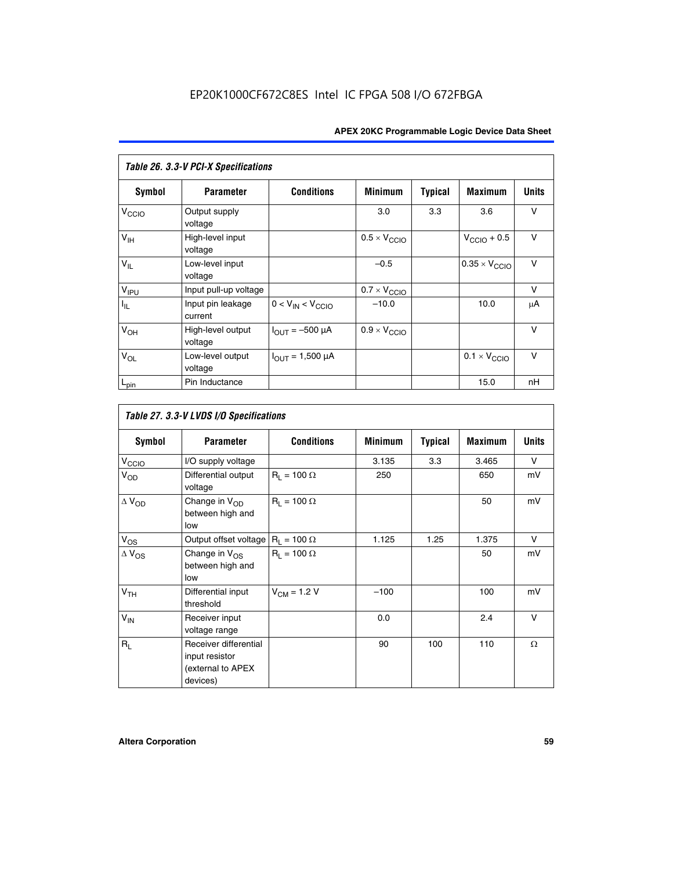| Table 26. 3.3-V PCI-X Specifications |                              |                                |                              |                |                         |              |
|--------------------------------------|------------------------------|--------------------------------|------------------------------|----------------|-------------------------|--------------|
| <b>Symbol</b>                        | <b>Parameter</b>             | <b>Conditions</b>              | <b>Minimum</b>               | <b>Typical</b> | <b>Maximum</b>          | <b>Units</b> |
| V <sub>CCIO</sub>                    | Output supply<br>voltage     |                                | 3.0                          | 3.3            | 3.6                     | v            |
| $V_{\text{IH}}$                      | High-level input<br>voltage  |                                | $0.5 \times V_{\text{CCIO}}$ |                | $V_{\text{CCIO}} + 0.5$ | $\vee$       |
| $V_{IL}$                             | Low-level input<br>voltage   |                                | $-0.5$                       |                | $0.35 \times V_{CCIO}$  | $\vee$       |
| V <sub>IPU</sub>                     | Input pull-up voltage        |                                | $0.7 \times V_{\text{CCIO}}$ |                |                         | V            |
| $I_{\rm IL}$                         | Input pin leakage<br>current | $0 < V_{IN} < V_{CCIO}$        | $-10.0$                      |                | 10.0                    | μA           |
| $V_{OH}$                             | High-level output<br>voltage | $I_{OUT} = -500 \mu A$         | $0.9 \times V_{\text{CCIO}}$ |                |                         | $\vee$       |
| $V_{OL}$                             | Low-level output<br>voltage  | $I_{\text{OUT}} = 1,500 \mu A$ |                              |                | $0.1 \times V_{CCIO}$   | $\vee$       |
| $L_{pin}$                            | Pin Inductance               |                                |                              |                | 15.0                    | nH           |

|                          | Table 27. 3.3-V LVDS I/O Specifications                                  |                    |                |                |                |              |
|--------------------------|--------------------------------------------------------------------------|--------------------|----------------|----------------|----------------|--------------|
| Symbol                   | <b>Parameter</b>                                                         | <b>Conditions</b>  | <b>Minimum</b> | <b>Typical</b> | <b>Maximum</b> | <b>Units</b> |
| V <sub>C</sub> CO        | I/O supply voltage                                                       |                    | 3.135          | 3.3            | 3.465          | $\vee$       |
| $V_{OD}$                 | Differential output<br>voltage                                           | $R_1 = 100 \Omega$ | 250            |                | 650            | mV           |
| $\Delta$ V <sub>OD</sub> | Change in V <sub>OD</sub><br>between high and<br>low                     | $R_1 = 100 \Omega$ |                |                | 50             | mV           |
| $V_{OS}$                 | Output offset voltage $R_1 = 100 \Omega$                                 |                    | 1.125          | 1.25           | 1.375          | V            |
| $\Delta$ V <sub>OS</sub> | Change in $V_{OS}$<br>between high and<br>low                            | $R_1 = 100 \Omega$ |                |                | 50             | mV           |
| V <sub>TH</sub>          | Differential input<br>threshold                                          | $V_{CM} = 1.2 V$   | $-100$         |                | 100            | mV           |
| $V_{IN}$                 | Receiver input<br>voltage range                                          |                    | 0.0            |                | 2.4            | $\vee$       |
| $R_{\rm I}$              | Receiver differential<br>input resistor<br>(external to APEX<br>devices) |                    | 90             | 100            | 110            | $\Omega$     |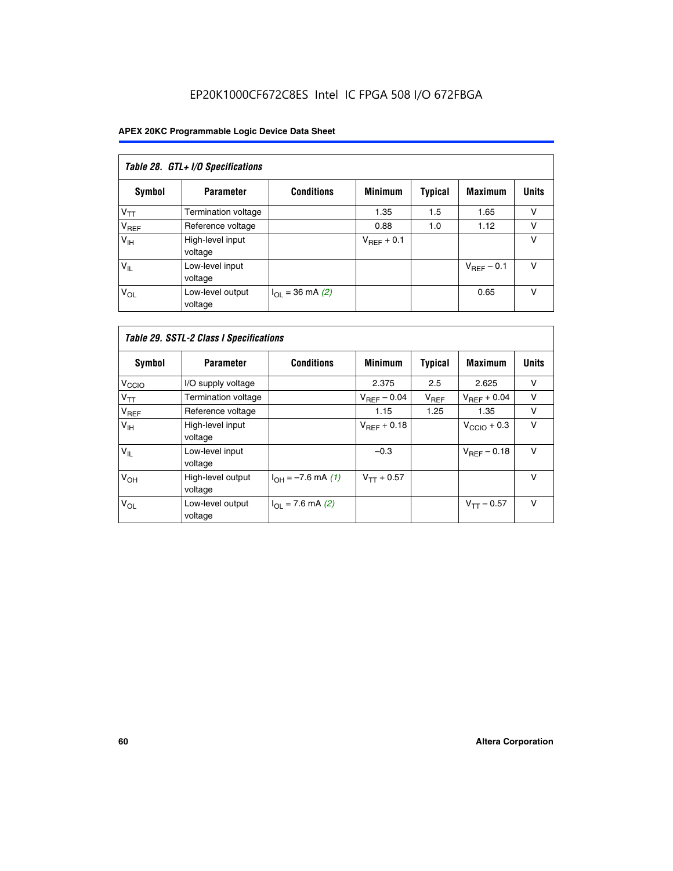# EP20K1000CF672C8ES Intel IC FPGA 508 I/O 672FBGA

| Table 28. GTL+ I/O Specifications |                             |                      |                 |                |                        |              |
|-----------------------------------|-----------------------------|----------------------|-----------------|----------------|------------------------|--------------|
| <b>Symbol</b>                     | <b>Parameter</b>            | <b>Conditions</b>    | <b>Minimum</b>  | <b>Typical</b> | <b>Maximum</b>         | <b>Units</b> |
| $V_{TT}$                          | <b>Termination voltage</b>  |                      | 1.35            | 1.5            | 1.65                   | v            |
| V <sub>REF</sub>                  | Reference voltage           |                      | 0.88            | 1.0            | 1.12                   | v            |
| V <sub>IH</sub>                   | High-level input<br>voltage |                      | $V_{REF}$ + 0.1 |                |                        | v            |
| $V_{IL}$                          | Low-level input<br>voltage  |                      |                 |                | $V_{\text{RFF}}$ – 0.1 | v            |
| $V_{OL}$                          | Low-level output<br>voltage | $I_{OL}$ = 36 mA (2) |                 |                | 0.65                   | v            |

| Table 29. SSTL-2 Class I Specifications |                              |                             |                         |                |                         |              |
|-----------------------------------------|------------------------------|-----------------------------|-------------------------|----------------|-------------------------|--------------|
| Symbol                                  | <b>Parameter</b>             | <b>Conditions</b>           | <b>Minimum</b>          | <b>Typical</b> | <b>Maximum</b>          | <b>Units</b> |
| V <sub>CCIO</sub>                       | I/O supply voltage           |                             | 2.375                   | 2.5            | 2.625                   | v            |
| $V_{TT}$                                | <b>Termination voltage</b>   |                             | $V_{\text{BFF}} - 0.04$ | $V_{REF}$      | $V_{REF}$ + 0.04        | $\vee$       |
| V <sub>REF</sub>                        | Reference voltage            |                             | 1.15                    | 1.25           | 1.35                    | v            |
| V <sub>IH</sub>                         | High-level input<br>voltage  |                             | $V_{\text{BFF}} + 0.18$ |                | $V_{\text{CCIO}} + 0.3$ | v            |
| $V_{IL}$                                | Low-level input<br>voltage   |                             | $-0.3$                  |                | $V_{BEF}$ – 0.18        | $\vee$       |
| V <sub>OH</sub>                         | High-level output<br>voltage | $I_{OH} = -7.6$ mA (1)      | $V_{TT} + 0.57$         |                |                         | $\vee$       |
| $V_{OL}$                                | Low-level output<br>voltage  | $I_{\Omega I}$ = 7.6 mA (2) |                         |                | $V_{TT} - 0.57$         | $\vee$       |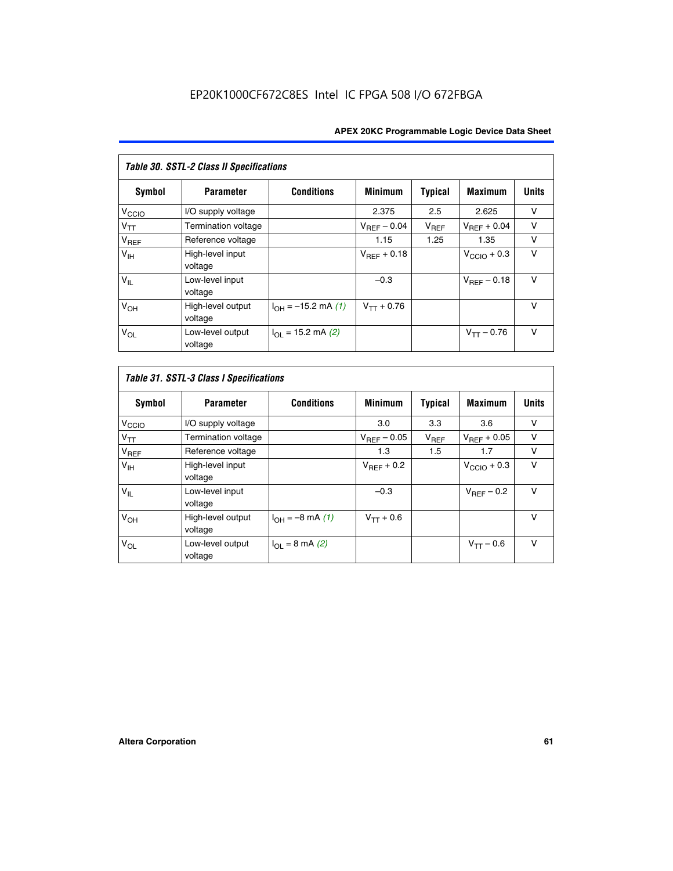| <b>Table 30. SSTL-2 Class II Specifications</b> |                              |                              |                         |                |                         |              |
|-------------------------------------------------|------------------------------|------------------------------|-------------------------|----------------|-------------------------|--------------|
| Symbol                                          | <b>Parameter</b>             | <b>Conditions</b>            | <b>Minimum</b>          | <b>Typical</b> | <b>Maximum</b>          | <b>Units</b> |
| V <sub>CCIO</sub>                               | I/O supply voltage           |                              | 2.375                   | 2.5            | 2.625                   | v            |
| $V_{TT}$                                        | Termination voltage          |                              | $V_{REF} - 0.04$        | $V_{REF}$      | $V_{BFF} + 0.04$        | $\vee$       |
| $V_{REF}$                                       | Reference voltage            |                              | 1.15                    | 1.25           | 1.35                    | v            |
| V <sub>IH</sub>                                 | High-level input<br>voltage  |                              | $V_{\text{RFF}} + 0.18$ |                | $V_{\text{CCIO}} + 0.3$ | $\vee$       |
| $V_{IL}$                                        | Low-level input<br>voltage   |                              | $-0.3$                  |                | $V_{BFE} - 0.18$        | $\vee$       |
| V <sub>OH</sub>                                 | High-level output<br>voltage | $I_{OH} = -15.2$ mA (1)      | $V_{TT} + 0.76$         |                |                         | $\vee$       |
| $V_{OL}$                                        | Low-level output<br>voltage  | $I_{\Omega I}$ = 15.2 mA (2) |                         |                | $V_{TT} - 0.76$         | $\vee$       |

|  |  |  | Table 31. SSTL-3 Class I Specifications |
|--|--|--|-----------------------------------------|
|--|--|--|-----------------------------------------|

| Symbol            | <b>Parameter</b>             | <b>Conditions</b>         | <b>Minimum</b>          | Typical   | <b>Maximum</b>          | <b>Units</b> |
|-------------------|------------------------------|---------------------------|-------------------------|-----------|-------------------------|--------------|
| V <sub>CCIO</sub> | I/O supply voltage           |                           | 3.0                     | 3.3       | 3.6                     | ν            |
| $V_{TT}$          | Termination voltage          |                           | $V_{\text{BFF}} - 0.05$ | $V_{REF}$ | $V_{\text{RFF}} + 0.05$ | v            |
| $V_{REF}$         | Reference voltage            |                           | 1.3                     | 1.5       | 1.7                     | v            |
| V <sub>IH</sub>   | High-level input<br>voltage  |                           | $V_{BFF}$ + 0.2         |           | $V_{\text{CCIO}} + 0.3$ | v            |
| $V_{IL}$          | Low-level input<br>voltage   |                           | $-0.3$                  |           | $V_{BFE}$ – 0.2         | $\vee$       |
| V <sub>OH</sub>   | High-level output<br>voltage | $I_{OH} = -8$ mA (1)      | $V_{TT} + 0.6$          |           |                         | v            |
| $V_{OL}$          | Low-level output<br>voltage  | $I_{\Omega I}$ = 8 mA (2) |                         |           | $V_{TT} - 0.6$          | $\vee$       |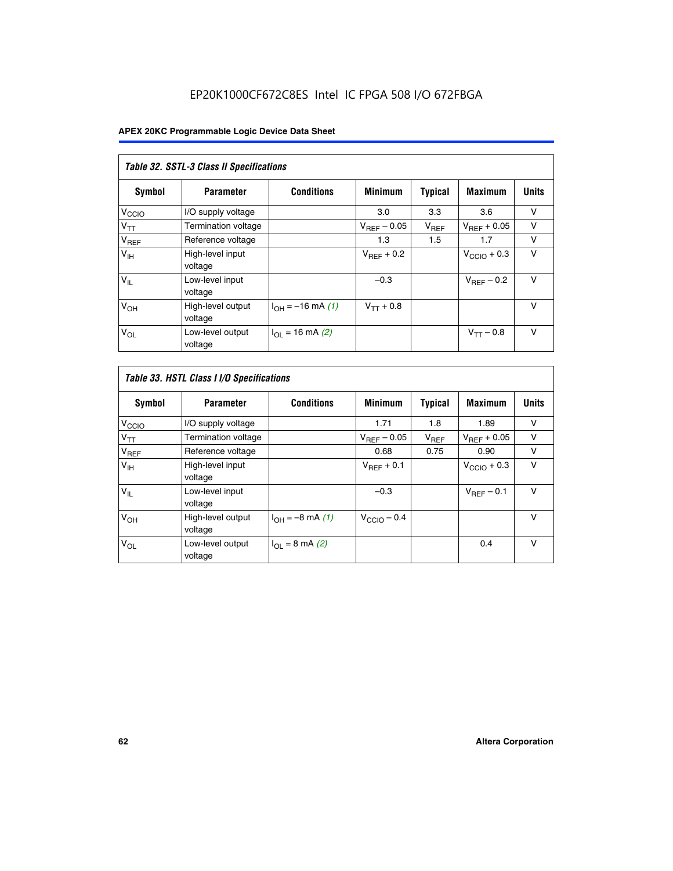| Table 32. SSTL-3 Class II Specifications |                              |                          |                  |                |                         |              |
|------------------------------------------|------------------------------|--------------------------|------------------|----------------|-------------------------|--------------|
| <b>Symbol</b>                            | <b>Parameter</b>             | <b>Conditions</b>        | <b>Minimum</b>   | <b>Typical</b> | <b>Maximum</b>          | <b>Units</b> |
| $V_{\text{CCIO}}$                        | I/O supply voltage           |                          | 3.0              | 3.3            | 3.6                     | v            |
| $V_{TT}$                                 | Termination voltage          |                          | $V_{REF} - 0.05$ | $V_{REF}$      | $V_{\text{RFF}} + 0.05$ | v            |
| $V_{REF}$                                | Reference voltage            |                          | 1.3              | 1.5            | 1.7                     | v            |
| $V_{\text{IH}}$                          | High-level input<br>voltage  |                          | $V_{REF}$ + 0.2  |                | $V_{\text{CCIO}} + 0.3$ | v            |
| $V_{IL}$                                 | Low-level input<br>voltage   |                          | $-0.3$           |                | $V_{\text{RFF}}$ – 0.2  | $\vee$       |
| V <sub>OH</sub>                          | High-level output<br>voltage | $I_{OH} = -16$ mA (1)    | $V_{TT} + 0.8$   |                |                         | $\vee$       |
| $V_{OL}$                                 | Low-level output<br>voltage  | $I_{\Omega}$ = 16 mA (2) |                  |                | $V_{TT} - 0.8$          | v            |

| Table 33. HSTL Class I I/O Specifications |                              |                              |                         |                |                         |              |
|-------------------------------------------|------------------------------|------------------------------|-------------------------|----------------|-------------------------|--------------|
| <b>Symbol</b>                             | <b>Parameter</b>             | <b>Conditions</b>            | <b>Minimum</b>          | <b>Typical</b> | <b>Maximum</b>          | <b>Units</b> |
| V <sub>CCIO</sub>                         | I/O supply voltage           |                              | 1.71                    | 1.8            | 1.89                    | v            |
| $V_{TT}$                                  | <b>Termination voltage</b>   |                              | $V_{REF} - 0.05$        | $V_{REF}$      | $V_{\text{RFF}} + 0.05$ | $\vee$       |
| $V_{REF}$                                 | Reference voltage            |                              | 0.68                    | 0.75           | 0.90                    | v            |
| V <sub>IH</sub>                           | High-level input<br>voltage  |                              | $V_{REF}$ + 0.1         |                | $V_{\text{CCIO}} + 0.3$ | $\vee$       |
| $V_{IL}$                                  | Low-level input<br>voltage   |                              | $-0.3$                  |                | $V_{\text{REF}}$ – 0.1  | $\vee$       |
| V <sub>OH</sub>                           | High-level output<br>voltage | $I_{OH} = -8 \text{ mA} (1)$ | $V_{\text{CCIO}} - 0.4$ |                |                         | $\vee$       |
| $V_{OL}$                                  | Low-level output<br>voltage  | $I_{OL} = 8 \text{ mA} (2)$  |                         |                | 0.4                     | $\vee$       |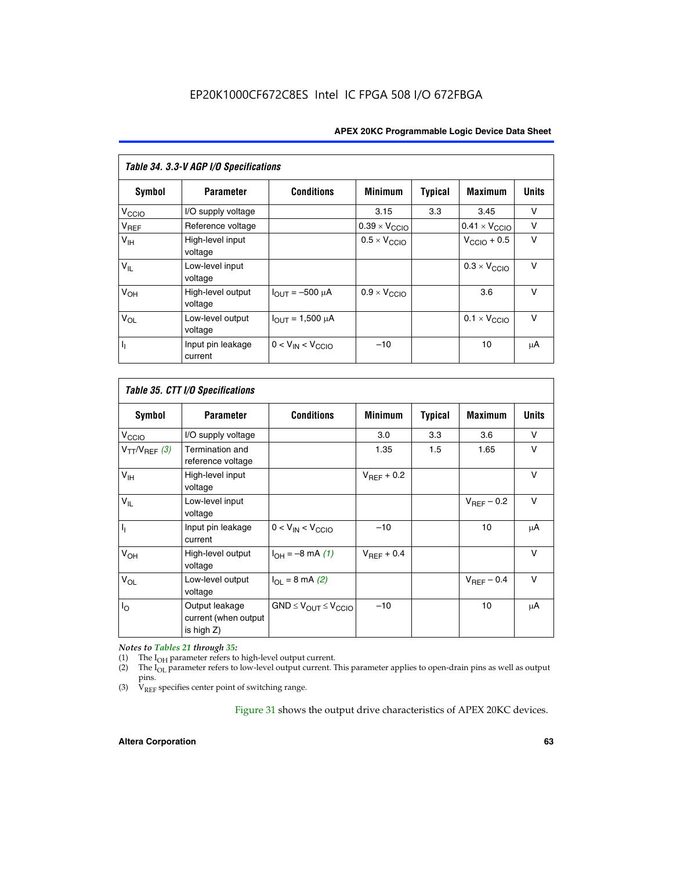| Table 34. 3.3-V AGP I/O Specifications |                              |                         |                               |                |                               |              |
|----------------------------------------|------------------------------|-------------------------|-------------------------------|----------------|-------------------------------|--------------|
| Symbol                                 | <b>Parameter</b>             | <b>Conditions</b>       | <b>Minimum</b>                | <b>Typical</b> | <b>Maximum</b>                | <b>Units</b> |
| V <sub>CCIO</sub>                      | I/O supply voltage           |                         | 3.15                          | 3.3            | 3.45                          | $\vee$       |
| $V_{REF}$                              | Reference voltage            |                         | $0.39 \times V_{\text{CCIO}}$ |                | $0.41 \times V_{\text{CCIO}}$ | $\vee$       |
| V <sub>IH</sub>                        | High-level input<br>voltage  |                         | $0.5 \times V_{\text{CCIO}}$  |                | $V_{\text{CCIO}} + 0.5$       | $\vee$       |
| $V_{IL}$                               | Low-level input<br>voltage   |                         |                               |                | $0.3 \times V_{\text{CCIO}}$  | $\vee$       |
| V <sub>OH</sub>                        | High-level output<br>voltage | $I_{OUT} = -500 \mu A$  | $0.9 \times V_{\text{CCIO}}$  |                | 3.6                           | $\vee$       |
| $V_{OL}$                               | Low-level output<br>voltage  | $I_{OUT} = 1,500 \mu A$ |                               |                | $0.1 \times V_{CCIO}$         | $\vee$       |
| $\overline{I_1}$                       | Input pin leakage<br>current | $0 < V_{IN} < V_{CCIO}$ | $-10$                         |                | 10                            | μA           |

| Table 35. CTT I/O Specifications |                                                      |                                  |                 |         |                        |              |
|----------------------------------|------------------------------------------------------|----------------------------------|-----------------|---------|------------------------|--------------|
| <b>Symbol</b>                    | <b>Parameter</b>                                     | <b>Conditions</b>                | <b>Minimum</b>  | Typical | <b>Maximum</b>         | <b>Units</b> |
| V <sub>CCIO</sub>                | I/O supply voltage                                   |                                  | 3.0             | 3.3     | 3.6                    | V            |
| $V_{TT}/V_{REF}$ (3)             | Termination and<br>reference voltage                 |                                  | 1.35            | 1.5     | 1.65                   | V            |
| $V_{\text{IH}}$                  | High-level input<br>voltage                          |                                  | $V_{REF}$ + 0.2 |         |                        | $\vee$       |
| $V_{IL}$                         | Low-level input<br>voltage                           |                                  |                 |         | $V_{\text{RFF}}$ – 0.2 | $\vee$       |
| π                                | Input pin leakage<br>current                         | $0 < V_{IN} < V_{CCIO}$          | $-10$           |         | 10                     | μA           |
| V <sub>OH</sub>                  | High-level output<br>voltage                         | $I_{OH} = -8$ mA (1)             | $V_{BFF}$ + 0.4 |         |                        | $\vee$       |
| $V_{OL}$                         | Low-level output<br>voltage                          | $I_{OL} = 8$ mA (2)              |                 |         | $V_{REF}$ – 0.4        | $\vee$       |
| $I_{\rm O}$                      | Output leakage<br>current (when output<br>is high Z) | $GND \leq V_{OUT} \leq V_{CCIO}$ | $-10$           |         | 10                     | μA           |

*Notes to Tables 21 through 35:*

(1) The  $I_{OH}$  parameter refers to high-level output current.<br>
(2) The  $I_{OL}$  parameter refers to low-level output current. T

The I<sub>OL</sub> parameter refers to low-level output current. This parameter applies to open-drain pins as well as output pins.

(3)  $\hat{V}_{REF}$  specifies center point of switching range.

Figure 31 shows the output drive characteristics of APEX 20KC devices.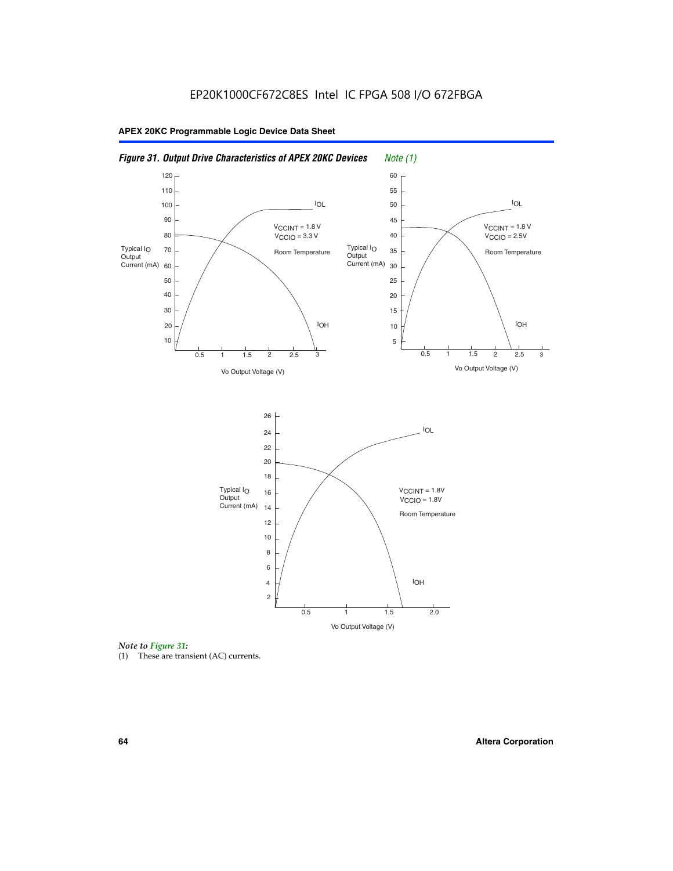



(1) These are transient (AC) currents.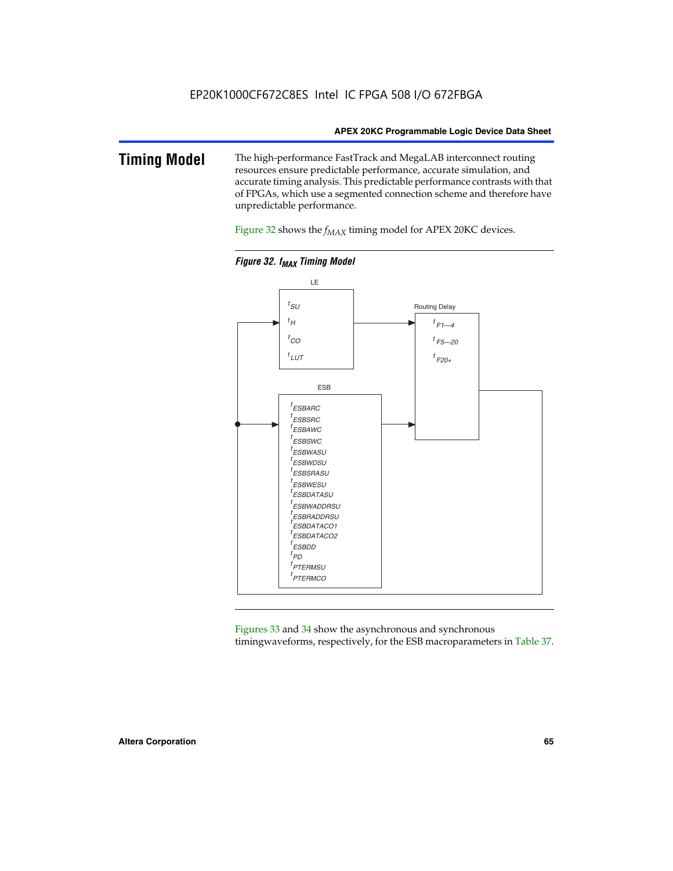### **Timing Model** The high-performance FastTrack and MegaLAB interconnect routing resources ensure predictable performance, accurate simulation, and accurate timing analysis. This predictable performance contrasts with that of FPGAs, which use a segmented connection scheme and therefore have unpredictable performance.

Figure 32 shows the  $f_{MAX}$  timing model for APEX 20KC devices.



**Figure 32. f<sub>MAX</sub> Timing Model** 

Figures 33 and 34 show the asynchronous and synchronous timingwaveforms, respectively, for the ESB macroparameters in Table 37.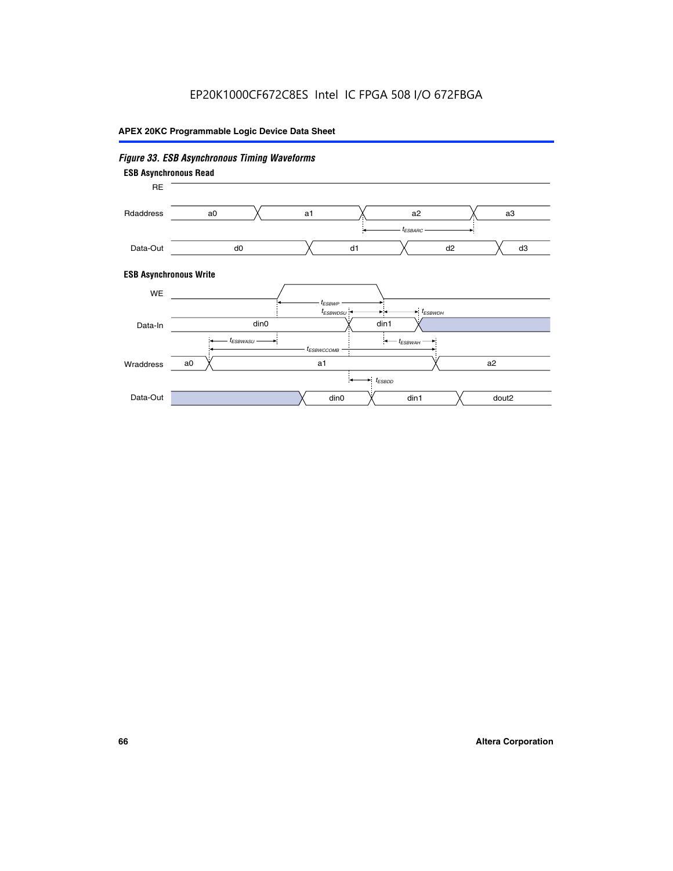# EP20K1000CF672C8ES Intel IC FPGA 508 I/O 672FBGA

### **APEX 20KC Programmable Logic Device Data Sheet**

### *Figure 33. ESB Asynchronous Timing Waveforms* **ESB Asynchronous Write ESB Asynchronous Read** RE a0 d0 d3  $t_{ESBARC}$ a1 *入* a2 *入* a3 d1 d2 Rdaddress Data-Out WE a0  $dim1$   $\times$   $dom2$  $t_{ESBDD}$ a1 a2 din1 din0  $t_{ESBWCCOMB}$  $t_{ESBWASU} \longrightarrow t_{ESBWAH}$  $t_{ESBWDSU}$   $\leftarrow$   $\rightarrow$   $t_{ESBWDH}$  $t_{ESBWP}$ Data-In din0 Wraddress Data-Out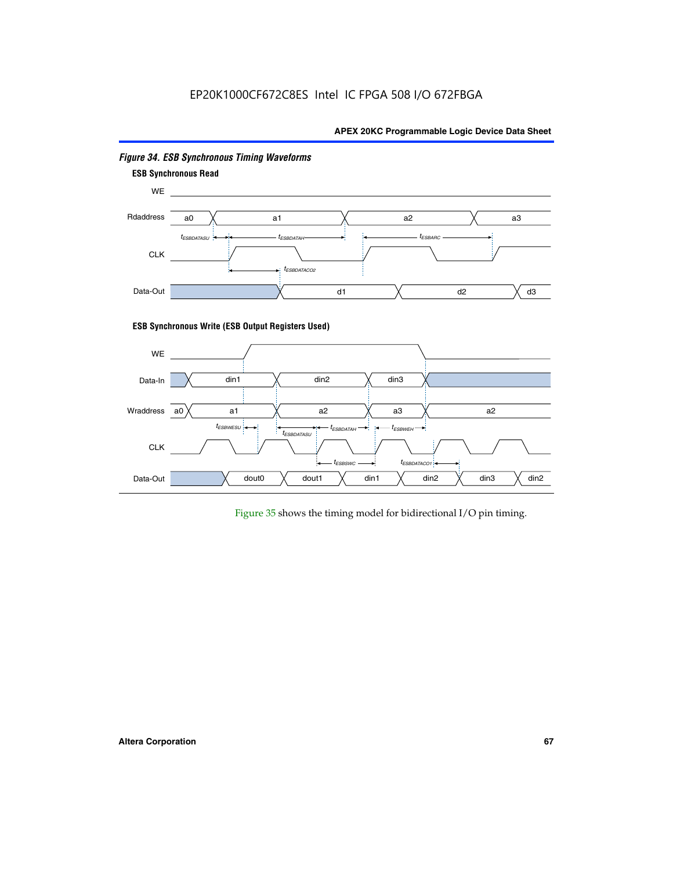# EP20K1000CF672C8ES Intel IC FPGA 508 I/O 672FBGA

### **APEX 20KC Programmable Logic Device Data Sheet**



### *Figure 34. ESB Synchronous Timing Waveforms*

Figure 35 shows the timing model for bidirectional I/O pin timing.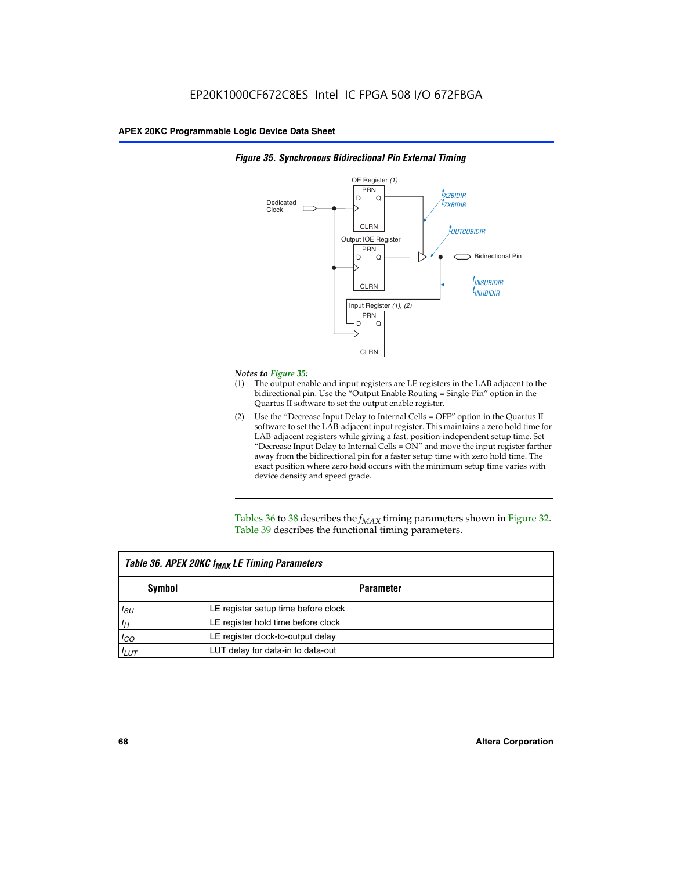

### *Figure 35. Synchronous Bidirectional Pin External Timing*

### *Notes to Figure 35:*

- (1) The output enable and input registers are LE registers in the LAB adjacent to the bidirectional pin. Use the "Output Enable Routing = Single-Pin" option in the Quartus II software to set the output enable register.
- (2) Use the "Decrease Input Delay to Internal Cells = OFF" option in the Quartus II software to set the LAB-adjacent input register. This maintains a zero hold time for LAB-adjacent registers while giving a fast, position-independent setup time. Set "Decrease Input Delay to Internal Cells  $= ON''$  and move the input register farther away from the bidirectional pin for a faster setup time with zero hold time. The exact position where zero hold occurs with the minimum setup time varies with device density and speed grade.

Tables 36 to 38 describes the  $f_{MAX}$  timing parameters shown in Figure 32. Table 39 describes the functional timing parameters.

| Table 36. APEX 20KC f <sub>MAX</sub> LE Timing Parameters |                                     |  |  |  |
|-----------------------------------------------------------|-------------------------------------|--|--|--|
| Symbol                                                    | Parameter                           |  |  |  |
| $t_{SU}$                                                  | LE register setup time before clock |  |  |  |
| $t_H$                                                     | LE register hold time before clock  |  |  |  |
| $t_{CO}$                                                  | LE register clock-to-output delay   |  |  |  |
| $t_{LUT}$                                                 | LUT delay for data-in to data-out   |  |  |  |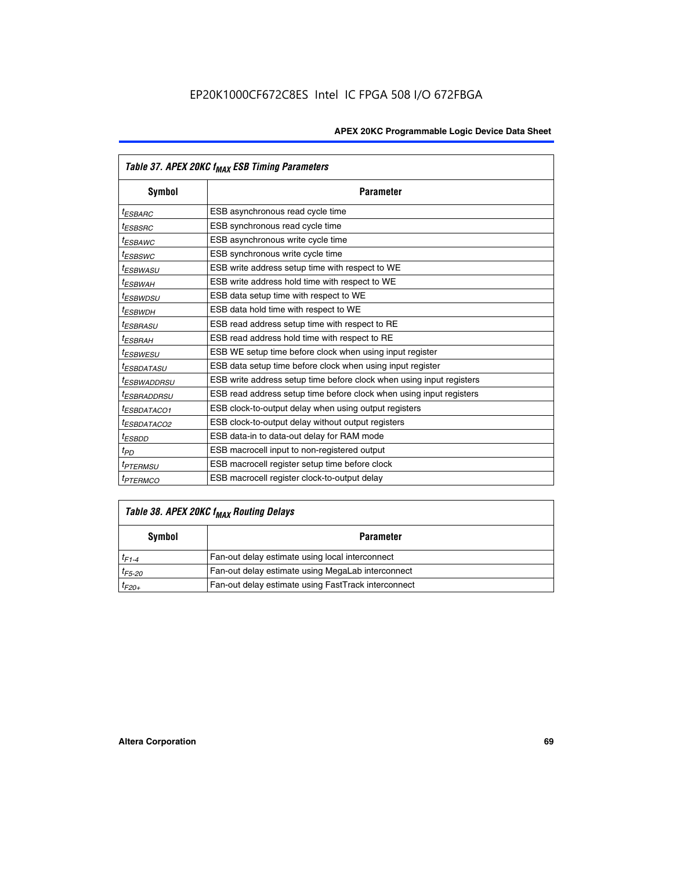| Table 37. APEX 20KC f <sub>MAX</sub> ESB Timing Parameters |                                                                      |  |  |  |
|------------------------------------------------------------|----------------------------------------------------------------------|--|--|--|
| <b>Symbol</b>                                              | <b>Parameter</b>                                                     |  |  |  |
| <sup>t</sup> ESBARC                                        | ESB asynchronous read cycle time                                     |  |  |  |
| <i>t<sub>ESBSRC</sub></i>                                  | ESB synchronous read cycle time                                      |  |  |  |
| <sup>t</sup> ESBAWC                                        | ESB asynchronous write cycle time                                    |  |  |  |
| <sup>t</sup> ESBSWC                                        | ESB synchronous write cycle time                                     |  |  |  |
| <sup>t</sup> ESBWASU                                       | ESB write address setup time with respect to WE                      |  |  |  |
| t <sub>ESBWAH</sub>                                        | ESB write address hold time with respect to WE                       |  |  |  |
| <sup>t</sup> ESBWDSU                                       | ESB data setup time with respect to WE                               |  |  |  |
| <sup>t</sup> ESBWDH                                        | ESB data hold time with respect to WE                                |  |  |  |
| <sup>t</sup> ESBRASU                                       | ESB read address setup time with respect to RE                       |  |  |  |
| <sup>t</sup> ESBRAH                                        | ESB read address hold time with respect to RE                        |  |  |  |
| <sup>I</sup> ESBWESU                                       | ESB WE setup time before clock when using input register             |  |  |  |
| <sup>t</sup> ESBDATASU                                     | ESB data setup time before clock when using input register           |  |  |  |
| <sup>t</sup> ESBWADDRSU                                    | ESB write address setup time before clock when using input registers |  |  |  |
| <sup>I</sup> ESBRADDRSU                                    | ESB read address setup time before clock when using input registers  |  |  |  |
| <sup>I</sup> ESBDATACO1                                    | ESB clock-to-output delay when using output registers                |  |  |  |
| <sup>I</sup> ESBDATACO2                                    | ESB clock-to-output delay without output registers                   |  |  |  |
| <sup>t</sup> ESBDD                                         | ESB data-in to data-out delay for RAM mode                           |  |  |  |
| $t_{PD}$                                                   | ESB macrocell input to non-registered output                         |  |  |  |
| <sup>t</sup> PTERMSU                                       | ESB macrocell register setup time before clock                       |  |  |  |
| <sup>t</sup> PTERMCO                                       | ESB macrocell register clock-to-output delay                         |  |  |  |

# *Table 38. APEX 20KC fMAX Routing Delays*

| Symbol      | <b>Parameter</b>                                    |
|-------------|-----------------------------------------------------|
| $t_{F1-4}$  | Fan-out delay estimate using local interconnect     |
| $t_{F5-20}$ | Fan-out delay estimate using MegaLab interconnect   |
| $t_{F20+}$  | Fan-out delay estimate using FastTrack interconnect |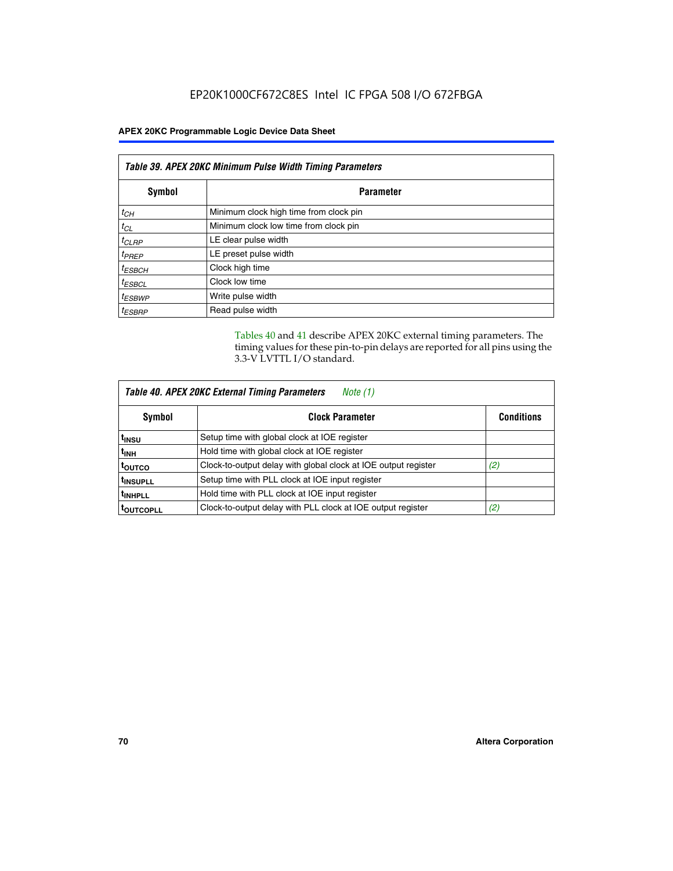| Table 39. APEX 20KC Minimum Pulse Width Timing Parameters |                                        |  |  |
|-----------------------------------------------------------|----------------------------------------|--|--|
| Symbol                                                    | <b>Parameter</b>                       |  |  |
| $t_{CH}$                                                  | Minimum clock high time from clock pin |  |  |
| $t_{CL}$                                                  | Minimum clock low time from clock pin  |  |  |
| $t_{CLRP}$                                                | LE clear pulse width                   |  |  |
| $t_{PREF}$                                                | LE preset pulse width                  |  |  |
| $t_{ESBCH}$                                               | Clock high time                        |  |  |
| $t_{ESBCL}$                                               | Clock low time                         |  |  |
| <sup>t</sup> ESBWP                                        | Write pulse width                      |  |  |
| <sup>t</sup> ESBRP                                        | Read pulse width                       |  |  |

Tables 40 and 41 describe APEX 20KC external timing parameters. The timing values for these pin-to-pin delays are reported for all pins using the 3.3-V LVTTL I/O standard.

| Table 40. APEX 20KC External Timing Parameters<br>Note (1) |                                                                |                   |  |  |
|------------------------------------------------------------|----------------------------------------------------------------|-------------------|--|--|
| Symbol                                                     | <b>Clock Parameter</b>                                         | <b>Conditions</b> |  |  |
| t <sub>insu</sub>                                          | Setup time with global clock at IOE register                   |                   |  |  |
| t <sub>inh</sub>                                           | Hold time with global clock at IOE register                    |                   |  |  |
| toutco                                                     | Clock-to-output delay with global clock at IOE output register | (2)               |  |  |
| <sup>t</sup> INSUPLL                                       | Setup time with PLL clock at IOE input register                |                   |  |  |
| <sup>t</sup> INHPLL                                        | Hold time with PLL clock at IOE input register                 |                   |  |  |
| <b>TOUTCOPLL</b>                                           | Clock-to-output delay with PLL clock at IOE output register    | (2)               |  |  |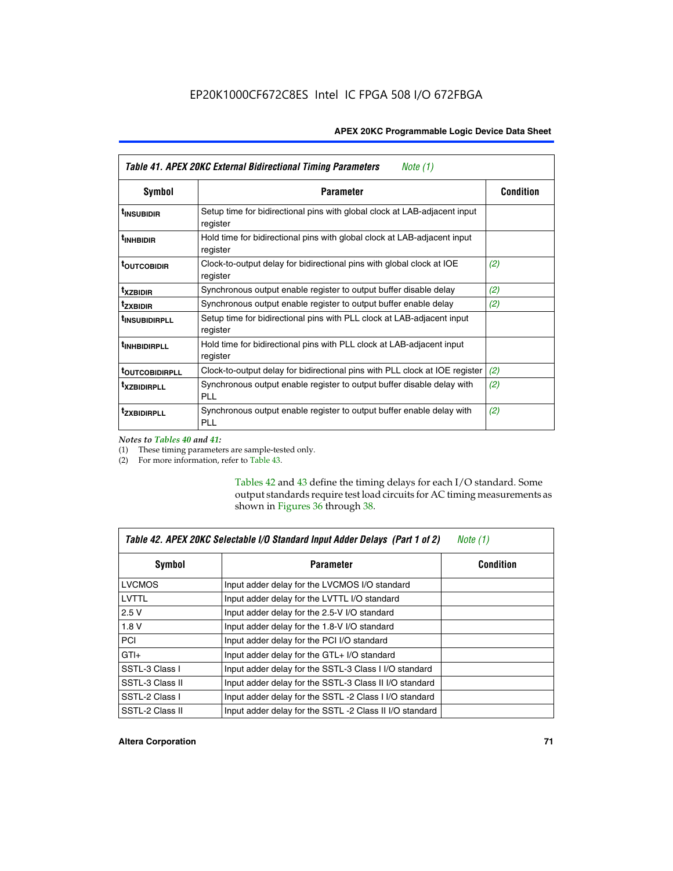| Table 41. APEX 20KC External Bidirectional Timing Parameters<br>Note (1) |                                                                                       |                  |  |
|--------------------------------------------------------------------------|---------------------------------------------------------------------------------------|------------------|--|
| Symbol                                                                   | <b>Parameter</b>                                                                      | <b>Condition</b> |  |
| <sup>t</sup> INSUBIDIR                                                   | Setup time for bidirectional pins with global clock at LAB-adjacent input<br>register |                  |  |
| <sup>t</sup> INHBIDIR                                                    | Hold time for bidirectional pins with global clock at LAB-adjacent input<br>register  |                  |  |
| <sup>t</sup> OUTCOBIDIR                                                  | Clock-to-output delay for bidirectional pins with global clock at IOE<br>register     | (2)              |  |
| <sup>t</sup> xzbidir                                                     | Synchronous output enable register to output buffer disable delay                     | (2)              |  |
| <sup>t</sup> zxbidir                                                     | Synchronous output enable register to output buffer enable delay                      | (2)              |  |
| <sup>t</sup> insubidirpll                                                | Setup time for bidirectional pins with PLL clock at LAB-adjacent input<br>register    |                  |  |
| <sup>t</sup> INHBIDIRPLL                                                 | Hold time for bidirectional pins with PLL clock at LAB-adjacent input<br>register     |                  |  |
| <b><sup>t</sup>OUTCOBIDIRPLL</b>                                         | Clock-to-output delay for bidirectional pins with PLL clock at IOE register           | (2)              |  |
| <sup>T</sup> XZBIDIRPLL                                                  | Synchronous output enable register to output buffer disable delay with<br>PL L        | (2)              |  |
| <sup>T</sup> ZXBIDIRPLL                                                  | Synchronous output enable register to output buffer enable delay with<br><b>PLL</b>   | (2)              |  |

*Notes to Tables 40 and 41:*

(1) These timing parameters are sample-tested only.

(2) For more information, refer to Table 43.

Tables 42 and 43 define the timing delays for each I/O standard. Some output standards require test load circuits for AC timing measurements as shown in Figures 36 through 38.

| Table 42. APEX 20KC Selectable I/O Standard Input Adder Delays (Part 1 of 2)<br>Note $(1)$ |                                                         |                  |  |
|--------------------------------------------------------------------------------------------|---------------------------------------------------------|------------------|--|
| Symbol                                                                                     | <b>Parameter</b>                                        | <b>Condition</b> |  |
| <b>LVCMOS</b>                                                                              | Input adder delay for the LVCMOS I/O standard           |                  |  |
| LVTTL                                                                                      | Input adder delay for the LVTTL I/O standard            |                  |  |
| 2.5V                                                                                       | Input adder delay for the 2.5-V I/O standard            |                  |  |
| 1.8V                                                                                       | Input adder delay for the 1.8-V I/O standard            |                  |  |
| <b>PCI</b>                                                                                 | Input adder delay for the PCI I/O standard              |                  |  |
| $GTI +$                                                                                    | Input adder delay for the GTL+ I/O standard             |                  |  |
| SSTL-3 Class I                                                                             | Input adder delay for the SSTL-3 Class I I/O standard   |                  |  |
| SSTL-3 Class II                                                                            | Input adder delay for the SSTL-3 Class II I/O standard  |                  |  |
| SSTL-2 Class I                                                                             | Input adder delay for the SSTL -2 Class I I/O standard  |                  |  |
| SSTL-2 Class II                                                                            | Input adder delay for the SSTL -2 Class II I/O standard |                  |  |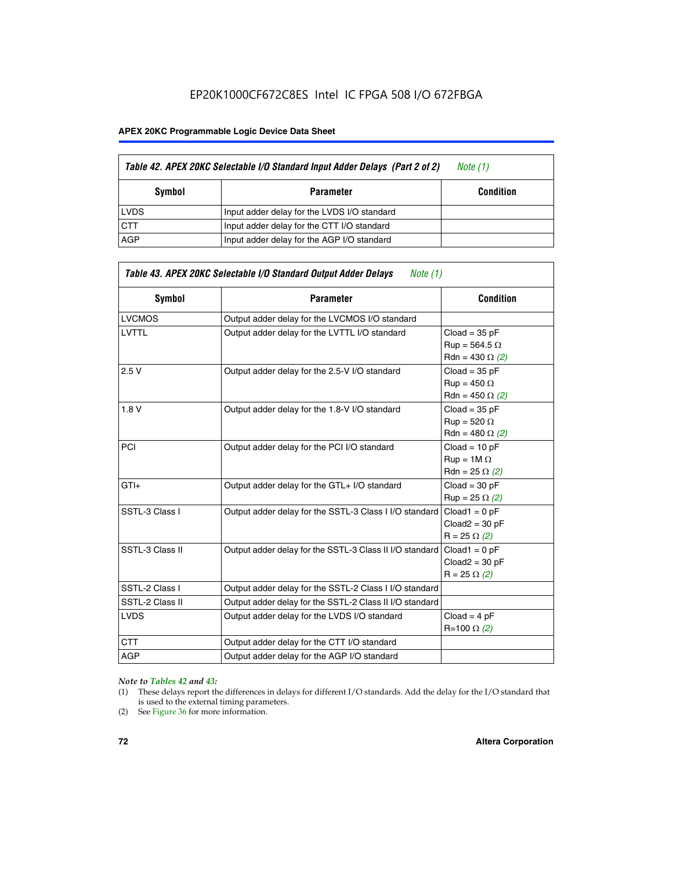# EP20K1000CF672C8ES Intel IC FPGA 508 I/O 672FBGA

#### **APEX 20KC Programmable Logic Device Data Sheet**

| Table 42. APEX 20KC Selectable I/O Standard Input Adder Delays (Part 2 of 2) | Note (1)                                    |                  |
|------------------------------------------------------------------------------|---------------------------------------------|------------------|
| Symbol                                                                       | <b>Parameter</b>                            | <b>Condition</b> |
| <b>LVDS</b>                                                                  | Input adder delay for the LVDS I/O standard |                  |
| <b>CTT</b>                                                                   | Input adder delay for the CTT I/O standard  |                  |
| AGP                                                                          | Input adder delay for the AGP I/O standard  |                  |

| <b>Symbol</b>   | <b>Parameter</b>                                        | <b>Condition</b>                                                  |
|-----------------|---------------------------------------------------------|-------------------------------------------------------------------|
| <b>LVCMOS</b>   | Output adder delay for the LVCMOS I/O standard          |                                                                   |
| <b>LVTTL</b>    | Output adder delay for the LVTTL I/O standard           | $Cloud = 35 pF$<br>$Run = 564.5 \Omega$<br>Rdn = 430 $\Omega$ (2) |
| 2.5V            | Output adder delay for the 2.5-V I/O standard           | $Cloud = 35 pF$<br>$Run = 450 \Omega$<br>Rdn = 450 $\Omega$ (2)   |
| 1.8V            | Output adder delay for the 1.8-V I/O standard           | $Cloud = 35 pF$<br>$Run = 520 \Omega$<br>Rdn = 480 $\Omega$ (2)   |
| <b>PCI</b>      | Output adder delay for the PCI I/O standard             | $Cloud = 10 pF$<br>$Run = 1M \Omega$<br>$Rdn = 25 \Omega (2)$     |
| $GTI +$         | Output adder delay for the GTL+ I/O standard            | $Cloud = 30 pF$<br>$Run = 25 \Omega (2)$                          |
| SSTL-3 Class I  | Output adder delay for the SSTL-3 Class I I/O standard  | $Cloud1 = 0 pF$<br>$Cloud2 = 30 pF$<br>$R = 25 \Omega (2)$        |
| SSTL-3 Class II | Output adder delay for the SSTL-3 Class II I/O standard | $Cloud1 = 0 pF$<br>$Cloud2 = 30 pF$<br>$R = 25 \Omega (2)$        |
| SSTL-2 Class I  | Output adder delay for the SSTL-2 Class I I/O standard  |                                                                   |
| SSTL-2 Class II | Output adder delay for the SSTL-2 Class II I/O standard |                                                                   |
| <b>LVDS</b>     | Output adder delay for the LVDS I/O standard            | $Cloud = 4 pF$<br>R=100 Ω (2)                                     |
| <b>CTT</b>      | Output adder delay for the CTT I/O standard             |                                                                   |
| <b>AGP</b>      | Output adder delay for the AGP I/O standard             |                                                                   |
|                 |                                                         |                                                                   |

#### *Note to Tables 42 and 43:*

- (1) These delays report the differences in delays for different I/O standards. Add the delay for the I/O standard that is used to the external timing parameters.
- (2) See Figure 36 for more information.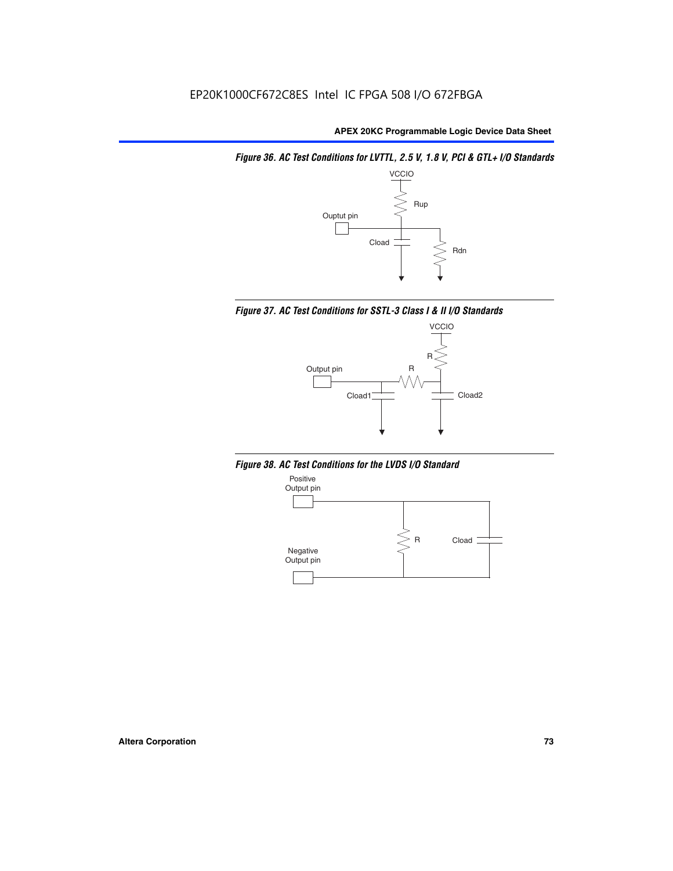*Figure 36. AC Test Conditions for LVTTL, 2.5 V, 1.8 V, PCI & GTL+ I/O Standards*







*Figure 38. AC Test Conditions for the LVDS I/O Standard*

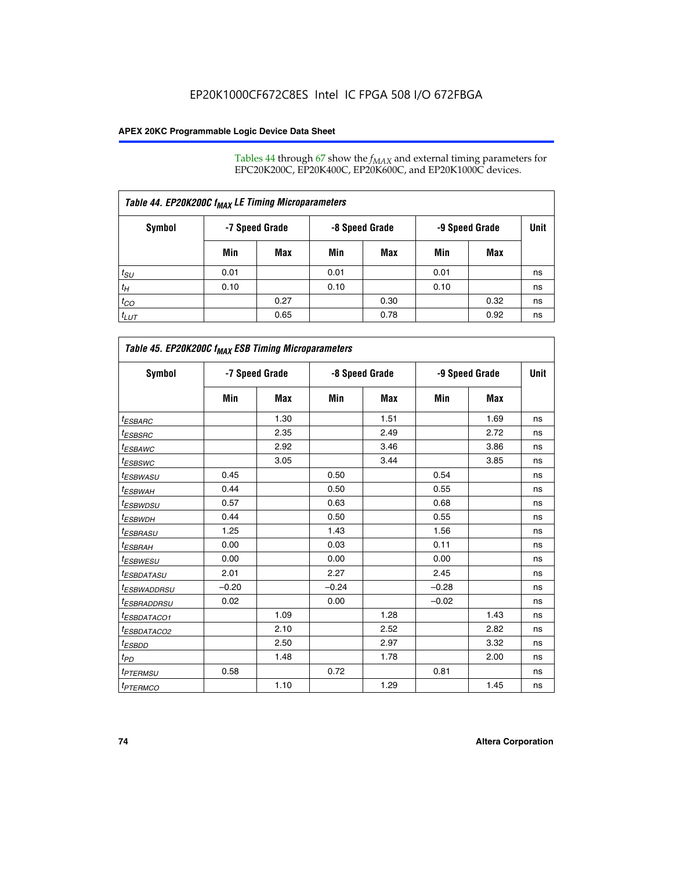Tables 44 through 67 show the  $f_{MAX}$  and external timing parameters for EPC20K200C, EP20K400C, EP20K600C, and EP20K1000C devices.

| Table 44. EP20K200C f <sub>MAX</sub> LE Timing Microparameters |                |      |                |      |                |      |      |  |  |  |
|----------------------------------------------------------------|----------------|------|----------------|------|----------------|------|------|--|--|--|
| Symbol                                                         | -7 Speed Grade |      | -8 Speed Grade |      | -9 Speed Grade |      | Unit |  |  |  |
|                                                                | Min            | Max  | Min            | Max  | Min            | Max  |      |  |  |  |
| $t_{\scriptstyle SU}$                                          | 0.01           |      | 0.01           |      | 0.01           |      | ns   |  |  |  |
| $t_H$                                                          | 0.10           |      | 0.10           |      | 0.10           |      | ns   |  |  |  |
| $t_{CO}$                                                       |                | 0.27 |                | 0.30 |                | 0.32 | ns   |  |  |  |
| $t_{LUT}$                                                      |                | 0.65 |                | 0.78 |                | 0.92 | ns   |  |  |  |

| Table 45. EP20K200C f <sub>MAX</sub> ESB Timing Microparameters |         |                |         |                |         |                |    |  |  |  |
|-----------------------------------------------------------------|---------|----------------|---------|----------------|---------|----------------|----|--|--|--|
| <b>Symbol</b>                                                   |         | -7 Speed Grade |         | -8 Speed Grade |         | -9 Speed Grade |    |  |  |  |
|                                                                 | Min     | Max            | Min     | <b>Max</b>     | Min     | <b>Max</b>     |    |  |  |  |
| t <sub>ESBARC</sub>                                             |         | 1.30           |         | 1.51           |         | 1.69           | ns |  |  |  |
| $t_{ESBSRC}$                                                    |         | 2.35           |         | 2.49           |         | 2.72           | ns |  |  |  |
| t <sub>ESBAWC</sub>                                             |         | 2.92           |         | 3.46           |         | 3.86           | ns |  |  |  |
| <sup>t</sup> ESBSWC                                             |         | 3.05           |         | 3.44           |         | 3.85           | ns |  |  |  |
| <sup>t</sup> ESBWASU                                            | 0.45    |                | 0.50    |                | 0.54    |                | ns |  |  |  |
| <sup>t</sup> ESBWAH                                             | 0.44    |                | 0.50    |                | 0.55    |                | ns |  |  |  |
| <sup>t</sup> ESBWDSU                                            | 0.57    |                | 0.63    |                | 0.68    |                | ns |  |  |  |
| <sup>t</sup> ESBWDH                                             | 0.44    |                | 0.50    |                | 0.55    |                | ns |  |  |  |
| t <sub>ESBRASU</sub>                                            | 1.25    |                | 1.43    |                | 1.56    |                | ns |  |  |  |
| t <sub>ESBRAH</sub>                                             | 0.00    |                | 0.03    |                | 0.11    |                | ns |  |  |  |
| <sup>t</sup> ESBWESU                                            | 0.00    |                | 0.00    |                | 0.00    |                | ns |  |  |  |
| <sup>t</sup> ESBDATASU                                          | 2.01    |                | 2.27    |                | 2.45    |                | ns |  |  |  |
| <sup>I</sup> ESBWADDRSU                                         | $-0.20$ |                | $-0.24$ |                | $-0.28$ |                | ns |  |  |  |
| <sup>t</sup> ESBRADDRSU                                         | 0.02    |                | 0.00    |                | $-0.02$ |                | ns |  |  |  |
| <sup>t</sup> ESBDATACO1                                         |         | 1.09           |         | 1.28           |         | 1.43           | ns |  |  |  |
| <i>t<sub>ESBDATACO2</sub></i>                                   |         | 2.10           |         | 2.52           |         | 2.82           | ns |  |  |  |
| <sup>t</sup> ESBDD                                              |         | 2.50           |         | 2.97           |         | 3.32           | ns |  |  |  |
| $t_{PD}$                                                        |         | 1.48           |         | 1.78           |         | 2.00           | ns |  |  |  |
| <sup>t</sup> PTERMSU                                            | 0.58    |                | 0.72    |                | 0.81    |                | ns |  |  |  |
| t <sub>PTERMCO</sub>                                            |         | 1.10           |         | 1.29           |         | 1.45           | ns |  |  |  |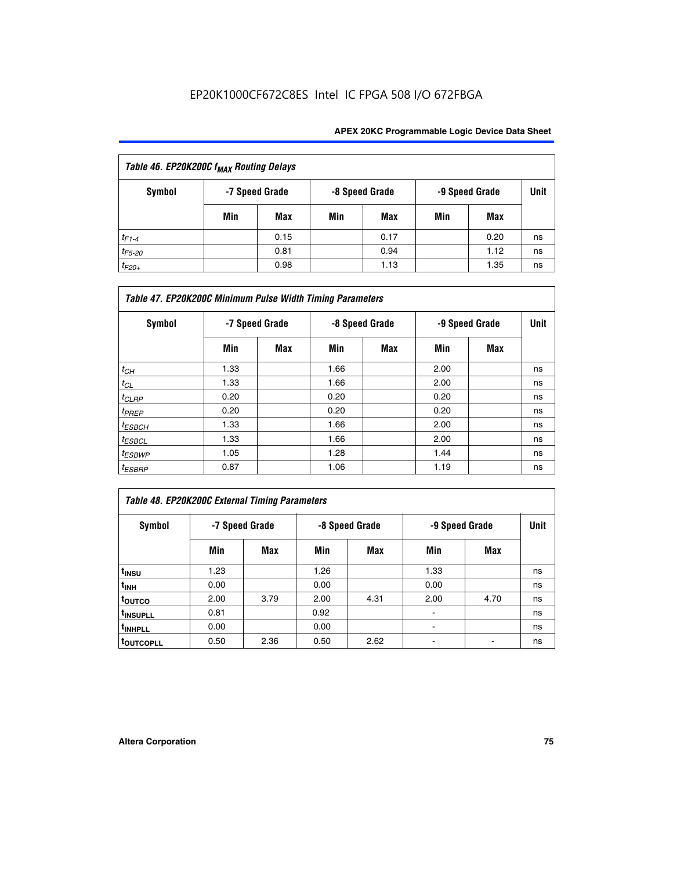| Table 46. EP20K200C f <sub>MAX</sub> Routing Delays |     |                |     |                                  |     |      |      |  |  |
|-----------------------------------------------------|-----|----------------|-----|----------------------------------|-----|------|------|--|--|
| <b>Symbol</b>                                       |     | -7 Speed Grade |     | -8 Speed Grade<br>-9 Speed Grade |     |      | Unit |  |  |
|                                                     | Min | Max            | Min | Max                              | Min | Max  |      |  |  |
| $t_{F1-4}$                                          |     | 0.15           |     | 0.17                             |     | 0.20 | ns   |  |  |
| $t_{F5-20}$                                         |     | 0.81           |     | 0.94                             |     | 1.12 | ns   |  |  |
| $t_{F20+}$                                          |     | 0.98           |     | 1.13                             |     | 1.35 | ns   |  |  |

| Table 47. EP20K200C Minimum Pulse Width Timing Parameters |                |     |                |     |      |                |      |  |  |  |
|-----------------------------------------------------------|----------------|-----|----------------|-----|------|----------------|------|--|--|--|
| <b>Symbol</b>                                             | -7 Speed Grade |     | -8 Speed Grade |     |      | -9 Speed Grade | Unit |  |  |  |
|                                                           | Min            | Max | Min            | Max | Min  | Max            |      |  |  |  |
| $t_{CH}$                                                  | 1.33           |     | 1.66           |     | 2.00 |                | ns   |  |  |  |
| $t_{\rm CL}$                                              | 1.33           |     | 1.66           |     | 2.00 |                | ns   |  |  |  |
| $t_{CLRP}$                                                | 0.20           |     | 0.20           |     | 0.20 |                | ns   |  |  |  |
| $t_{PREF}$                                                | 0.20           |     | 0.20           |     | 0.20 |                | ns   |  |  |  |
| $t_{ESBCH}$                                               | 1.33           |     | 1.66           |     | 2.00 |                | ns   |  |  |  |
| $t_{ESBCL}$                                               | 1.33           |     | 1.66           |     | 2.00 |                | ns   |  |  |  |
| $t_{ESBWP}$                                               | 1.05           |     | 1.28           |     | 1.44 |                | ns   |  |  |  |
| $t_{ESBRP}$                                               | 0.87           |     | 1.06           |     | 1.19 |                | ns   |  |  |  |

# *Table 48. EP20K200C External Timing Parameters*

| Symbol                |      | -7 Speed Grade |      | -8 Speed Grade |      | -9 Speed Grade |    |  |
|-----------------------|------|----------------|------|----------------|------|----------------|----|--|
|                       | Min  | Max            | Min  | Max            | Min  | Max            |    |  |
| t <sub>INSU</sub>     | 1.23 |                | 1.26 |                | 1.33 |                | ns |  |
| t <sub>INH</sub>      | 0.00 |                | 0.00 |                | 0.00 |                | ns |  |
| toutco                | 2.00 | 3.79           | 2.00 | 4.31           | 2.00 | 4.70           | ns |  |
| t <sub>INSUPLL</sub>  | 0.81 |                | 0.92 |                | ٠    |                | ns |  |
| t <sub>INHPLL</sub>   | 0.00 |                | 0.00 |                |      |                | ns |  |
| t <sub>outcopll</sub> | 0.50 | 2.36           | 0.50 | 2.62           |      |                | ns |  |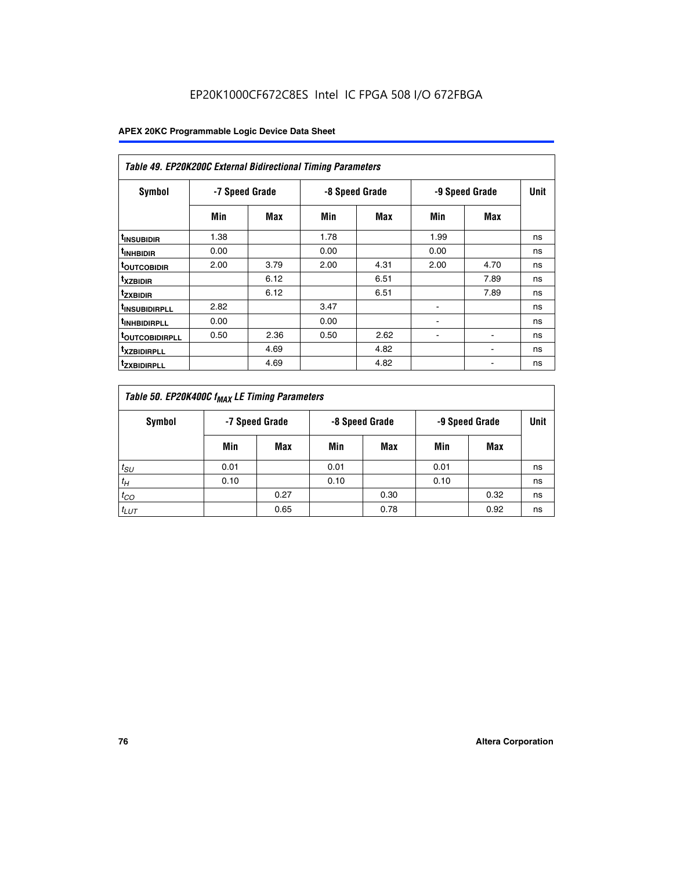| <b>Table 49. EP20K200C External Bidirectional Timing Parameters</b> |                |      |      |                |                |             |    |  |  |  |
|---------------------------------------------------------------------|----------------|------|------|----------------|----------------|-------------|----|--|--|--|
| <b>Symbol</b>                                                       | -7 Speed Grade |      |      | -8 Speed Grade | -9 Speed Grade | <b>Unit</b> |    |  |  |  |
|                                                                     | Min            | Max  | Min  | Max            | Min            | Max         |    |  |  |  |
| <sup>t</sup> INSUBIDIR                                              | 1.38           |      | 1.78 |                | 1.99           |             | ns |  |  |  |
| <sup>t</sup> inhbidir                                               | 0.00           |      | 0.00 |                | 0.00           |             | ns |  |  |  |
| <b><sup>t</sup>OUTCOBIDIR</b>                                       | 2.00           | 3.79 | 2.00 | 4.31           | 2.00           | 4.70        | ns |  |  |  |
| <sup>T</sup> XZBIDIR                                                |                | 6.12 |      | 6.51           |                | 7.89        | ns |  |  |  |
| <sup>t</sup> zxbidir                                                |                | 6.12 |      | 6.51           |                | 7.89        | ns |  |  |  |
| <sup>T</sup> INSUBIDIRPLL                                           | 2.82           |      | 3.47 |                | ٠              |             | ns |  |  |  |
| <sup>t</sup> INHBIDIRPLL                                            | 0.00           |      | 0.00 |                |                |             | ns |  |  |  |
| <sup>T</sup> OUTCOBIDIRPLL                                          | 0.50           | 2.36 | 0.50 | 2.62           | ۰              |             | ns |  |  |  |
| <sup>t</sup> xzbidirpll                                             |                | 4.69 |      | 4.82           |                |             | ns |  |  |  |
| <sup>T</sup> ZXBIDIRPLL                                             |                | 4.69 |      | 4.82           |                |             | ns |  |  |  |

| Table 50. EP20K400C f <sub>MAX</sub> LE Timing Parameters |                |      |      |                |                |      |    |  |  |
|-----------------------------------------------------------|----------------|------|------|----------------|----------------|------|----|--|--|
| Symbol                                                    | -7 Speed Grade |      |      | -8 Speed Grade | -9 Speed Grade | Unit |    |  |  |
|                                                           | Min            | Max  | Min  | Max            | Min            | Max  |    |  |  |
| $t_{SU}$                                                  | 0.01           |      | 0.01 |                | 0.01           |      | ns |  |  |
| $t_H$                                                     | 0.10           |      | 0.10 |                | 0.10           |      | ns |  |  |
| $t_{CO}$                                                  |                | 0.27 |      | 0.30           |                | 0.32 | ns |  |  |
| $t_{LUT}$                                                 |                | 0.65 |      | 0.78           |                | 0.92 | ns |  |  |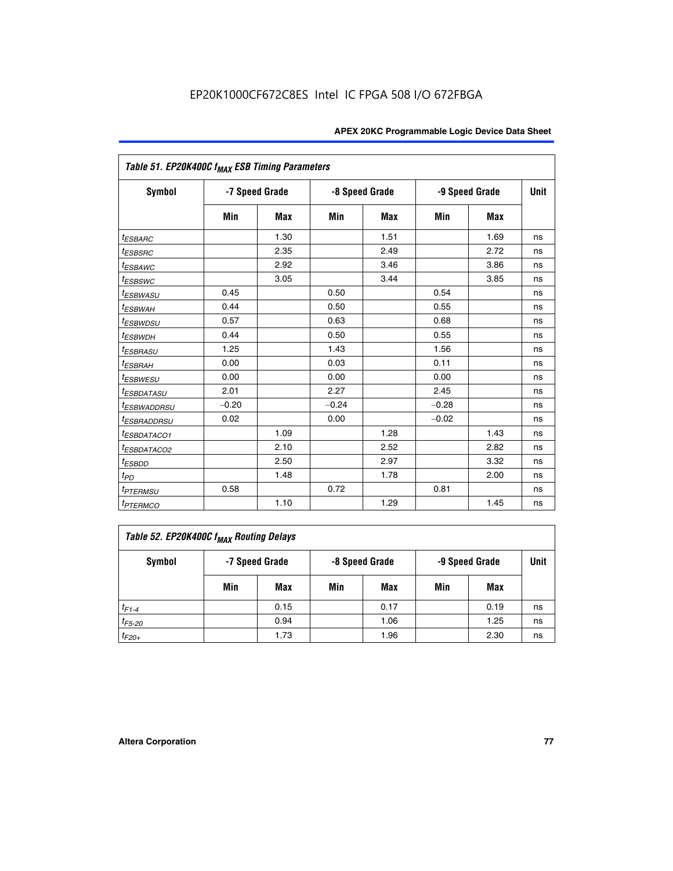| Table 51. EP20K400C f <sub>MAX</sub> ESB Timing Parameters |                |            |         |                |         |                |    |  |  |  |
|------------------------------------------------------------|----------------|------------|---------|----------------|---------|----------------|----|--|--|--|
| <b>Symbol</b>                                              | -7 Speed Grade |            |         | -8 Speed Grade |         | -9 Speed Grade |    |  |  |  |
|                                                            | Min            | <b>Max</b> | Min     | <b>Max</b>     | Min     | <b>Max</b>     |    |  |  |  |
| <i>t<sub>ESBARC</sub></i>                                  |                | 1.30       |         | 1.51           |         | 1.69           | ns |  |  |  |
| <sup>t</sup> ESBSRC                                        |                | 2.35       |         | 2.49           |         | 2.72           | ns |  |  |  |
| <sup>t</sup> ESBAWC                                        |                | 2.92       |         | 3.46           |         | 3.86           | ns |  |  |  |
| <sup>t</sup> ESBSWC                                        |                | 3.05       |         | 3.44           |         | 3.85           | ns |  |  |  |
| <sup>t</sup> ESBWASU                                       | 0.45           |            | 0.50    |                | 0.54    |                | ns |  |  |  |
| <sup>t</sup> ESBWAH                                        | 0.44           |            | 0.50    |                | 0.55    |                | ns |  |  |  |
| <i>t<sub>ESBWDSU</sub></i>                                 | 0.57           |            | 0.63    |                | 0.68    |                | ns |  |  |  |
| <sup>t</sup> ESBWDH                                        | 0.44           |            | 0.50    |                | 0.55    |                | ns |  |  |  |
| <i><b>ESBRASU</b></i>                                      | 1.25           |            | 1.43    |                | 1.56    |                | ns |  |  |  |
| <sup>t</sup> ESBRAH                                        | 0.00           |            | 0.03    |                | 0.11    |                | ns |  |  |  |
| <sup>t</sup> ESBWESU                                       | 0.00           |            | 0.00    |                | 0.00    |                | ns |  |  |  |
| <i><b>ESBDATASU</b></i>                                    | 2.01           |            | 2.27    |                | 2.45    |                | ns |  |  |  |
| <sup>t</sup> ESBWADDRSU                                    | $-0.20$        |            | $-0.24$ |                | $-0.28$ |                | ns |  |  |  |
| <i>t<sub>ESBRADDRSU</sub></i>                              | 0.02           |            | 0.00    |                | $-0.02$ |                | ns |  |  |  |
| <sup>t</sup> ESBDATACO1                                    |                | 1.09       |         | 1.28           |         | 1.43           | ns |  |  |  |
| <sup>I</sup> ESBDATACO2                                    |                | 2.10       |         | 2.52           |         | 2.82           | ns |  |  |  |
| <sup>t</sup> ESBDD                                         |                | 2.50       |         | 2.97           |         | 3.32           | ns |  |  |  |
| t <sub>PD</sub>                                            |                | 1.48       |         | 1.78           |         | 2.00           | ns |  |  |  |
| t <sub>PTERMSU</sub>                                       | 0.58           |            | 0.72    |                | 0.81    |                | ns |  |  |  |
| <i>t<sub>PTERMCO</sub></i>                                 |                | 1.10       |         | 1.29           |         | 1.45           | ns |  |  |  |

| Table 52. EP20K400C f <sub>MAX</sub> Routing Delays |     |                |                |      |                |      |      |  |  |
|-----------------------------------------------------|-----|----------------|----------------|------|----------------|------|------|--|--|
| Symbol                                              |     | -7 Speed Grade | -8 Speed Grade |      | -9 Speed Grade |      | Unit |  |  |
|                                                     | Min | Max            | Min            | Max  | Min            | Max  |      |  |  |
| $t_{F1-4}$                                          |     | 0.15           |                | 0.17 |                | 0.19 | ns   |  |  |
| $t_{F5-20}$                                         |     | 0.94           |                | 1.06 |                | 1.25 | ns   |  |  |
| $t_{F20+}$                                          |     | 1.73           |                | 1.96 |                | 2.30 | ns   |  |  |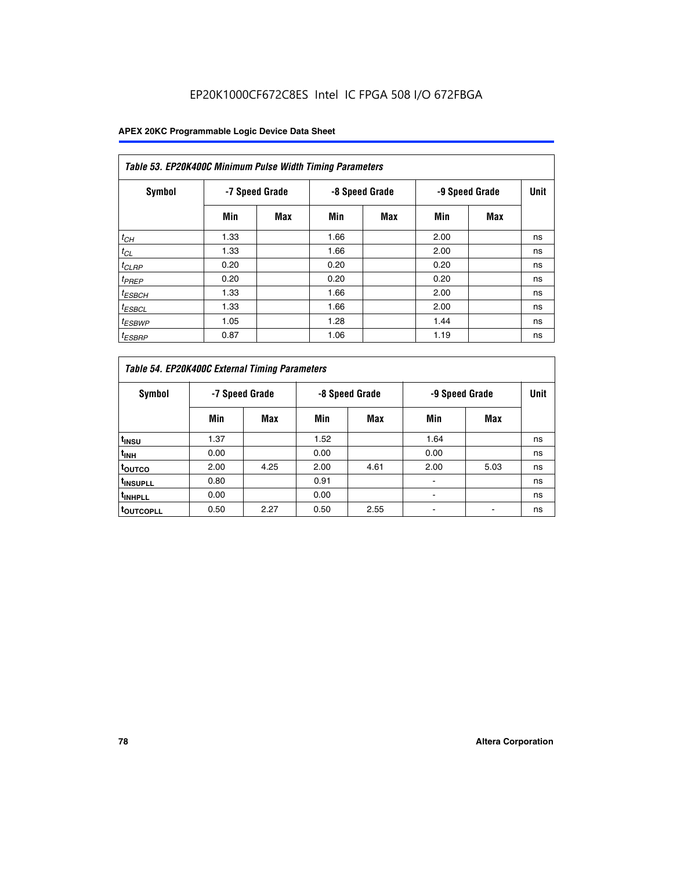| Table 53. EP20K400C Minimum Pulse Width Timing Parameters |      |                |      |                |      |                |      |  |  |  |
|-----------------------------------------------------------|------|----------------|------|----------------|------|----------------|------|--|--|--|
| Symbol                                                    |      | -7 Speed Grade |      | -8 Speed Grade |      | -9 Speed Grade | Unit |  |  |  |
|                                                           | Min  | Max            | Min  | <b>Max</b>     | Min  | <b>Max</b>     |      |  |  |  |
| $t_{CH}$                                                  | 1.33 |                | 1.66 |                | 2.00 |                | ns   |  |  |  |
| $t_{CL}$                                                  | 1.33 |                | 1.66 |                | 2.00 |                | ns   |  |  |  |
| $t_{CLRP}$                                                | 0.20 |                | 0.20 |                | 0.20 |                | ns   |  |  |  |
| $t_{PREF}$                                                | 0.20 |                | 0.20 |                | 0.20 |                | ns   |  |  |  |
| <sup>t</sup> ESBCH                                        | 1.33 |                | 1.66 |                | 2.00 |                | ns   |  |  |  |
| <sup>t</sup> ESBCL                                        | 1.33 |                | 1.66 |                | 2.00 |                | ns   |  |  |  |
| $t_{ESBWP}$                                               | 1.05 |                | 1.28 |                | 1.44 |                | ns   |  |  |  |
| <sup>t</sup> ESBRP                                        | 0.87 |                | 1.06 |                | 1.19 |                | ns   |  |  |  |

| Table 54. EP20K400C External Timing Parameters |      |                |      |                |      |                |    |  |  |  |  |  |
|------------------------------------------------|------|----------------|------|----------------|------|----------------|----|--|--|--|--|--|
| Symbol                                         |      | -7 Speed Grade |      | -8 Speed Grade |      | -9 Speed Grade |    |  |  |  |  |  |
|                                                | Min  | Max            | Min  | Max            | Min  | Max            |    |  |  |  |  |  |
| t <sub>INSU</sub>                              | 1.37 |                | 1.52 |                | 1.64 |                | ns |  |  |  |  |  |
| $t_{\mathsf{INH}}$                             | 0.00 |                | 0.00 |                | 0.00 |                | ns |  |  |  |  |  |
| <sup>t</sup> outco                             | 2.00 | 4.25           | 2.00 | 4.61           | 2.00 | 5.03           | ns |  |  |  |  |  |
| <sup>I</sup> INSUPLL                           | 0.80 |                | 0.91 |                |      |                | ns |  |  |  |  |  |
| <sup>t</sup> INHPLL                            | 0.00 |                | 0.00 |                |      |                | ns |  |  |  |  |  |
| <sup>I</sup> OUTCOPLL                          | 0.50 | 2.27           | 0.50 | 2.55           |      |                | ns |  |  |  |  |  |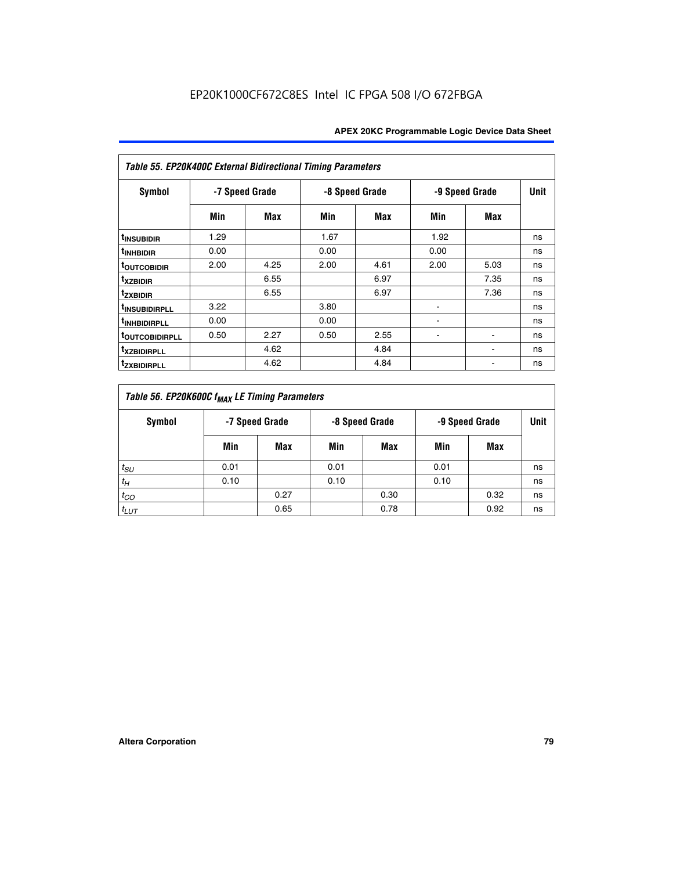| Table 55. EP20K400C External Bidirectional Timing Parameters |                |      |                |      |                |      |             |  |  |  |  |  |
|--------------------------------------------------------------|----------------|------|----------------|------|----------------|------|-------------|--|--|--|--|--|
| <b>Symbol</b>                                                | -7 Speed Grade |      | -8 Speed Grade |      | -9 Speed Grade |      | <b>Unit</b> |  |  |  |  |  |
|                                                              | Min            | Max  | Min            | Max  | Min            | Max  |             |  |  |  |  |  |
| <sup>t</sup> INSUBIDIR                                       | 1.29           |      | 1.67           |      | 1.92           |      | ns          |  |  |  |  |  |
| <sup>t</sup> INHBIDIR                                        | 0.00           |      | 0.00           |      | 0.00           |      | ns          |  |  |  |  |  |
| <b>TOUTCOBIDIR</b>                                           | 2.00           | 4.25 | 2.00           | 4.61 | 2.00           | 5.03 | ns          |  |  |  |  |  |
| <sup>t</sup> xzbidir                                         |                | 6.55 |                | 6.97 |                | 7.35 | ns          |  |  |  |  |  |
| <sup>t</sup> zxbidir                                         |                | 6.55 |                | 6.97 |                | 7.36 | ns          |  |  |  |  |  |
| <sup>t</sup> INSUBIDIRPLL                                    | 3.22           |      | 3.80           |      |                |      | ns          |  |  |  |  |  |
| <sup>t</sup> INHBIDIRPLL                                     | 0.00           |      | 0.00           |      |                |      | ns          |  |  |  |  |  |
| <b><i>toutcobidirpll</i></b>                                 | 0.50           | 2.27 | 0.50           | 2.55 |                |      | ns          |  |  |  |  |  |
| <sup>t</sup> xzbidirpll                                      |                | 4.62 |                | 4.84 |                |      | ns          |  |  |  |  |  |
| <sup>t</sup> zxbidirpll                                      |                | 4.62 |                | 4.84 |                |      | ns          |  |  |  |  |  |

| Table 56. EP20K600C f <sub>MAX</sub> LE Timing Parameters |                                                    |      |      |      |      |      |    |  |  |  |  |
|-----------------------------------------------------------|----------------------------------------------------|------|------|------|------|------|----|--|--|--|--|
| Symbol                                                    | -7 Speed Grade<br>-8 Speed Grade<br>-9 Speed Grade |      |      |      |      | Unit |    |  |  |  |  |
|                                                           | Min                                                | Max  | Min  | Max  | Min  | Max  |    |  |  |  |  |
| $t_{SU}$                                                  | 0.01                                               |      | 0.01 |      | 0.01 |      | ns |  |  |  |  |
| $t_H$                                                     | 0.10                                               |      | 0.10 |      | 0.10 |      | ns |  |  |  |  |
| $t_{CO}$                                                  |                                                    | 0.27 |      | 0.30 |      | 0.32 | ns |  |  |  |  |
| $t_{LUT}$                                                 |                                                    | 0.65 |      | 0.78 |      | 0.92 | ns |  |  |  |  |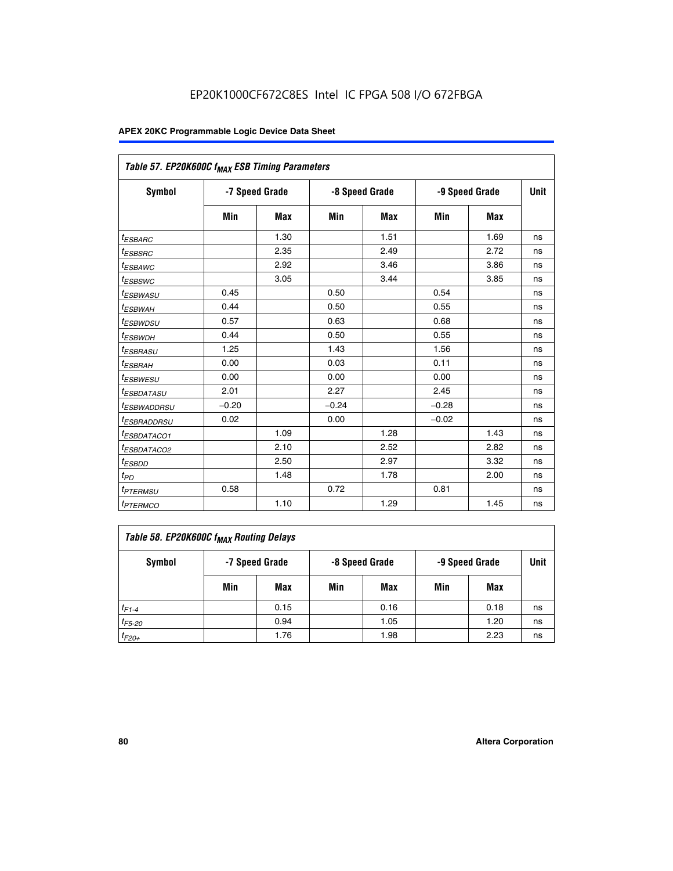| Table 57. EP20K600C f <sub>MAX</sub> ESB Timing Parameters |                |            |         |                |         |                |    |  |
|------------------------------------------------------------|----------------|------------|---------|----------------|---------|----------------|----|--|
| Symbol                                                     | -7 Speed Grade |            |         | -8 Speed Grade |         | -9 Speed Grade |    |  |
|                                                            | Min            | <b>Max</b> | Min     | <b>Max</b>     | Min     | <b>Max</b>     |    |  |
| <sup>t</sup> ESBARC                                        |                | 1.30       |         | 1.51           |         | 1.69           | ns |  |
| <sup>t</sup> ESBSRC                                        |                | 2.35       |         | 2.49           |         | 2.72           | ns |  |
| <sup>t</sup> ESBAWC                                        |                | 2.92       |         | 3.46           |         | 3.86           | ns |  |
| <sup>t</sup> ESBSWC                                        |                | 3.05       |         | 3.44           |         | 3.85           | ns |  |
| <sup>t</sup> ESBWASU                                       | 0.45           |            | 0.50    |                | 0.54    |                | ns |  |
| <sup>t</sup> ESBWАН                                        | 0.44           |            | 0.50    |                | 0.55    |                | ns |  |
| <sup>t</sup> ESBWDSU                                       | 0.57           |            | 0.63    |                | 0.68    |                | ns |  |
| <sup>t</sup> ESBWDH                                        | 0.44           |            | 0.50    |                | 0.55    |                | ns |  |
| <i>ESBRASU</i>                                             | 1.25           |            | 1.43    |                | 1.56    |                | ns |  |
| <sup>t</sup> ESBRAH                                        | 0.00           |            | 0.03    |                | 0.11    |                | ns |  |
| <sup>t</sup> ESBWESU                                       | 0.00           |            | 0.00    |                | 0.00    |                | ns |  |
| <sup>I</sup> ESBDATASU                                     | 2.01           |            | 2.27    |                | 2.45    |                | ns |  |
| <sup>I</sup> ESBWADDRSU                                    | $-0.20$        |            | $-0.24$ |                | $-0.28$ |                | ns |  |
| <sup>I</sup> ESBRADDRSU                                    | 0.02           |            | 0.00    |                | $-0.02$ |                | ns |  |
| <sup>t</sup> ESBDATACO1                                    |                | 1.09       |         | 1.28           |         | 1.43           | ns |  |
| <sup>t</sup> ESBDATACO2                                    |                | 2.10       |         | 2.52           |         | 2.82           | ns |  |
| <sup>t</sup> ESBDD                                         |                | 2.50       |         | 2.97           |         | 3.32           | ns |  |
| $t_{\scriptsize{PD}}$                                      |                | 1.48       |         | 1.78           |         | 2.00           | ns |  |
| <sup>t</sup> PTERMSU                                       | 0.58           |            | 0.72    |                | 0.81    |                | ns |  |
| <i>t<sub>PTERMCO</sub></i>                                 |                | 1.10       |         | 1.29           |         | 1.45           | ns |  |

| Table 58. EP20K600C f <sub>MAX</sub> Routing Delays |                |      |                |      |                |      |      |  |  |  |
|-----------------------------------------------------|----------------|------|----------------|------|----------------|------|------|--|--|--|
| Symbol                                              | -7 Speed Grade |      | -8 Speed Grade |      | -9 Speed Grade |      | Unit |  |  |  |
|                                                     | Min            | Max  | Min            | Max  | Min            | Max  |      |  |  |  |
| $t_{F1-4}$                                          |                | 0.15 |                | 0.16 |                | 0.18 | ns   |  |  |  |
| $t_{F5-20}$                                         |                | 0.94 |                | 1.05 |                | 1.20 | ns   |  |  |  |
| $t_{F20+}$                                          |                | 1.76 |                | 1.98 |                | 2.23 | ns   |  |  |  |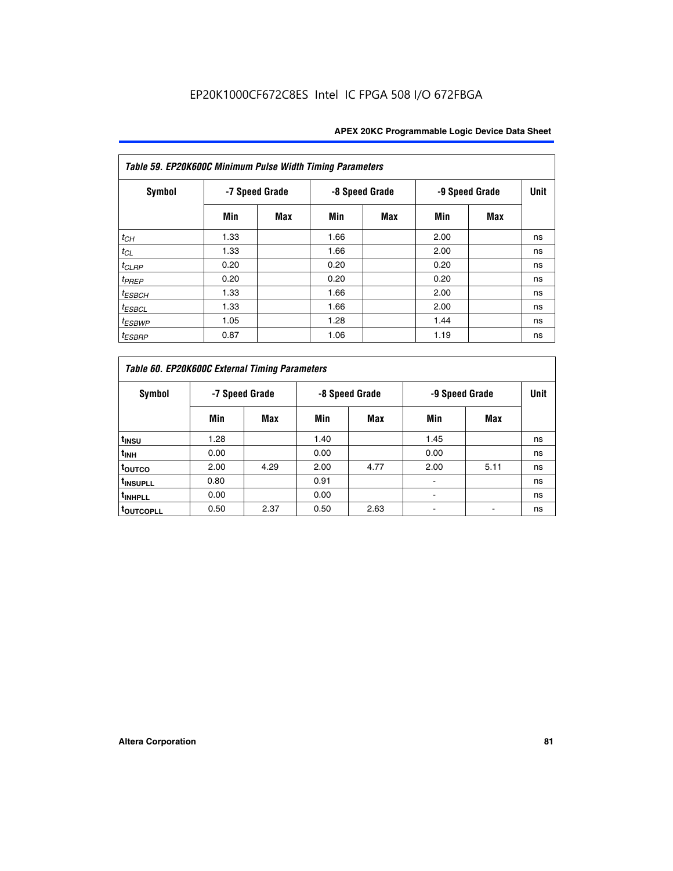| Table 59. EP20K600C Minimum Pulse Width Timing Parameters |                |     |                |     |                |     |      |  |  |  |  |
|-----------------------------------------------------------|----------------|-----|----------------|-----|----------------|-----|------|--|--|--|--|
| Symbol                                                    | -7 Speed Grade |     | -8 Speed Grade |     | -9 Speed Grade |     | Unit |  |  |  |  |
|                                                           | Min            | Max | Min            | Max | Min            | Max |      |  |  |  |  |
| $t_{CH}$                                                  | 1.33           |     | 1.66           |     | 2.00           |     | ns   |  |  |  |  |
| $t_{CL}$                                                  | 1.33           |     | 1.66           |     | 2.00           |     | ns   |  |  |  |  |
| $t_{CLRP}$                                                | 0.20           |     | 0.20           |     | 0.20           |     | ns   |  |  |  |  |
| $t_{PREF}$                                                | 0.20           |     | 0.20           |     | 0.20           |     | ns   |  |  |  |  |
| $t_{ESBCH}$                                               | 1.33           |     | 1.66           |     | 2.00           |     | ns   |  |  |  |  |
| $t_{ESBCL}$                                               | 1.33           |     | 1.66           |     | 2.00           |     | ns   |  |  |  |  |
| <sup>t</sup> ESBWP                                        | 1.05           |     | 1.28           |     | 1.44           |     | ns   |  |  |  |  |
| <sup>t</sup> ESBRP                                        | 0.87           |     | 1.06           |     | 1.19           |     | ns   |  |  |  |  |

|                      | Table 60. EP20K600C External Timing Parameters |                |      |                |                |            |    |  |  |  |  |  |  |
|----------------------|------------------------------------------------|----------------|------|----------------|----------------|------------|----|--|--|--|--|--|--|
| Symbol               |                                                | -7 Speed Grade |      | -8 Speed Grade | -9 Speed Grade | Unit       |    |  |  |  |  |  |  |
|                      | Min                                            | Max            | Min  | Max            | Min            | <b>Max</b> |    |  |  |  |  |  |  |
| t <sub>INSU</sub>    | 1.28                                           |                | 1.40 |                | 1.45           |            | ns |  |  |  |  |  |  |
| <sup>t</sup> inh     | 0.00                                           |                | 0.00 |                | 0.00           |            | ns |  |  |  |  |  |  |
| toutco               | 2.00                                           | 4.29           | 2.00 | 4.77           | 2.00           | 5.11       | ns |  |  |  |  |  |  |
| <sup>t</sup> INSUPLL | 0.80                                           |                | 0.91 |                |                |            | ns |  |  |  |  |  |  |
| <sup>t</sup> INHPLL  | 0.00                                           |                | 0.00 |                |                |            | ns |  |  |  |  |  |  |
| <b>TOUTCOPLL</b>     | 0.50                                           | 2.37           | 0.50 | 2.63           |                |            | ns |  |  |  |  |  |  |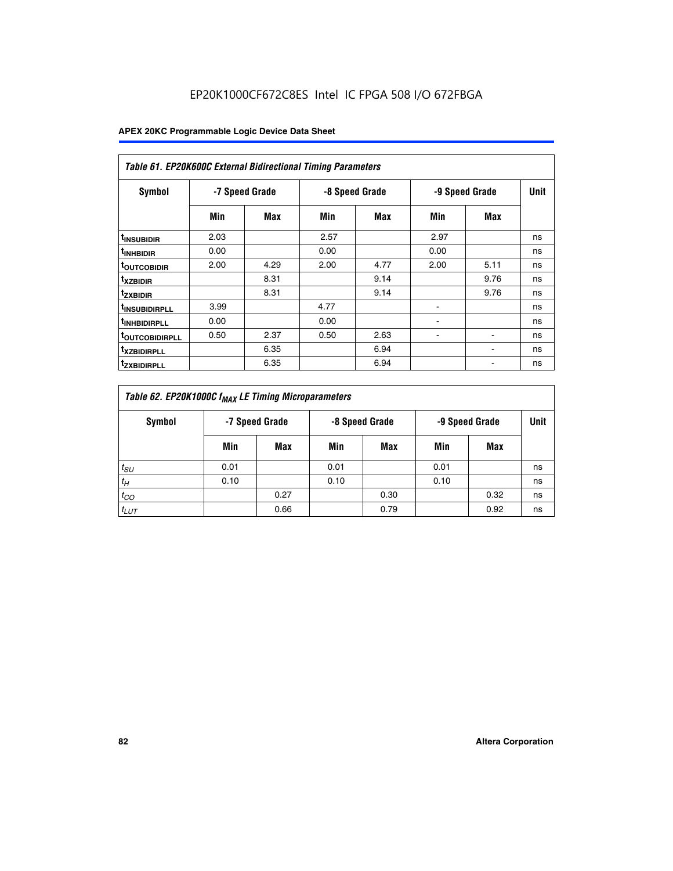|                               | <b>Table 61. EP20K600C External Bidirectional Timing Parameters</b> |      |      |                |      |                |             |  |  |  |  |  |
|-------------------------------|---------------------------------------------------------------------|------|------|----------------|------|----------------|-------------|--|--|--|--|--|
| <b>Symbol</b>                 | -7 Speed Grade                                                      |      |      | -8 Speed Grade |      | -9 Speed Grade | <b>Unit</b> |  |  |  |  |  |
|                               | Min                                                                 | Max  | Min  | Max            | Min  | Max            |             |  |  |  |  |  |
| <sup>t</sup> INSUBIDIR        | 2.03                                                                |      | 2.57 |                | 2.97 |                | ns          |  |  |  |  |  |
| <sup>t</sup> INHBIDIR         | 0.00                                                                |      | 0.00 |                | 0.00 |                | ns          |  |  |  |  |  |
| <b><sup>t</sup>OUTCOBIDIR</b> | 2.00                                                                | 4.29 | 2.00 | 4.77           | 2.00 | 5.11           | ns          |  |  |  |  |  |
| <sup>t</sup> xzbidir          |                                                                     | 8.31 |      | 9.14           |      | 9.76           | ns          |  |  |  |  |  |
| <sup>t</sup> zxbidir          |                                                                     | 8.31 |      | 9.14           |      | 9.76           | ns          |  |  |  |  |  |
| <sup>t</sup> insubidirpll     | 3.99                                                                |      | 4.77 |                |      |                | ns          |  |  |  |  |  |
| <sup>t</sup> INHBIDIRPLL      | 0.00                                                                |      | 0.00 |                |      |                | ns          |  |  |  |  |  |
| <sup>T</sup> OUTCOBIDIRPLL    | 0.50                                                                | 2.37 | 0.50 | 2.63           | ۰    | ۰              | ns          |  |  |  |  |  |
| <sup>t</sup> xzbidirpll       |                                                                     | 6.35 |      | 6.94           |      |                | ns          |  |  |  |  |  |
| <sup>I</sup> ZXBIDIRPLL       |                                                                     | 6.35 |      | 6.94           |      |                | ns          |  |  |  |  |  |

| Table 62. EP20K1000C f <sub>MAX</sub> LE Timing Microparameters |                                                    |      |      |      |      |      |             |  |  |  |  |
|-----------------------------------------------------------------|----------------------------------------------------|------|------|------|------|------|-------------|--|--|--|--|
| Symbol                                                          | -7 Speed Grade<br>-8 Speed Grade<br>-9 Speed Grade |      |      |      |      |      | <b>Unit</b> |  |  |  |  |
|                                                                 | Min                                                | Max  | Min  | Max  | Min  | Max  |             |  |  |  |  |
| $t_{SU}$                                                        | 0.01                                               |      | 0.01 |      | 0.01 |      | ns          |  |  |  |  |
| $t_H$                                                           | 0.10                                               |      | 0.10 |      | 0.10 |      | ns          |  |  |  |  |
| $t_{CO}$                                                        |                                                    | 0.27 |      | 0.30 |      | 0.32 | ns          |  |  |  |  |
| $t_{LUT}$                                                       |                                                    | 0.66 |      | 0.79 |      | 0.92 | ns          |  |  |  |  |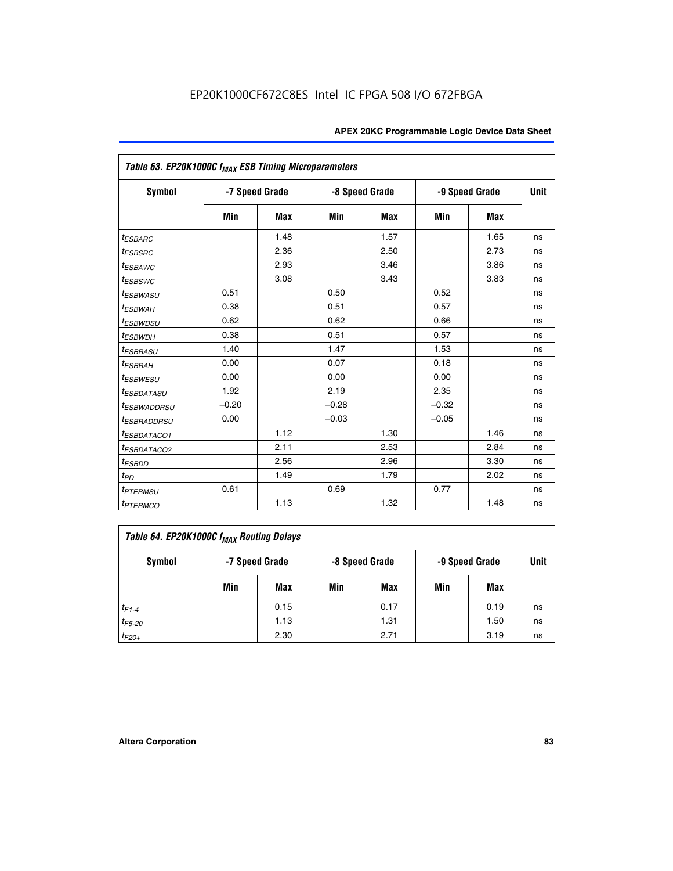| Table 63. EP20K1000C f <sub>MAX</sub> ESB Timing Microparameters |                |            |         |                |                |      |             |
|------------------------------------------------------------------|----------------|------------|---------|----------------|----------------|------|-------------|
| <b>Symbol</b>                                                    | -7 Speed Grade |            |         | -8 Speed Grade | -9 Speed Grade |      | <b>Unit</b> |
|                                                                  | Min            | <b>Max</b> | Min     | <b>Max</b>     | Min            | Max  |             |
| <sup>t</sup> ESBARC                                              |                | 1.48       |         | 1.57           |                | 1.65 | ns          |
| $t_{ESBSRC}$                                                     |                | 2.36       |         | 2.50           |                | 2.73 | ns          |
| <i>t<sub>ESBAWC</sub></i>                                        |                | 2.93       |         | 3.46           |                | 3.86 | ns          |
| <i>t<sub>ESBSWC</sub></i>                                        |                | 3.08       |         | 3.43           |                | 3.83 | ns          |
| <sup>t</sup> ESBWASU                                             | 0.51           |            | 0.50    |                | 0.52           |      | ns          |
| <sup>t</sup> ESBWAH                                              | 0.38           |            | 0.51    |                | 0.57           |      | ns          |
| <i>t<sub>ESBWDSU</sub></i>                                       | 0.62           |            | 0.62    |                | 0.66           |      | ns          |
| <sup>t</sup> ESBWDH                                              | 0.38           |            | 0.51    |                | 0.57           |      | ns          |
| <i>t<sub>ESBRASU</sub></i>                                       | 1.40           |            | 1.47    |                | 1.53           |      | ns          |
| <sup>t</sup> ESBRAH                                              | 0.00           |            | 0.07    |                | 0.18           |      | ns          |
| <sup>t</sup> ESBWESU                                             | 0.00           |            | 0.00    |                | 0.00           |      | ns          |
| <sup>t</sup> ESBDATASU                                           | 1.92           |            | 2.19    |                | 2.35           |      | ns          |
| <sup>t</sup> ESBWADDRSU                                          | $-0.20$        |            | $-0.28$ |                | $-0.32$        |      | ns          |
| <i>t<sub>ESBRADDRSU</sub></i>                                    | 0.00           |            | $-0.03$ |                | $-0.05$        |      | ns          |
| <sup>t</sup> ESBDATACO1                                          |                | 1.12       |         | 1.30           |                | 1.46 | ns          |
| <sup>I</sup> ESBDATACO2                                          |                | 2.11       |         | 2.53           |                | 2.84 | ns          |
| <sup>t</sup> ESBDD                                               |                | 2.56       |         | 2.96           |                | 3.30 | ns          |
| t <sub>PD</sub>                                                  |                | 1.49       |         | 1.79           |                | 2.02 | ns          |
| <i><b>TPTERMSU</b></i>                                           | 0.61           |            | 0.69    |                | 0.77           |      | ns          |
| <b>t</b> <sub>PTERMCO</sub>                                      |                | 1.13       |         | 1.32           |                | 1.48 | ns          |

| Table 64. EP20K1000C f <sub>MAX</sub> Routing Delays |     |                |     |                |                |      |             |  |  |  |
|------------------------------------------------------|-----|----------------|-----|----------------|----------------|------|-------------|--|--|--|
| Symbol                                               |     | -7 Speed Grade |     | -8 Speed Grade | -9 Speed Grade |      | <b>Unit</b> |  |  |  |
|                                                      | Min | Max            | Min | Max            | Min            | Max  |             |  |  |  |
| $t_{F1-4}$                                           |     | 0.15           |     | 0.17           |                | 0.19 | ns          |  |  |  |
| $t_{F5-20}$                                          |     | 1.13           |     | 1.31           |                | 1.50 | ns          |  |  |  |
| $t_{F20+}$                                           |     | 2.30           |     | 2.71           |                | 3.19 | ns          |  |  |  |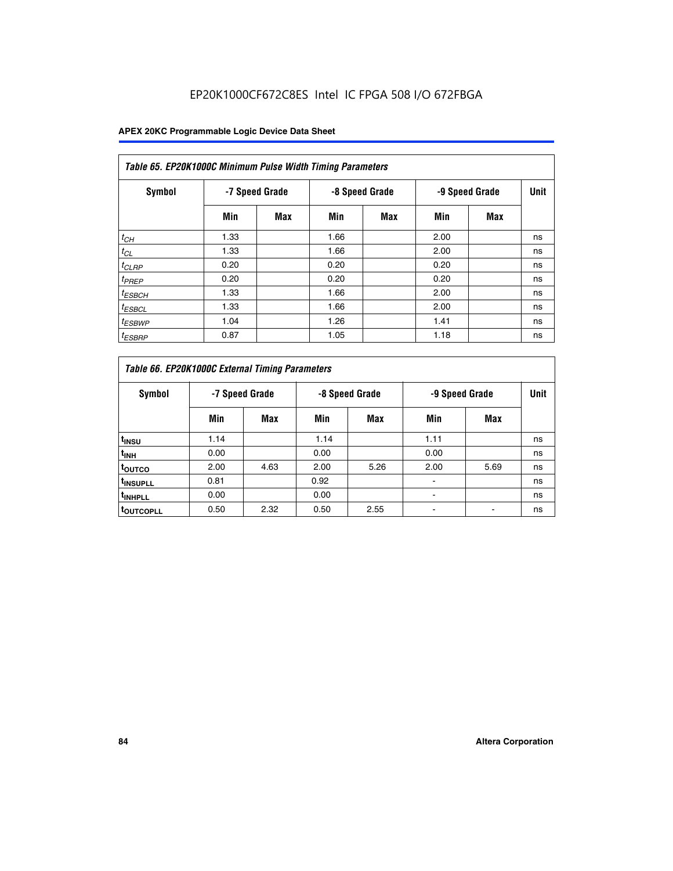| Table 65. EP20K1000C Minimum Pulse Width Timing Parameters |                |            |                |            |      |                |             |  |  |  |  |
|------------------------------------------------------------|----------------|------------|----------------|------------|------|----------------|-------------|--|--|--|--|
| Symbol                                                     | -7 Speed Grade |            | -8 Speed Grade |            |      | -9 Speed Grade | <b>Unit</b> |  |  |  |  |
|                                                            | Min            | <b>Max</b> | Min            | <b>Max</b> | Min  | <b>Max</b>     |             |  |  |  |  |
| $t_{CH}$                                                   | 1.33           |            | 1.66           |            | 2.00 |                | ns          |  |  |  |  |
| $t_{CL}$                                                   | 1.33           |            | 1.66           |            | 2.00 |                | ns          |  |  |  |  |
| $t_{CLRP}$                                                 | 0.20           |            | 0.20           |            | 0.20 |                | ns          |  |  |  |  |
| $t_{PREF}$                                                 | 0.20           |            | 0.20           |            | 0.20 |                | ns          |  |  |  |  |
| <sup>t</sup> ESBCH                                         | 1.33           |            | 1.66           |            | 2.00 |                | ns          |  |  |  |  |
| <sup>t</sup> ESBCL                                         | 1.33           |            | 1.66           |            | 2.00 |                | ns          |  |  |  |  |
| $t_{ESBWP}$                                                | 1.04           |            | 1.26           |            | 1.41 |                | ns          |  |  |  |  |
| <sup>t</sup> ESBRP                                         | 0.87           |            | 1.05           |            | 1.18 |                | ns          |  |  |  |  |

| Table 66. EP20K1000C External Timing Parameters |                |      |                |      |                |      |             |
|-------------------------------------------------|----------------|------|----------------|------|----------------|------|-------------|
| Symbol                                          | -7 Speed Grade |      | -8 Speed Grade |      | -9 Speed Grade |      | <b>Unit</b> |
|                                                 | Min            | Max  | Min            | Max  | Min            | Max  |             |
| t <sub>insu</sub>                               | 1.14           |      | 1.14           |      | 1.11           |      | ns          |
| <sup>t</sup> inh                                | 0.00           |      | 0.00           |      | 0.00           |      | ns          |
| toutco                                          | 2.00           | 4.63 | 2.00           | 5.26 | 2.00           | 5.69 | ns          |
| <sup>t</sup> INSUPLL                            | 0.81           |      | 0.92           |      |                |      | ns          |
| <sup>t</sup> INHPLL                             | 0.00           |      | 0.00           |      |                |      | ns          |
| <sup>I</sup> OUTCOPLL                           | 0.50           | 2.32 | 0.50           | 2.55 |                |      | ns          |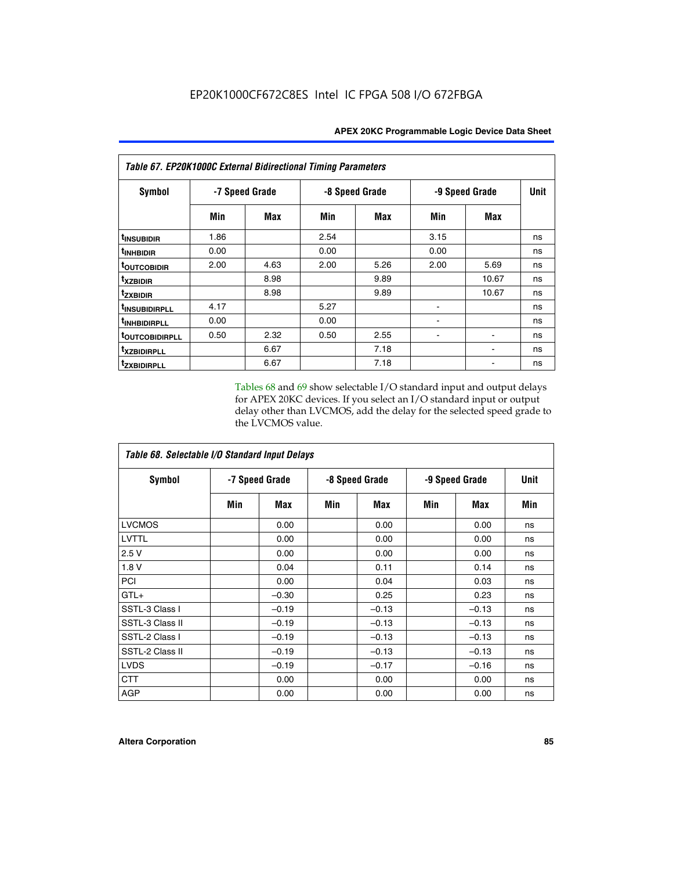| Table 67. EP20K1000C External Bidirectional Timing Parameters |                |      |                |      |                |       |             |
|---------------------------------------------------------------|----------------|------|----------------|------|----------------|-------|-------------|
| Symbol                                                        | -7 Speed Grade |      | -8 Speed Grade |      | -9 Speed Grade |       | <b>Unit</b> |
|                                                               | Min            | Max  | Min            | Max  | Min            | Max   |             |
| t <sub>INSUBIDIR</sub>                                        | 1.86           |      | 2.54           |      | 3.15           |       | ns          |
| <sup>t</sup> INHBIDIR                                         | 0.00           |      | 0.00           |      | 0.00           |       | ns          |
| <b><i>toutcobidir</i></b>                                     | 2.00           | 4.63 | 2.00           | 5.26 | 2.00           | 5.69  | ns          |
| txzbidir                                                      |                | 8.98 |                | 9.89 |                | 10.67 | ns          |
| tzxbidir                                                      |                | 8.98 |                | 9.89 |                | 10.67 | ns          |
| t <sub>INSUBIDIRPLL</sub>                                     | 4.17           |      | 5.27           |      |                |       | ns          |
| <sup>t</sup> INHBIDIRPLL                                      | 0.00           |      | 0.00           |      |                |       | ns          |
| <b>TOUTCOBIDIRPLL</b>                                         | 0.50           | 2.32 | 0.50           | 2.55 |                |       | ns          |
| <i>txzBIDIRPLL</i>                                            |                | 6.67 |                | 7.18 |                |       | ns          |
| tzxbidirpll                                                   |                | 6.67 |                | 7.18 |                |       | ns          |

Tables 68 and 69 show selectable I/O standard input and output delays for APEX 20KC devices. If you select an I/O standard input or output delay other than LVCMOS, add the delay for the selected speed grade to the LVCMOS value.

| Table 68. Selectable I/O Standard Input Delays |                |         |                |         |                |         |             |  |
|------------------------------------------------|----------------|---------|----------------|---------|----------------|---------|-------------|--|
| <b>Symbol</b>                                  | -7 Speed Grade |         | -8 Speed Grade |         | -9 Speed Grade |         | <b>Unit</b> |  |
|                                                | Min            | Max     | Min            | Max     | Min            | Max     | Min         |  |
| <b>LVCMOS</b>                                  |                | 0.00    |                | 0.00    |                | 0.00    | ns          |  |
| <b>LVTTL</b>                                   |                | 0.00    |                | 0.00    |                | 0.00    | ns          |  |
| 2.5V                                           |                | 0.00    |                | 0.00    |                | 0.00    | ns          |  |
| 1.8 V                                          |                | 0.04    |                | 0.11    |                | 0.14    | ns          |  |
| PCI                                            |                | 0.00    |                | 0.04    |                | 0.03    | ns          |  |
| $GTL+$                                         |                | $-0.30$ |                | 0.25    |                | 0.23    | ns          |  |
| SSTL-3 Class I                                 |                | $-0.19$ |                | $-0.13$ |                | $-0.13$ | ns          |  |
| SSTL-3 Class II                                |                | $-0.19$ |                | $-0.13$ |                | $-0.13$ | ns          |  |
| SSTL-2 Class I                                 |                | $-0.19$ |                | $-0.13$ |                | $-0.13$ | ns          |  |
| SSTL-2 Class II                                |                | $-0.19$ |                | $-0.13$ |                | $-0.13$ | ns          |  |
| <b>LVDS</b>                                    |                | $-0.19$ |                | $-0.17$ |                | $-0.16$ | ns          |  |
| <b>CTT</b>                                     |                | 0.00    |                | 0.00    |                | 0.00    | ns          |  |
| <b>AGP</b>                                     |                | 0.00    |                | 0.00    |                | 0.00    | ns          |  |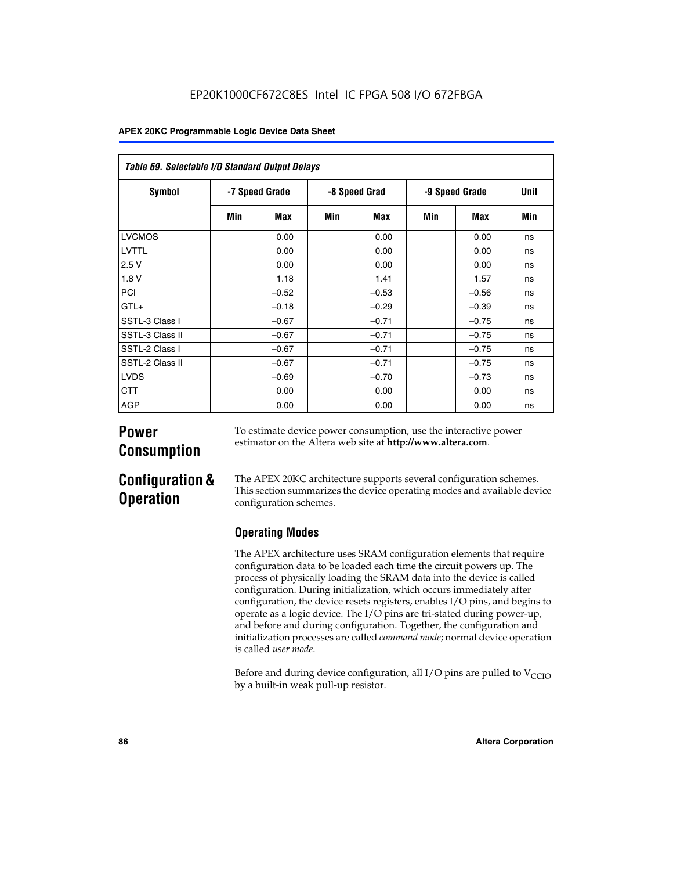| Table 69. Selectable I/O Standard Output Delays |                |         |               |         |                |            |      |
|-------------------------------------------------|----------------|---------|---------------|---------|----------------|------------|------|
| <b>Symbol</b>                                   | -7 Speed Grade |         | -8 Speed Grad |         | -9 Speed Grade |            | Unit |
|                                                 | Min            | Max     | Min           | Max     | Min            | <b>Max</b> | Min  |
| <b>LVCMOS</b>                                   |                | 0.00    |               | 0.00    |                | 0.00       | ns   |
| LVTTL                                           |                | 0.00    |               | 0.00    |                | 0.00       | ns   |
| 2.5V                                            |                | 0.00    |               | 0.00    |                | 0.00       | ns   |
| 1.8V                                            |                | 1.18    |               | 1.41    |                | 1.57       | ns   |
| PCI                                             |                | $-0.52$ |               | $-0.53$ |                | $-0.56$    | ns   |
| $GTL+$                                          |                | $-0.18$ |               | $-0.29$ |                | $-0.39$    | ns   |
| SSTL-3 Class I                                  |                | $-0.67$ |               | $-0.71$ |                | $-0.75$    | ns   |
| SSTL-3 Class II                                 |                | $-0.67$ |               | $-0.71$ |                | $-0.75$    | ns   |
| SSTL-2 Class I                                  |                | $-0.67$ |               | $-0.71$ |                | $-0.75$    | ns   |
| SSTL-2 Class II                                 |                | $-0.67$ |               | $-0.71$ |                | $-0.75$    | ns   |
| <b>LVDS</b>                                     |                | $-0.69$ |               | $-0.70$ |                | $-0.73$    | ns   |
| <b>CTT</b>                                      |                | 0.00    |               | 0.00    |                | 0.00       | ns   |
| AGP                                             |                | 0.00    |               | 0.00    |                | 0.00       | ns   |

# **Power Consumption**

To estimate device power consumption, use the interactive power estimator on the Altera web site at **http://www.altera.com**.

# **Configuration & Operation**

The APEX 20KC architecture supports several configuration schemes. This section summarizes the device operating modes and available device configuration schemes.

# **Operating Modes**

The APEX architecture uses SRAM configuration elements that require configuration data to be loaded each time the circuit powers up. The process of physically loading the SRAM data into the device is called configuration. During initialization, which occurs immediately after configuration, the device resets registers, enables I/O pins, and begins to operate as a logic device. The I/O pins are tri-stated during power-up, and before and during configuration. Together, the configuration and initialization processes are called *command mode*; normal device operation is called *user mode*.

Before and during device configuration, all I/O pins are pulled to  $V_{CCIO}$ by a built-in weak pull-up resistor.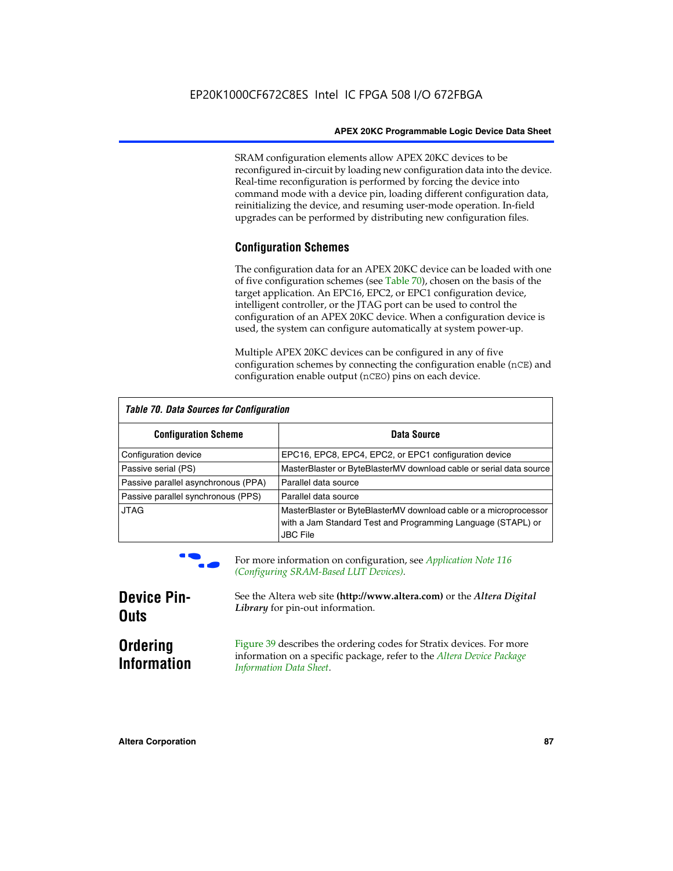SRAM configuration elements allow APEX 20KC devices to be reconfigured in-circuit by loading new configuration data into the device. Real-time reconfiguration is performed by forcing the device into command mode with a device pin, loading different configuration data, reinitializing the device, and resuming user-mode operation. In-field upgrades can be performed by distributing new configuration files.

# **Configuration Schemes**

The configuration data for an APEX 20KC device can be loaded with one of five configuration schemes (see Table 70), chosen on the basis of the target application. An EPC16, EPC2, or EPC1 configuration device, intelligent controller, or the JTAG port can be used to control the configuration of an APEX 20KC device. When a configuration device is used, the system can configure automatically at system power-up.

Multiple APEX 20KC devices can be configured in any of five configuration schemes by connecting the configuration enable (nCE) and configuration enable output (nCEO) pins on each device.

| Table 70. Data Sources for Configuration |                                                                                                                                                      |  |  |  |  |
|------------------------------------------|------------------------------------------------------------------------------------------------------------------------------------------------------|--|--|--|--|
| <b>Configuration Scheme</b>              | Data Source                                                                                                                                          |  |  |  |  |
| Configuration device                     | EPC16, EPC8, EPC4, EPC2, or EPC1 configuration device                                                                                                |  |  |  |  |
| Passive serial (PS)                      | MasterBlaster or ByteBlasterMV download cable or serial data source                                                                                  |  |  |  |  |
| Passive parallel asynchronous (PPA)      | Parallel data source                                                                                                                                 |  |  |  |  |
| Passive parallel synchronous (PPS)       | Parallel data source                                                                                                                                 |  |  |  |  |
| <b>JTAG</b>                              | MasterBlaster or ByteBlasterMV download cable or a microprocessor<br>with a Jam Standard Test and Programming Language (STAPL) or<br><b>JBC File</b> |  |  |  |  |



For more information on configuration, see *Application Note* 116 *(Configuring SRAM-Based LUT Devices).*

| <b>Device Pin-</b>                    | See the Altera web site (http://www.altera.com) or the Altera Digital                                                                                                    |
|---------------------------------------|--------------------------------------------------------------------------------------------------------------------------------------------------------------------------|
| <b>Outs</b>                           | Library for pin-out information.                                                                                                                                         |
| <b>Ordering</b><br><b>Information</b> | Figure 39 describes the ordering codes for Stratix devices. For more<br>information on a specific package, refer to the Altera Device Package<br>Information Data Sheet. |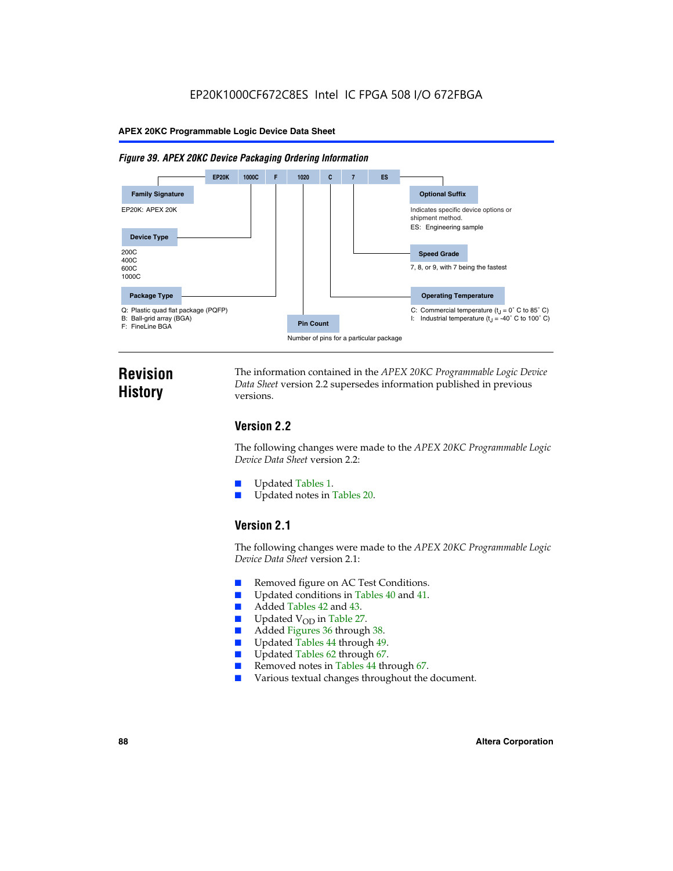#### *Figure 39. APEX 20KC Device Packaging Ordering Information*



# **Revision History**

The information contained in the *APEX 20KC Programmable Logic Device Data Sheet* version 2.2 supersedes information published in previous versions.

# **Version 2.2**

The following changes were made to the *APEX 20KC Programmable Logic Device Data Sheet* version 2.2:

- Updated Tables 1.
- Updated notes in Tables 20.

# **Version 2.1**

The following changes were made to the *APEX 20KC Programmable Logic Device Data Sheet* version 2.1:

- Removed figure on AC Test Conditions.
- Updated conditions in Tables 40 and 41.
- Added Tables 42 and 43.
- $\blacksquare$  Updated V<sub>OD</sub> in Table 27.<br>Added Figures 36 through
- Added Figures 36 through 38.
- Updated Tables 44 through 49.
- Updated Tables 62 through 67.
- Removed notes in Tables 44 through 67.
- Various textual changes throughout the document.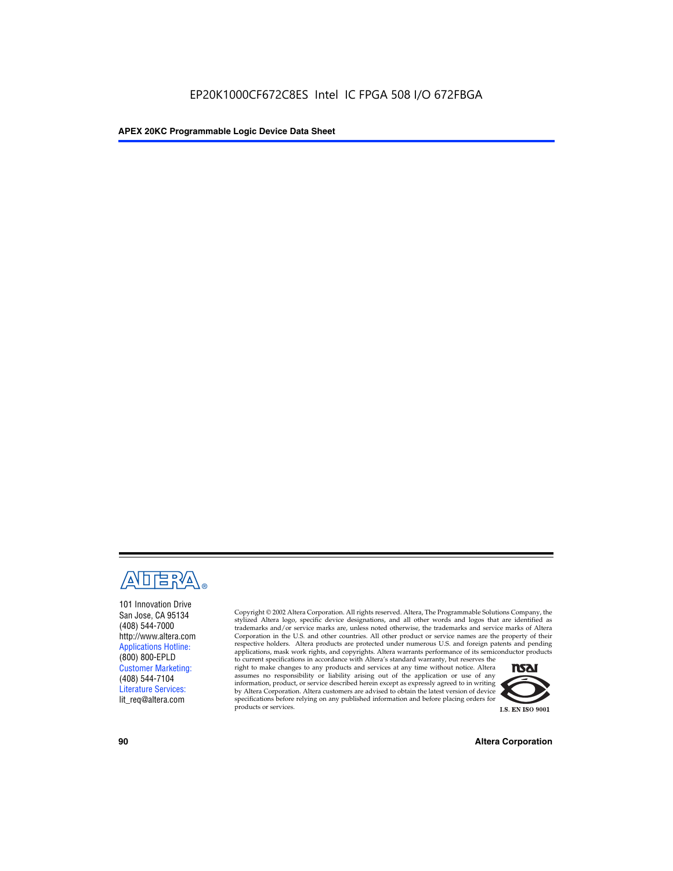

101 Innovation Drive San Jose, CA 95134 (408) 544-7000 http://www.altera.com Applications Hotline: (800) 800-EPLD Customer Marketing: (408) 544-7104 Literature Services: lit\_req@altera.com

Copyright © 2002 Altera Corporation. All rights reserved. Altera, The Programmable Solutions Company, the stylized Altera logo, specific device designations, and all other words and logos that are identified as trademarks and/or service marks are, unless noted otherwise, the trademarks and service marks of Altera Corporation in the U.S. and other countries. All other product or service names are the property of their respective holders. Altera products are protected under numerous U.S. and foreign patents and pending applications, mask work rights, and copyrights. Altera warrants performance of its semiconductor products

to current specifications in accordance with Altera's standard warranty, but reserves the right to make changes to any products and services at any time without notice. Altera assumes no responsibility or liability arising out of the application or use of any information, product, or service described herein except as expressly agreed to in writing by Altera Corporation. Altera customers are advised to obtain the latest version of device specifications before relying on any published information and before placing orders for products or services.



**90 Altera Corporation**